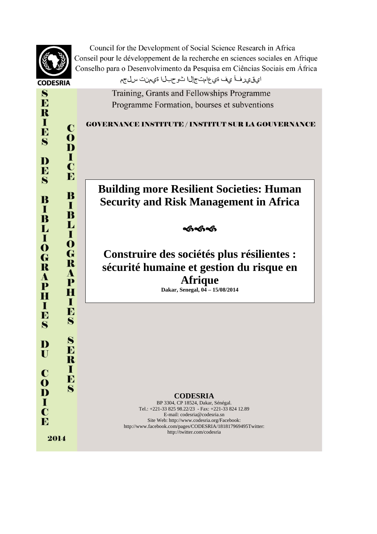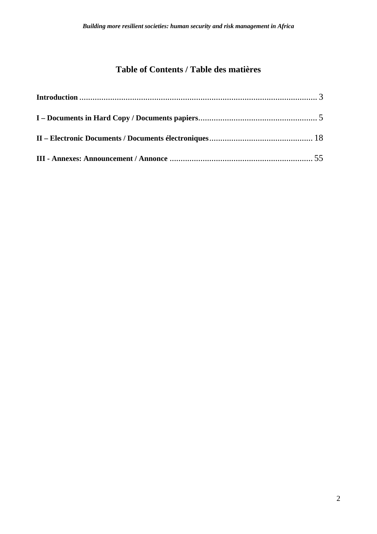# **Table of Contents / Table des matières**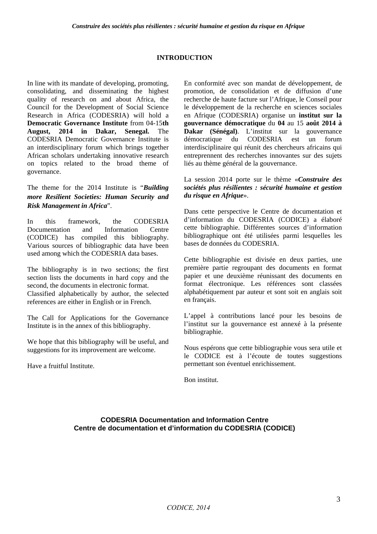## **INTRODUCTION**

In line with its mandate of developing, promoting, consolidating, and disseminating the highest quality of research on and about Africa, the Council for the Development of Social Science Research in Africa (CODESRIA) will hold a **Democratic Governance Institute** from 04-15**th August, 2014 in Dakar, Senegal.** The CODESRIA Democratic Governance Institute is an interdisciplinary forum which brings together African scholars undertaking innovative research on topics related to the broad theme of governance.

The theme for the 2014 Institute is "*Building more Resilient Societies: Human Security and Risk Management in Africa*".

In this framework, the CODESRIA Documentation and Information Centre (CODICE) has compiled this bibliography. Various sources of bibliographic data have been used among which the CODESRIA data bases.

The bibliography is in two sections; the first section lists the documents in hard copy and the second, the documents in electronic format. Classified alphabetically by author, the selected references are either in English or in French.

The Call for Applications for the Governance Institute is in the annex of this bibliography.

We hope that this bibliography will be useful, and suggestions for its improvement are welcome.

Have a fruitful Institute.

En conformité avec son mandat de développement, de promotion, de consolidation et de diffusion d'une recherche de haute facture sur l'Afrique, le Conseil pour le développement de la recherche en sciences sociales en Afrique (CODESRIA) organise un **institut sur la gouvernance démocratique** du **04** au 15 **août 2014 à Dakar (Sénégal)**. L'institut sur la gouvernance démocratique du CODESRIA est un forum interdisciplinaire qui réunit des chercheurs africains qui entreprennent des recherches innovantes sur des sujets liés au thème général de la gouvernance.

## La session 2014 porte sur le thème «*Construire des sociétés plus résilientes : sécurité humaine et gestion du risque en Afrique*».

Dans cette perspective le Centre de documentation et d'information du CODESRIA (CODICE) a élaboré cette bibliographie. Différentes sources d'information bibliographique ont été utilisées parmi lesquelles les bases de données du CODESRIA.

Cette bibliographie est divisée en deux parties, une première partie regroupant des documents en format papier et une deuxième réunissant des documents en format électronique. Les références sont classées alphabétiquement par auteur et sont soit en anglais soit en français.

L'appel à contributions lancé pour les besoins de l'institut sur la gouvernance est annexé à la présente bibliographie.

Nous espérons que cette bibliographie vous sera utile et le CODICE est à l'écoute de toutes suggestions permettant son éventuel enrichissement.

Bon institut.

## **CODESRIA Documentation and Information Centre Centre de documentation et d'information du CODESRIA (CODICE)**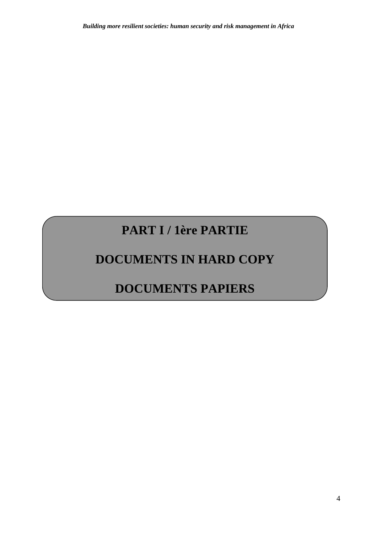# **PART I / 1ère PARTIE**

# **DOCUMENTS IN HARD COPY**

# **DOCUMENTS PAPIERS**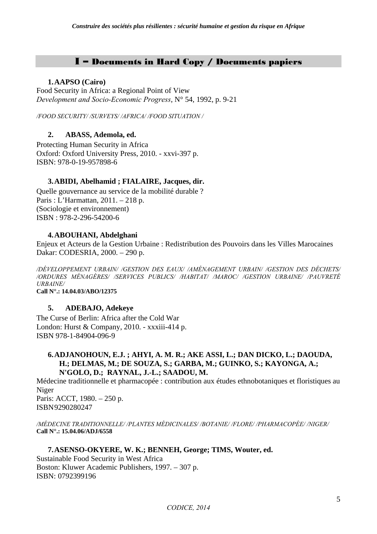# I – Documents in Hard Copy / Documents papiers

# **1.AAPSO (Cairo)**

Food Security in Africa: a Regional Point of View *Development and Socio-Economic Progress*, N° 54, 1992, p. 9-21

*/FOOD SECURITY/ /SURVEYS/ /AFRICA/ /FOOD SITUATION /* 

# **2. ABASS, Ademola, ed.**

Protecting Human Security in Africa Oxford: Oxford University Press, 2010. - xxvi-397 p. ISBN: 978-0-19-957898-6

# **3.ABIDI, Abelhamid ; FIALAIRE, Jacques, dir.**

Quelle gouvernance au service de la mobilité durable ? Paris : L'Harmattan, 2011. – 218 p. (Sociologie et environnement) ISBN : 978-2-296-54200-6

# **4.ABOUHANI, Abdelghani**

Enjeux et Acteurs de la Gestion Urbaine : Redistribution des Pouvoirs dans les Villes Marocaines Dakar: CODESRIA, 2000. – 290 p.

*/DÉVELOPPEMENT URBAIN/ /GESTION DES EAUX/ /AMÉNAGEMENT URBAIN/ /GESTION DES DÉCHETS/ /ORDURES MÉNAGÈRES/ /SERVICES PUBLICS/ /HABITAT/ /MAROC/ /GESTION URBAINE/ /PAUVRETÉ URBAINE/* 

**Call N°.: 14.04.03/ABO/12375** 

# **5. ADEBAJO, Adekeye**

The Curse of Berlin: Africa after the Cold War London: Hurst & Company, 2010. - xxxiii-414 p. ISBN 978-1-84904-096-9

# **6.ADJANOHOUN, E.J. ; AHYI, A. M. R.; AKE ASSI, L.; DAN DICKO, L.; DAOUDA, H.; DELMAS, M.; DE SOUZA, S.; GARBA, M.; GUINKO, S.; KAYONGA, A.; N'GOLO, D.; RAYNAL, J.-L.; SAADOU, M.**

Médecine traditionnelle et pharmacopée : contribution aux études ethnobotaniques et floristiques au Niger Paris: ACCT, 1980. – 250 p. ISBN 9290280247

*/MÉDECINE TRADITIONNELLE/ /PLANTES MÉDICINALES/ /BOTANIE/ /FLORE/ /PHARMACOPÉE/ /NIGER/*  **Call N°.: 15.04.06/ADJ/6558** 

# **7.ASENSO-OKYERE, W. K.; BENNEH, George; TIMS, Wouter, ed.**

Sustainable Food Security in West Africa Boston: Kluwer Academic Publishers, 1997. – 307 p. ISBN: 0792399196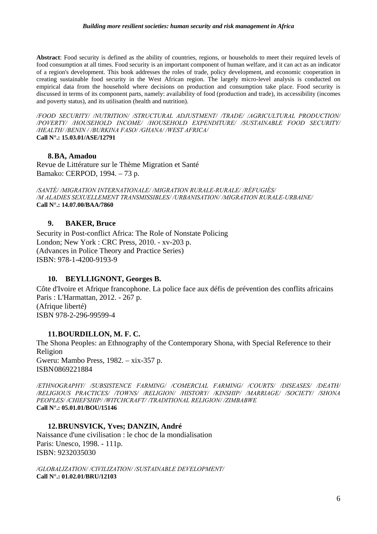#### *Building more resilient societies: human security and risk management in Africa*

**Abstract**: Food security is defined as the ability of countries, regions, or households to meet their required levels of food consumption at all times. Food security is an important component of human welfare, and it can act as an indicator of a region's development. This book addresses the roles of trade, policy development, and economic cooperation in creating sustainable food security in the West African region. The largely micro-level analysis is conducted on empirical data from the household where decisions on production and consumption take place. Food security is discussed in terms of its component parts, namely: availability of food (production and trade), its accessibility (incomes and poverty status), and its utilisation (health and nutrition).

*/FOOD SECURITY/ /NUTRITION/ /STRUCTURAL ADJUSTMENT/ /TRADE/ /AGRICULTURAL PRODUCTION/ /POVERTY/ /HOUSEHOLD INCOME/ /HOUSEHOLD EXPENDITURE/ /SUSTAINABLE FOOD SECURITY/ /HEALTH/ /BENIN / /BURKINA FASO/ /GHANA/ /WEST AFRICA/*  **Call N°.: 15.03.01/ASE/12791** 

# **8.BA, Amadou**

Revue de Littérature sur le Thème Migration et Santé Bamako: CERPOD, 1994. – 73 p.

*/SANTÉ/ /MIGRATION INTERNATIONALE/ /MIGRATION RURALE-RURALE/ /RÉFUGIÉS/ /M ALADIES SEXUELLEMENT TRANSMISSIBLES/ /URBANISATION/ /MIGRATION RURALE-URBAINE/*  **Call N°.: 14.07.00/BAA/7860** 

# **9. BAKER, Bruce**

Security in Post-conflict Africa: The Role of Nonstate Policing London; New York : CRC Press, 2010. - xv-203 p. (Advances in Police Theory and Practice Series) ISBN: 978-1-4200-9193-9

# **10. BEYLLIGNONT, Georges B.**

Côte d'Ivoire et Afrique francophone. La police face aux défis de prévention des conflits africains Paris : L'Harmattan, 2012. - 267 p. (Afrique liberté) ISBN 978-2-296-99599-4

# **11.BOURDILLON, M. F. C.**

The Shona Peoples: an Ethnography of the Contemporary Shona, with Special Reference to their Religion Gweru: Mambo Press, 1982. – xix-357 p. ISBN 0869221884

*/ETHNOGRAPHY/ /SUBSISTENCE FARMING/ /COMERCIAL FARMING/ /COURTS/ /DISEASES/ /DEATH/ /RELIGIOUS PRACTICES/ /TOWNS/ /RELIGION/ /HISTORY/ /KINSHIP/ /MARRIAGE/ /SOCIETY/ /SHONA PEOPLES/ /CHIEFSHIP/ /WITCHCRAFT/ /TRADITIONAL RELIGION/ /ZIMBABWE*  **Call N°.: 05.01.01/BOU/15146** 

# **12.BRUNSVICK, Yves; DANZIN, André**

Naissance d'une civilisation : le choc de la mondialisation Paris: Unesco, 1998. - 111p. ISBN: 9232035030

*/GLOBALIZATION/ /CIVILIZATION/ /SUSTAINABLE DEVELOPMENT/*  **Call N°.: 01.02.01/BRU/12103**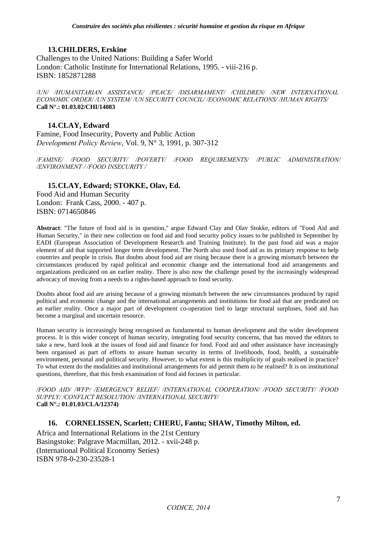# **13.CHILDERS, Erskine**

Challenges to the United Nations: Building a Safer World London: Catholic Institute for International Relations, 1995. - viii-216 p. ISBN: 1852871288

*/UN/ /HUMANITARIAN ASSISTANCE/ /PEACE/ /DISARMAMENT/ /CHILDREN/ /NEW INTERNATIONAL ECONOMIC ORDER/ /UN SYSTEM/ /UN SECURITY COUNCIL/ /ECONOMIC RELATIONS/ /HUMAN RIGHTS/*  **Call N°.: 01.03.02/CHI/14083** 

## **14.CLAY, Edward**

Famine, Food Insecurity, Poverty and Public Action *Development Policy Review*, Vol. 9, N° 3, 1991, p. 307-312

*/FAMINE/ /FOOD SECURITY/ /POVERTY/ /FOOD REQUIREMENTS/ /PUBLIC ADMINISTRATION/ /ENVIRONMENT / /FOOD INSECURITY /* 

## **15.CLAY, Edward; STOKKE, Olav, Ed.**

Food Aid and Human Security London: Frank Cass, 2000. - 407 p. ISBN: 0714650846

**Abstract**: "The future of food aid is in question," argue Edward Clay and Olav Stokke, editors of "Food Aid and Human Security," in their new collection on food aid and food security policy issues to be published in September by EADI (European Association of Development Research and Training Institute). In the past food aid was a major element of aid that supported longer term development. The North also used food aid as its primary response to help countries and people in crisis. But doubts about food aid are rising because there is a growing mismatch between the circumstances produced by rapid political and economic change and the international food aid arrangements and organizations predicated on an earlier reality. There is also now the challenge posed by the increasingly widespread advocacy of moving from a needs to a rights-based approach to food security.

Doubts about food aid are arising because of a growing mismatch between the new circumstances produced by rapid political and economic change and the international arrangements and institutions for food aid that are predicated on an earlier reality. Once a major part of development co-operation tied to large structural surpluses, food aid has become a marginal and uncertain resource.

Human security is increasingly being recognised as fundamental to human development and the wider development process. It is this wider concept of human security, integrating food security concerns, that has moved the editors to take a new, hard look at the issues of food aid and finance for food. Food aid and other assistance have increasingly been organised as part of efforts to assure human security in terms of livelihoods, food, health, a sustainable environment, personal and political security. However, to what extent is this multiplicity of goals realised in practice? To what extent do the modalities and institutional arrangements for aid permit them to be realised? It is on institutional questions, therefore, that this fresh examination of food aid focuses in particular.

*/FOOD AID/ /WFP/ /EMERGENCY RELIEF/ /INTERNATIONAL COOPERATION/ /FOOD SECURITY/ /FOOD SUPPLY/ /CONFLICT RESOLUTION/ /INTERNATIONAL SECURITY/* **Call N°.: 01.01.03/CLA/12374)** 

# **16. CORNELISSEN, Scarlett; CHERU, Fantu; SHAW, Timothy Milton, ed.**

Africa and International Relations in the 21st Century Basingstoke: Palgrave Macmillan, 2012. - xvii-248 p. (International Political Economy Series) ISBN 978-0-230-23528-1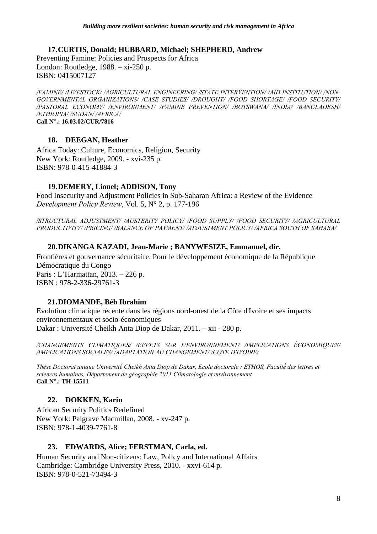# **17.CURTIS, Donald; HUBBARD, Michael; SHEPHERD, Andrew**

Preventing Famine: Policies and Prospects for Africa London: Routledge, 1988. – xi-250 p. ISBN: 0415007127

*/FAMINE/ /LIVESTOCK/ /AGRICULTURAL ENGINEERING/ /STATE INTERVENTION/ /AID INSTITUTION/ /NON-GOVERNMENTAL ORGANIZATIONS/ /CASE STUDIES/ /DROUGHT/ /FOOD SHORTAGE/ /FOOD SECURITY/ /PASTORAL ECONOMY/ /ENVIRONMENT/ /FAMINE PREVENTION/ /BOTSWANA/ /INDIA/ /BANGLADESH/ /ETHIOPIA/ /SUDAN/ /AFRICA/*  **Call N°.: 16.03.02/CUR/7816** 

# **18. DEEGAN, Heather**

Africa Today: Culture, Economics, Religion, Security New York: Routledge, 2009. - xvi-235 p. ISBN: 978-0-415-41884-3

# **19.DEMERY, Lionel; ADDISON, Tony**

Food Insecurity and Adjustment Policies in Sub-Saharan Africa: a Review of the Evidence *Development Policy Review*, Vol. 5, N° 2, p. 177-196

*/STRUCTURAL ADJUSTMENT/ /AUSTERITY POLICY/ /FOOD SUPPLY/ /FOOD SECURITY/ /AGRICULTURAL PRODUCTIVITY/ /PRICING/ /BALANCE OF PAYMENT/ /ADJUSTMENT POLICY/ /AFRICA SOUTH OF SAHARA/* 

# **20.DIKANGA KAZADI, Jean-Marie ; BANYWESIZE, Emmanuel, dir.**

Frontières et gouvernance sécuritaire. Pour le développement économique de la République Démocratique du Congo Paris : L'Harmattan, 2013. – 226 p. ISBN : 978-2-336-29761-3

# **21.DIOMANDE, Béh Ibrahim**

Evolution climatique récente dans les régions nord-ouest de la Côte d'Ivoire et ses impacts environnementaux et socio-économiques

Dakar : Université Cheikh Anta Diop de Dakar, 2011. – xii - 280 p.

*/CHANGEMENTS CLIMATIQUES/ /EFFETS SUR L'ENVIRONNEMENT/ /IMPLICATIONS ÉCONOMIQUES/ /IMPLICATIONS SOCIALES/ /ADAPTATION AU CHANGEMENT/ /COTE D'IVOIRE/* 

*Thèse Doctorat unique Université́ Cheikh Anta Diop de Dakar, Ecole doctorale : ETHOS, Faculté́ des lettres et sciences humaines, Département de géographie 2011 Climatologie et environnement*  **Call N°.: TH-15511** 

# **22. DOKKEN, Karin**

African Security Politics Redefined New York: Palgrave Macmillan, 2008. - xv-247 p. ISBN: 978-1-4039-7761-8

# **23. EDWARDS, Alice; FERSTMAN, Carla, ed.**

Human Security and Non-citizens: Law, Policy and International Affairs Cambridge: Cambridge University Press, 2010. - xxvi-614 p. ISBN: 978-0-521-73494-3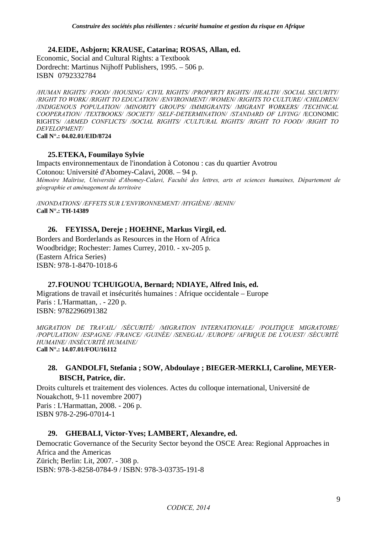# **24.EIDE, Asbjorn; KRAUSE, Catarina; ROSAS, Allan, ed.**

Economic, Social and Cultural Rights: a Textbook Dordrecht: Martinus Nijhoff Publishers, 1995. – 506 p. ISBN 0792332784

*/HUMAN RIGHTS/ /FOOD/ /HOUSING/ /CIVIL RIGHTS/ /PROPERTY RIGHTS/ /HEALTH/ /SOCIAL SECURITY/ /RIGHT TO WORK/ /RIGHT TO EDUCATION/ /ENVIRONMENT/ /WOMEN/ /RIGHTS TO CULTURE/ /CHILDREN/ /INDIGENOUS POPULATION/ /MINORITY GROUPS/ /IMMIGRANTS/ /MIGRANT WORKERS/ /TECHNICAL COOPERATION/ /TEXTBOOKS/ /SOCIETY/ /SELF-DETERMINATION/ /STANDARD OF LIVING/* /ECONOMIC RIGHTS/ */ARMED CONFLICTS/ /SOCIAL RIGHTS/ /CULTURAL RIGHTS/ /RIGHT TO FOOD/ /RIGHT TO DEVELOPMENT/*  **Call N°.: 04.02.01/EID/8724** 

# **25.ETEKA, Foumilayo Sylvie**

Impacts environnementaux de l'inondation à Cotonou : cas du quartier Avotrou Cotonou: Université d'Abomey-Calavi, 2008. – 94 p. *Mémoire Maîtrise, Université d'Abomey-Calavi, Faculté des lettres, arts et sciences humaines, Département de géographie et aménagement du territoire* 

*/INONDATIONS/ /EFFETS SUR L'ENVIRONNEMENT/ /HYGIÈNE/ /BENIN/*  **Call N°.: TH-14389** 

# **26. FEYISSA, Dereje ; HOEHNE, Markus Virgil, ed.**

Borders and Borderlands as Resources in the Horn of Africa Woodbridge; Rochester: James Currey, 2010. - xv-205 p. (Eastern Africa Series) ISBN: 978-1-8470-1018-6

# **27.FOUNOU TCHUIGOUA, Bernard; NDIAYE, Alfred Inis, ed.**

Migrations de travail et insécurités humaines : Afrique occidentale – Europe Paris : L'Harmattan, . - 220 p. ISBN: 9782296091382

*MIGRATION DE TRAVAIL/ /SÉCURITÉ/ /MIGRATION INTERNATIONALE/ /POLITIQUE MIGRATOIRE/ /POPULATION/ /ESPAGNE/ /FRANCE/ /GUINÉE/ /SENEGAL/ /EUROPE/ /AFRIQUE DE L'OUEST/ /SÉCURITÉ HUMAINE/ /INSÉCURITÉ HUMAINE/*  **Call N°.: 14.07.01/FOU/16112** 

# **28. GANDOLFI, Stefania ; SOW, Abdoulaye ; BIEGER-MERKLI, Caroline, MEYER-BISCH, Patrice, dir.**

Droits culturels et traitement des violences. Actes du colloque international, Université de Nouakchott, 9-11 novembre 2007) Paris : L'Harmattan, 2008. - 206 p. ISBN 978-2-296-07014-1

# **29. GHEBALI, Victor-Yves; LAMBERT, Alexandre, ed.**

Democratic Governance of the Security Sector beyond the OSCE Area: Regional Approaches in Africa and the Americas Zürich; Berlin: Lit, 2007. - 308 p. ISBN: 978-3-8258-0784-9 / ISBN: 978-3-03735-191-8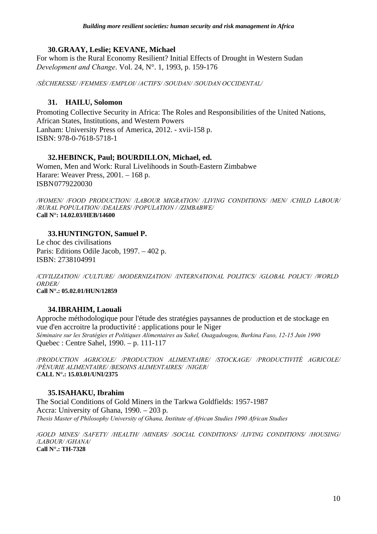# **30.GRAAY, Leslie; KEVANE, Michael**

For whom is the Rural Economy Resilient? Initial Effects of Drought in Western Sudan *Development and Change*. Vol. 24, N°. 1, 1993, p. 159-176

*/SÉCHERESSE/ /FEMMES/ /EMPLOI/ /ACTIFS/ /SOUDAN/ /SOUDAN OCCIDENTAL/* 

# **31. HAILU, Solomon**

Promoting Collective Security in Africa: The Roles and Responsibilities of the United Nations, African States, Institutions, and Western Powers Lanham: University Press of America, 2012. - xvii-158 p. ISBN: 978-0-7618-5718-1

# **32.HEBINCK, Paul; BOURDILLON, Michael, ed.**

Women, Men and Work: Rural Livelihoods in South-Eastern Zimbabwe Harare: Weaver Press, 2001. – 168 p. ISBN 0779220030

*/WOMEN/ /FOOD PRODUCTION/ /LABOUR MIGRATION/ /LIVING CONDITIONS/ /MEN/ /CHILD LABOUR/ /RURAL POPULATION/ /DEALERS/ /POPULATION / /ZIMBABWE/*  **Call N°: 14.02.03/HEB/14600** 

# **33.HUNTINGTON, Samuel P.**

Le choc des civilisations Paris: Editions Odile Jacob, 1997. – 402 p. ISBN: 2738104991

*/CIVILIZATION/ /CULTURE/ /MODERNIZATION/ /INTERNATIONAL POLITICS/ /GLOBAL POLICY/ /WORLD ORDER/*  **Call N°.: 05.02.01/HUN/12859** 

# **34.IBRAHIM, Laouali**

Approche méthodologique pour l'étude des stratégies paysannes de production et de stockage en vue d'en accroitre la productivité : applications pour le Niger *Séminaire sur les Stratégies et Politiques Alimentaires au Sahel, Ouagadougou, Burkina Faso, 12-15 Juin 1990*  Quebec : Centre Sahel, 1990. – p. 111-117

*/PRODUCTION AGRICOLE/ /PRODUCTION ALIMENTAIRE/ /STOCKAGE/ /PRODUCTIVITÉ AGRICOLE/ /PÉNURIE ALIMENTAIRE/ /BESOINS ALIMENTAIRES/ /NIGER/*  **CALL N°.: 15.03.01/UNI/2375** 

# **35.ISAHAKU, Ibrahim**

The Social Conditions of Gold Miners in the Tarkwa Goldfields: 1957-1987 Accra: University of Ghana, 1990. – 203 p. *Thesis Master of Philosophy University of Ghana, Institute of African Studies 1990 African Studies* 

*/GOLD MINES/ /SAFETY/ /HEALTH/ /MINERS/ /SOCIAL CONDITIONS/ /LIVING CONDITIONS/ /HOUSING/ /LABOUR/ /GHANA/* **Call N°.: TH-7328**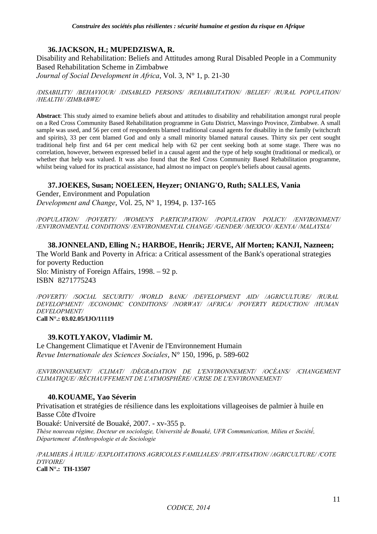# **36.JACKSON, H.; MUPEDZISWA, R.**

Disability and Rehabilitation: Beliefs and Attitudes among Rural Disabled People in a Community Based Rehabilitation Scheme in Zimbabwe *Journal of Social Development in Africa*, Vol. 3, N° 1, p. 21-30

*/DISABILITY/ /BEHAVIOUR/ /DISABLED PERSONS/ /REHABILITATION/ /BELIEF/ /RURAL POPULATION/ /HEALTH/ /ZIMBABWE/* 

**Abstract**: This study aimed to examine beliefs about and attitudes to disability and rehabilitation amongst rural people on a Red Cross Community Based Rehabilitation programme in Gutu District, Masvingo Province, Zimbabwe. A small sample was used, and 56 per cent of respondents blamed traditional causal agents for disability in the family (witchcraft and spirits), 33 per cent blamed God and only a small minority blamed natural causes. Thirty six per cent sought traditional help first and 64 per cent medical help with 62 per cent seeking both at some stage. There was no correlation, however, between expressed belief in a causal agent and the type of help sought (traditional or medical), or whether that help was valued. It was also found that the Red Cross Community Based Rehabilitation programme, whilst being valued for its practical assistance, had almost no impact on people's beliefs about causal agents.

## **37.JOEKES, Susan; NOELEEN, Heyzer; ONIANG'O, Ruth; SALLES, Vania**

Gender, Environment and Population *Development and Change*, Vol. 25, N° 1, 1994, p. 137-165

*/POPULATION/ /POVERTY/ /WOMEN'S PARTICIPATION/ /POPULATION POLICY/ /ENVIRONMENT/ /ENVIRONMENTAL CONDITIONS/ /ENVIRONMENTAL CHANGE/ /GENDER/ /MEXICO/ /KENYA/ /MALAYSIA/* 

**38.JONNELAND, Elling N.; HARBOE, Henrik; JERVE, Alf Morten; KANJI, Nazneen;**  The World Bank and Poverty in Africa: a Critical assessment of the Bank's operational strategies for poverty Reduction Slo: Ministry of Foreign Affairs, 1998. – 92 p. ISBN 8271775243

*/POVERTY/ /SOCIAL SECURITY/ /WORLD BANK/ /DEVELOPMENT AID/ /AGRICULTURE/ /RURAL DEVELOPMENT/ /ECONOMIC CONDITIONS/ /NORWAY/ /AFRICA/ /POVERTY REDUCTION/ /HUMAN DEVELOPMENT/*  **Call N°.: 03.02.05/IJO/11119** 

# **39.KOTLYAKOV, Vladimir M.**

Le Changement Climatique et l'Avenir de l'Environnement Humain *Revue Internationale des Sciences Sociales*, N° 150, 1996, p. 589-602

*/ENVIRONNEMENT/ /CLIMAT/ /DÉGRADATION DE L'ENVIRONNEMENT/ /OCÉANS/ /CHANGEMENT CLIMATIQUE/ /RÉCHAUFFEMENT DE L'ATMOSPHÈRE/ /CRISE DE L'ENVIRONNEMENT/* 

## **40.KOUAME, Yao Séverin**

Privatisation et stratégies de résilience dans les exploitations villageoises de palmier à huile en Basse Côte d'Ivoire Bouaké: Université de Bouaké, 2007. - xv-355 p. *Thèse nouveau régime, Docteur en sociologie, Université́ de Bouaké, UFR Communication, Milieu et Société́, Département d'Anthropologie et de Sociologie* 

*/PALMIERS À HUILE/ /EXPLOITATIONS AGRICOLES FAMILIALES/ /PRIVATISATION/ /AGRICULTURE/ /COTE D'IVOIRE/*  **Call N°.: TH-13507**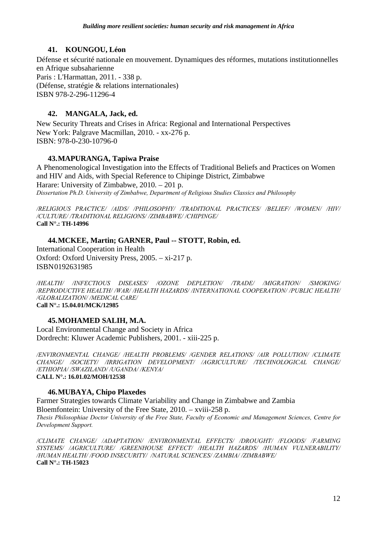# **41. KOUNGOU, Léon**

Défense et sécurité nationale en mouvement. Dynamiques des réformes, mutations institutionnelles en Afrique subsaharienne Paris : L'Harmattan, 2011. - 338 p. (Défense, stratégie & relations internationales) ISBN 978-2-296-11296-4

# **42. MANGALA, Jack, ed.**

New Security Threats and Crises in Africa: Regional and International Perspectives New York: Palgrave Macmillan, 2010. - xx-276 p. ISBN: 978-0-230-10796-0

# **43.MAPURANGA, Tapiwa Praise**

A Phenomenological Investigation into the Effects of Traditional Beliefs and Practices on Women and HIV and Aids, with Special Reference to Chipinge District, Zimbabwe Harare: University of Zimbabwe, 2010. – 201 p. *Dissertation Ph.D. University of Zimbabwe, Department of Religious Studies Classics and Philosophy* 

*/RELIGIOUS PRACTICE/ /AIDS/ /PHILOSOPHY/ /TRADITIONAL PRACTICES/ /BELIEF/ /WOMEN/ /HIV/ /CULTURE/ /TRADITIONAL RELIGIONS/ /ZIMBABWE/ /CHIPINGE/*  **Call N°.: TH-14996** 

# **44.MCKEE, Martin; GARNER, Paul -- STOTT, Robin, ed.**

International Cooperation in Health Oxford: Oxford University Press, 2005. – xi-217 p. ISBN 0192631985

*/HEALTH/ /INFECTIOUS DISEASES/ /OZONE DEPLETION/ /TRADE/ /MIGRATION/ /SMOKING/ /REPRODUCTIVE HEALTH/ /WAR/ /HEALTH HAZARDS/ /INTERNATIONAL COOPERATION/ /PUBLIC HEALTH/ /GLOBALIZATION/ /MEDICAL CARE/*  **Call N°.: 15.04.01/MCK/12985** 

# **45.MOHAMED SALIH, M.A.**

Local Environmental Change and Society in Africa Dordrecht: Kluwer Academic Publishers, 2001. - xiii-225 p.

*/ENVIRONMENTAL CHANGE/ /HEALTH PROBLEMS/ /GENDER RELATIONS/ /AIR POLLUTION/ /CLIMATE CHANGE/ /SOCIETY/ /IRRIGATION DEVELOPMENT/ /AGRICULTURE/ /TECHNOLOGICAL CHANGE/ /ETHIOPIA/ /SWAZILAND/ /UGANDA/ /KENYA/*  **CALL N°.: 16.01.02/MOH/12538** 

# **46.MUBAYA, Chipo Plaxedes**

Farmer Strategies towards Climate Variability and Change in Zimbabwe and Zambia Bloemfontein: University of the Free State, 2010. – xviii-258 p. *Thesis Philosophiae Doctor University of the Free State, Faculty of Economic and Management Sciences, Centre for Development Support.* 

*/CLIMATE CHANGE/ /ADAPTATION/ /ENVIRONMENTAL EFFECTS/ /DROUGHT/ /FLOODS/ /FARMING SYSTEMS/ /AGRICULTURE/ /GREENHOUSE EFFECT/ /HEALTH HAZARDS/ /HUMAN VULNERABILITY/ /HUMAN HEALTH/ /FOOD INSECURITY/ /NATURAL SCIENCES/ /ZAMBIA/ /ZIMBABWE/*  **Call N°.: TH-15023**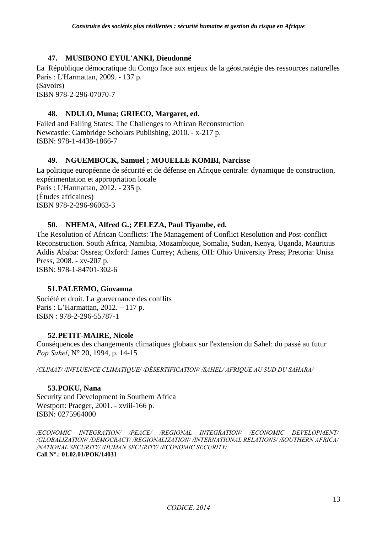# **47. MUSIBONO EYUL'ANKI, Dieudonné**

La République démocratique du Congo face aux enjeux de la géostratégie des ressources naturelles Paris : L'Harmattan, 2009. - 137 p. (Savoirs)

ISBN 978-2-296-07070-7

# **48. NDULO, Muna; GRIECO, Margaret, ed.**

Failed and Failing States: The Challenges to African Reconstruction Newcastle: Cambridge Scholars Publishing, 2010. - x-217 p. ISBN: 978-1-4438-1866-7

# **49. NGUEMBOCK, Samuel ; MOUELLE KOMBI, Narcisse**

La politique européenne de sécurité et de défense en Afrique centrale: dynamique de construction, expérimentation et appropriation locale Paris : L'Harmattan, 2012. - 235 p. (Études africaines) ISBN 978-2-296-96063-3

# **50. NHEMA, Alfred G.; ZELEZA, Paul Tiyambe, ed.**

The Resolution of African Conflicts: The Management of Conflict Resolution and Post-conflict Reconstruction. South Africa, Namibia, Mozambique, Somalia, Sudan, Kenya, Uganda, Mauritius Addis Ababa: Ossrea; Oxford: James Currey; Athens, OH: Ohio University Press; Pretoria: Unisa Press, 2008. - xv-207 p. ISBN: 978-1-84701-302-6

# **51.PALERMO, Giovanna**

Société et droit. La gouvernance des conflits Paris : L'Harmattan, 2012. – 117 p. ISBN : 978-2-296-55787-1

# **52.PETIT-MAIRE, Nicole**

Conséquences des changements climatiques globaux sur l'extension du Sahel: du passé au futur *Pop Sahel*, N° 20, 1994, p. 14-15

*/CLIMAT/ /INFLUENCE CLIMATIQUE/ /DÉSERTIFICATION/ /SAHEL/ AFRIQUE AU SUD DU SAHARA/* 

**53.POKU, Nana**  Security and Development in Southern Africa Westport: Praeger, 2001. - xviii-166 p. ISBN: 0275964000

*/ECONOMIC INTEGRATION/ /PEACE/ /REGIONAL INTEGRATION/ /ECONOMIC DEVELOPMENT/ /GLOBALIZATION/ /DEMOCRACY/ /REGIONALIZATION/ /INTERNATIONAL RELATIONS/ /SOUTHERN AFRICA/ /NATIONAL SECURITY/ /HUMAN SECURITY/ /ECONOMIC SECURITY/*  **Call N°.: 01.02.01/POK/14031**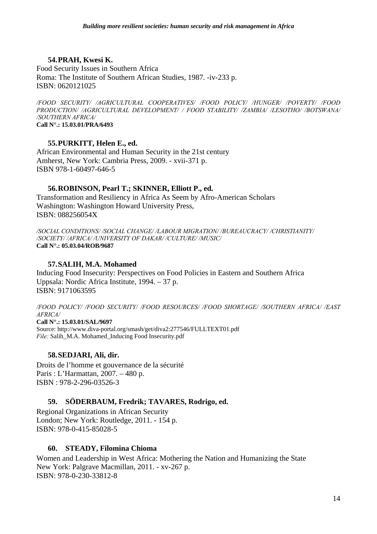# **54.PRAH, Kwesi K.**

Food Security Issues in Southern Africa Roma: The Institute of Southern African Studies, 1987. -iv-233 p. ISBN: 0620121025

*/FOOD SECURITY/ /AGRICULTURAL COOPERATIVES/ /FOOD POLICY/ /HUNGER/ /POVERTY/ /FOOD PRODUCTION/ /AGRICULTURAL DEVELOPMENT/ / FOOD STABILITY/ /ZAMBIA/ /LESOTHO/ /BOTSWANA/ /SOUTHERN AFRICA/*  **Call N°.: 15.03.01/PRA/6493** 

## **55.PURKITT, Helen E., ed.**

African Environmental and Human Security in the 21st century Amherst, New York: Cambria Press, 2009. - xvii-371 p. ISBN 978-1-60497-646-5

## **56.ROBINSON, Pearl T.; SKINNER, Elliott P., ed.**

Transformation and Resiliency in Africa As Seem by Afro-American Scholars Washington: Washington Howard University Press, ISBN: 088256054X

*/SOCIAL CONDITIONS/ /SOCIAL CHANGE/ /LABOUR MIGRATION/ /BUREAUCRACY/ /CHRISTIANITY/ /SOCIETY/ /AFRICA/ /UNIVERSITY OF DAKAR/ /CULTURE/ /MUSIC/*  **Call N°.: 05.03.04/ROB/9687** 

## **57.SALIH, M.A. Mohamed**

Inducing Food Insecurity: Perspectives on Food Policies in Eastern and Southern Africa Uppsala: Nordic Africa Institute, 1994. – 37 p. ISBN: 9171063595

*/FOOD POLICY/ /FOOD SECURITY/ /FOOD RESOURCES/ /FOOD SHORTAGE/ /SOUTHERN AFRICA/ /EAST AFRICA/* 

**Call N°.: 15.03.01/SAL/9697**  Source: http://www.diva-portal.org/smash/get/diva2:277546/FULLTEXT01.pdf *File:* Salih\_M.A. Mohamed\_Inducing Food Insecurity.pdf

# **58.SEDJARI, Ali, dir.**

Droits de l'homme et gouvernance de la sécurité Paris : L'Harmattan, 2007. – 480 p. ISBN : 978-2-296-03526-3

## **59. SÖDERBAUM, Fredrik; TAVARES, Rodrigo, ed.**

Regional Organizations in African Security London; New York: Routledge, 2011. - 154 p. ISBN: 978-0-415-85028-5

# **60. STEADY, Filomina Chioma**

Women and Leadership in West Africa: Mothering the Nation and Humanizing the State New York: Palgrave Macmillan, 2011. - xv-267 p. ISBN: 978-0-230-33812-8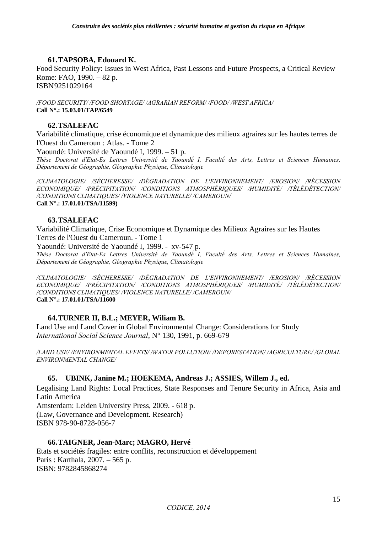# **61.TAPSOBA, Edouard K.**

Food Security Policy: Issues in West Africa, Past Lessons and Future Prospects, a Critical Review Rome: FAO, 1990. – 82 p. ISBN 9251029164

*/FOOD SECURITY/ /FOOD SHORTAGE/ /AGRARIAN REFORM/ /FOOD/ /WEST AFRICA/*  **Call N°.: 15.03.01/TAP/6549** 

## **62.TSALEFAC**

Variabilité climatique, crise économique et dynamique des milieux agraires sur les hautes terres de l'Ouest du Cameroun : Atlas. - Tome 2

Yaoundé: Université de Yaoundé I, 1999. – 51 p.

*Thèse Doctorat d'Etat-Es Lettres Université́ de Yaoundé́ I, Faculté́ des Arts, Lettres et Sciences Humaines, Département de Géographie, Géographie Physique, Climatologie* 

*/CLIMATOLOGIE/ /SÉCHERESSE/ /DÉGRADATION DE L'ENVIRONNEMENT/ /EROSION/ /RÉCESSION ECONOMIQUE/ /PRÉCIPITATION/ /CONDITIONS ATMOSPHÉRIQUES/ /HUMIDITÉ/ /TÉLÉDÉTECTION/ /CONDITIONS CLIMATIQUES/ /VIOLENCE NATURELLE/ /CAMEROUN/*  **Call N°.: 17.01.01/TSA/11599)** 

# **63.TSALEFAC**

Variabilité Climatique, Crise Economique et Dynamique des Milieux Agraires sur les Hautes Terres de l'Ouest du Cameroun. - Tome 1

Yaoundé: Université de Yaoundé I, 1999. - xv-547 p.

*Thèse Doctorat d'Etat-Es Lettres Université́ de Yaoundé́ I, Faculté́ des Arts, Lettres et Sciences Humaines, Département de Géographie, Géographie Physique, Climatologie* 

*/CLIMATOLOGIE/ /SÉCHERESSE/ /DÉGRADATION DE L'ENVIRONNEMENT/ /EROSION/ /RÉCESSION ECONOMIQUE/ /PRÉCIPITATION/ /CONDITIONS ATMOSPHÉRIQUES/ /HUMIDITÉ/ /TÉLÉDÉTECTION/ /CONDITIONS CLIMATIQUES/ /VIOLENCE NATURELLE/ /CAMEROUN/*  **Call N°.: 17.01.01/TSA/11600** 

# **64.TURNER II, B.L.; MEYER, Wiliam B.**

Land Use and Land Cover in Global Environmental Change: Considerations for Study *International Social Science Journal*, N° 130, 1991, p. 669-679

*/LAND USE/ /ENVIRONMENTAL EFFETS/ /WATER POLLUTION/ /DEFORESTATION/ /AGRICULTURE/ /GLOBAL ENVIRONMENTAL CHANGE/* 

# **65. UBINK, Janine M.; HOEKEMA, Andreas J.; ASSIES, Willem J., ed.**

Legalising Land Rights: Local Practices, State Responses and Tenure Security in Africa, Asia and Latin America

Amsterdam: Leiden University Press, 2009. - 618 p. (Law, Governance and Development. Research) ISBN 978-90-8728-056-7

# **66.TAIGNER, Jean-Marc; MAGRO, Hervé**

Etats et sociétés fragiles: entre conflits, reconstruction et développement Paris : Karthala, 2007. – 565 p. ISBN: 9782845868274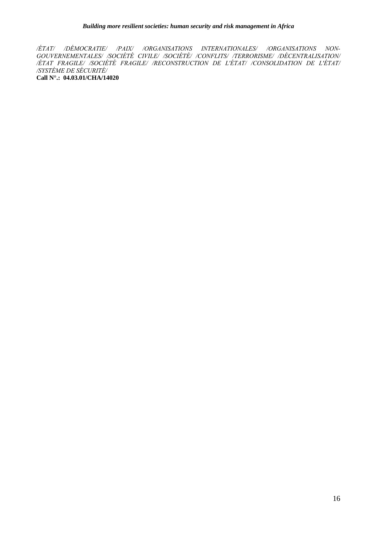*/ÉTAT/ /DÉMOCRATIE/ /PAIX/ /ORGANISATIONS INTERNATIONALES/ /ORGANISATIONS NON-GOUVERNEMENTALES/ /SOCIÉTÉ CIVILE/ /SOCIÉTÉ/ /CONFLITS/ /TERRORISME/ /DÉCENTRALISATION/ /ÉTAT FRAGILE/ /SOCIÉTÉ FRAGILE/ /RECONSTRUCTION DE L'ÉTAT/ /CONSOLIDATION DE L'ÉTAT/ /SYSTÈME DE SÉCURITÉ/*  **Call N°.: 04.03.01/CHA/14020** 

16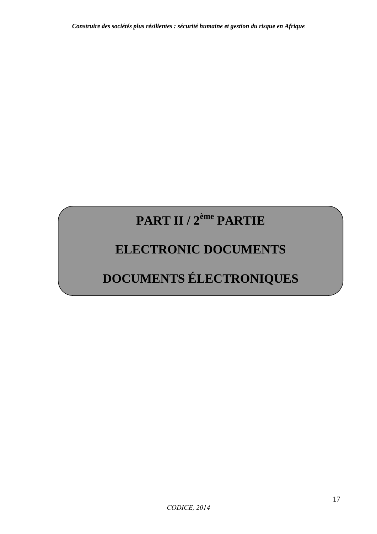# **PART II / 2ème PARTIE**

# **ELECTRONIC DOCUMENTS**

# **DOCUMENTS ÉLECTRONIQUES**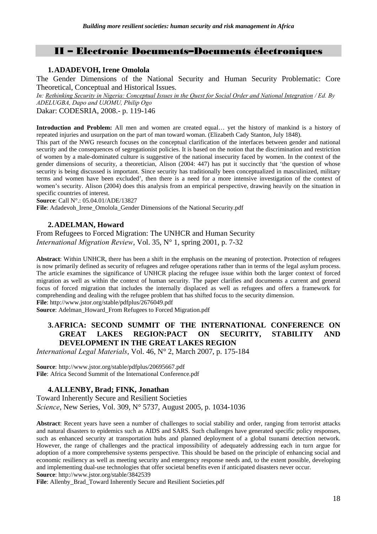# II – Electronic Documents–Documents électroniques

#### **1.ADADEVOH, Irene Omolola**

The Gender Dimensions of the National Security and Human Security Problematic: Core Theoretical, Conceptual and Historical Issues.

*In: Rethinking Security in Nigeria: Conceptual Issues in the Quest for Social Order and National Integration / Ed. By ADELUGBA, Dapo and UJOMU, Philip Ogo* 

Dakar: CODESRIA, 2008.- p. 119-146

**Introduction and Problem:** All men and women are created equal… yet the history of mankind is a history of repeated injuries and usurpation on the part of man toward woman. (Elizabeth Cady Stanton, July 1848).

This part of the NWG research focuses on the conceptual clarification of the interfaces between gender and national security and the consequences of segregationist policies. It is based on the notion that the discrimination and restriction of women by a male-dominated culture is suggestive of the national insecurity faced by women. In the context of the gender dimensions of security, a theoretician, Alison (2004: 447) has put it succinctly that 'the question of whose security is being discussed is important. Since security has traditionally been conceptualized in masculinized, military terms and women have been excluded', then there is a need for a more intensive investigation of the context of women's security. Alison (2004) does this analysis from an empirical perspective, drawing heavily on the situation in specific countries of interest.

**Source**: Call N°.: 05.04.01/ADE/13827

File: Adadevoh Irene\_Omolola\_Gender Dimensions of the National Security.pdf

## **2.ADELMAN, Howard**

From Refugees to Forced Migration: The UNHCR and Human Security *International Migration Review*, Vol. 35, N° 1, spring 2001, p. 7-32

**Abstract**: Within UNHCR, there has been a shift in the emphasis on the meaning of protection. Protection of refugees is now primarily defined as security of refugees and refugee operations rather than in terms of the legal asylum process. The article examines the significance of UNHCR placing the refugee issue within both the larger context of forced migration as well as within the context of human security. The paper clarifies and documents a current and general focus of forced migration that includes the internally displaced as well as refugees and offers a framework for comprehending and dealing with the refugee problem that has shifted focus to the security dimension.

**File**: http://www.jstor.org/stable/pdfplus/2676049.pdf

**Source**: Adelman\_Howard\_From Refugees to Forced Migration.pdf

# **3.AFRICA: SECOND SUMMIT OF THE INTERNATIONAL CONFERENCE ON GREAT LAKES REGION:PACT ON SECURITY, STABILITY AND DEVELOPMENT IN THE GREAT LAKES REGION**

*International Legal Materials*, Vol. 46, N° 2, March 2007, p. 175-184

**Source**: http://www.jstor.org/stable/pdfplus/20695667.pdf **File**: Africa Second Summit of the International Conference.pdf

## **4.ALLENBY, Brad; FINK, Jonathan**

Toward Inherently Secure and Resilient Societies *Science*, New Series, Vol. 309, N° 5737, August 2005, p. 1034-1036

**Abstract**: Recent years have seen a number of challenges to social stability and order, ranging from terrorist attacks and natural disasters to epidemics such as AIDS and SARS. Such challenges have generated specific policy responses, such as enhanced security at transportation hubs and planned deployment of a global tsunami detection network. However, the range of challenges and the practical impossibility of adequately addressing each in turn argue for adoption of a more comprehensive systems perspective. This should be based on the principle of enhancing social and economic resiliency as well as meeting security and emergency response needs and, to the extent possible, developing and implementing dual-use technologies that offer societal benefits even if anticipated disasters never occur. **Source**: http://www.jstor.org/stable/3842539

**File**: Allenby\_Brad\_Toward Inherently Secure and Resilient Societies.pdf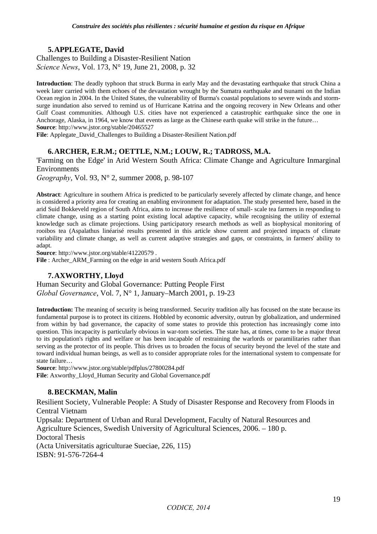# **5.APPLEGATE, David**

Challenges to Building a Disaster-Resilient Nation *Science News*, Vol. 173, N° 19, June 21, 2008, p. 32

**Introduction**: The deadly typhoon that struck Burma in early May and the devastating earthquake that struck China a week later carried with them echoes of the devastation wrought by the Sumatra earthquake and tsunami on the Indian Ocean region in 2004. In the United States, the vulnerability of Burma's coastal populations to severe winds and stormsurge inundation also served to remind us of Hurricane Katrina and the ongoing recovery in New Orleans and other Gulf Coast communities. Although U.S. cities have not experienced a catastrophic earthquake since the one in Anchorage, Alaska, in 1964, we know that events as large as the Chinese earth quake will strike in the future… **Source**: http://www.jstor.org/stable/20465527

**File**: Applegate\_David\_Challenges to Building a Disaster-Resilient Nation.pdf

## **6.ARCHER, E.R.M.; OETTLE, N.M.; LOUW, R.; TADROSS, M.A.**

'Farming on the Edge' in Arid Western South Africa: Climate Change and Agriculture Inmarginal Environments

*Geography*, Vol. 93, N° 2, summer 2008, p. 98-107

**Abstract**: Agriculture in southern Africa is predicted to be particularly severely affected by climate change, and hence is considered a priority area for creating an enabling environment for adaptation. The study presented here, based in the arid Suid Bokkeveld region of South Africa, aims to increase the resilience of small- scale tea farmers in responding to climate change, using as a starting point existing local adaptive capacity, while recognising the utility of external knowledge such as climate projections. Using participatory research methods as well as biophysical monitoring of rooibos tea (Aspalathus linéarisé results presented in this article show current and projected impacts of climate variability and climate change, as well as current adaptive strategies and gaps, or constraints, in farmers' ability to adapt.

**Source**: http://www.jstor.org/stable/41220579 .

**File** : Archer\_ARM\_Farming on the edge in arid western South Africa.pdf

## **7.AXWORTHY, Lloyd**

Human Security and Global Governance: Putting People First *Global Governance*, Vol. 7, N° 1, January–March 2001, p. 19-23

**Introduction:** The meaning of security is being transformed. Security tradition ally has focused on the state because its fundamental purpose is to protect its citizens. Hobbled by economic adversity, outrun by globalization, and undermined from within by bad governance, the capacity of some states to provide this protection has increasingly come into question. This incapacity is particularly obvious in war-torn societies. The state has, at times, come to be a major threat to its population's rights and welfare or has been incapable of restraining the warlords or paramilitaries rather than serving as the protector of its people. This drives us to broaden the focus of security beyond the level of the state and toward individual human beings, as well as to consider appropriate roles for the international system to compensate for state failure…

**Source**: http://www.jstor.org/stable/pdfplus/27800284.pdf **File**: Axworthy\_Lloyd\_Human Security and Global Governance.pdf

# **8.BECKMAN, Malin**

Resilient Society, Vulnerable People: A Study of Disaster Response and Recovery from Floods in Central Vietnam Uppsala: Department of Urban and Rural Development, Faculty of Natural Resources and Agriculture Sciences, Swedish University of Agricultural Sciences, 2006. – 180 p. Doctoral Thesis (Acta Universitatis agriculturae Sueciae, 226, 115) ISBN: 91-576-7264-4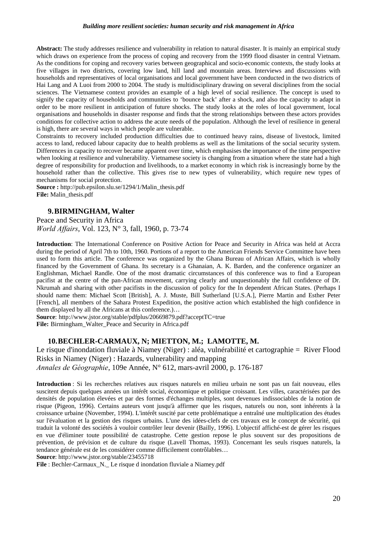#### *Building more resilient societies: human security and risk management in Africa*

**Abstract:** The study addresses resilience and vulnerability in relation to natural disaster. It is mainly an empirical study which draws on experience from the process of coping and recovery from the 1999 flood disaster in central Vietnam. As the conditions for coping and recovery varies between geographical and socio-economic contexts, the study looks at five villages in two districts, covering low land, hill land and mountain areas. Interviews and discussions with households and representatives of local organisations and local government have been conducted in the two districts of Hai Lang and A Luoi from 2000 to 2004. The study is multidisciplinary drawing on several disciplines from the social sciences. The Vietnamese context provides an example of a high level of social resilience. The concept is used to signify the capacity of households and communities to 'bounce back' after a shock, and also the capacity to adapt in order to be more resilient in anticipation of future shocks. The study looks at the roles of local government, local organisations and households in disaster response and finds that the strong relationships between these actors provides conditions for collective action to address the acute needs of the population. Although the level of resilience in general is high, there are several ways in which people are vulnerable.

Constraints to recovery included production difficulties due to continued heavy rains, disease of livestock, limited access to land, reduced labour capacity due to health problems as well as the limitations of the social security system. Differences in capacity to recover became apparent over time, which emphasises the importance of the time perspective when looking at resilience and vulnerability. Vietnamese society is changing from a situation where the state had a high degree of responsibility for production and livelihoods, to a market economy in which risk is increasingly borne by the household rather than the collective. This gives rise to new types of vulnerability, which require new types of mechanisms for social protection.

**Source :** http://pub.epsilon.slu.se/1294/1/Malin\_thesis.pdf **File:** Malin\_thesis.pdf

#### **9.BIRMINGHAM, Walter**

Peace and Security in Africa *World Affairs*, Vol. 123, N° 3, fall, 1960, p. 73-74

**Introduction**: The International Conference on Positive Action for Peace and Security in Africa was held at Accra during the period of April 7th to 10th, 1960. Portions of a report to the American Friends Service Committee have been used to form this article. The conference was organized by the Ghana Bureau of African Affairs, which is wholly financed by the Government of Ghana. Its secretary is a Ghanaian, A. K. Barden, and the conference organizer an Englishman, Michael Randle. One of the most dramatic circumstances of this conference was to find a European pacifist at the centre of the pan-African movement, carrying clearly and unquestionably the full confidence of Dr. Nkrumah and sharing with other pacifists in the discussion of policy for the In dependent African States. (Perhaps I should name them: Michael Scott [British], A. J. Muste, Bill Sutherland [U.S.A.], Pierre Martin and Esther Peter [French], all members of the Sahara Protest Expedition, the positive action which established the high confidence in them displayed by all the Africans at this conference.)…

**Source**: http://www.jstor.org/stable/pdfplus/20669879.pdf?acceptTC=true

**File:** Birmingham\_Walter\_Peace and Security in Africa.pdf

## **10.BECHLER-CARMAUX, N; MIETTON, M.; LAMOTTE, M.**

Le risque d'inondation fluviale à Niamey (Niger) : aléa, vulnérabilité et cartographie = River Flood Risks in Niamey (Niger) : Hazards, vulnerability and mapping *Annales de Géographie*, 109e Année, N° 612, mars-avril 2000, p. 176-187

**Introduction** : Si les recherches relatives aux risques naturels en milieu urbain ne sont pas un fait nouveau, elles suscitent depuis quelques années un intérêt social, économique et politique croissant. Les villes, caractérisées par des densités de population élevées et par des formes d'échanges multiples, sont devenues indissociables de la notion de risque (Pigeon, 1996). Certains auteurs vont jusqu'à affirmer que les risques, naturels ou non, sont inhérents à la croissance urbaine (November, 1994). L'intérêt suscité par cette problématique a entraîné une multiplication des études sur l'évaluation et la gestion des risques urbains. L'une des idées-clefs de ces travaux est le concept de sécurité, qui traduit la volonté des sociétés à vouloir contrôler leur devenir (Bailly, 1996). L'objectif affiché-est de gérer les risques en vue d'éliminer toute possibilité de catastrophe. Cette gestion repose le plus souvent sur des propositions de prévention, de prévision et de culture du risque (Lavell Thomas, 1993). Concernant les seuls risques naturels, la tendance générale est de les considérer comme difficilement contrôlables…

**Source**: http://www.jstor.org/stable/23455718

**File** : Bechler-Carmaux\_N.\_ Le risque d inondation fluviale a Niamey.pdf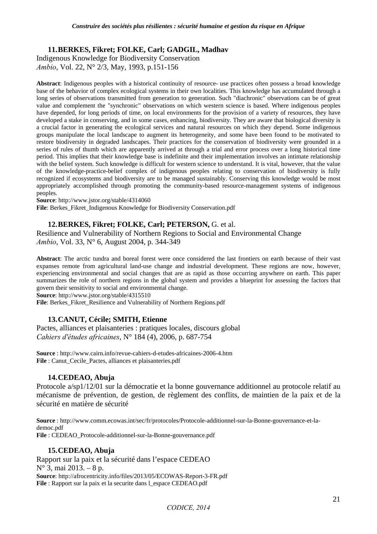# **11.BERKES, Fikret; FOLKE, Carl; GADGIL, Madhav**

Indigenous Knowledge for Biodiversity Conservation *Ambio*, Vol. 22, N° 2/3, May, 1993, p.151-156

**Abstract**: Indigenous peoples with a historical continuity of resource- use practices often possess a broad knowledge base of the behavior of complex ecological systems in their own localities. This knowledge has accumulated through a long series of observations transmitted from generation to generation. Such "diachronic" observations can be of great value and complement the "synchronic" observations on which western science is based. Where indigenous peoples have depended, for long periods of time, on local environments for the provision of a variety of resources, they have developed a stake in conserving, and in some cases, enhancing, biodiversity. They are aware that biological diversity is a crucial factor in generating the ecological services and natural resources on which they depend. Some indigenous groups manipulate the local landscape to augment its heterogeneity, and some have been found to be motivated to restore biodiversity in degraded landscapes. Their practices for the conservation of biodiversity were grounded in a series of rules of thumb which are apparently arrived at through a trial and error process over a long historical time period. This implies that their knowledge base is indefinite and their implementation involves an intimate relationship with the belief system. Such knowledge is difficult for western science to understand. It is vital, however, that the value of the knowledge-practice-belief complex of indigenous peoples relating to conservation of biodiversity is fully recognized if ecosystems and biodiversity are to be managed sustainably. Conserving this knowledge would be most appropriately accomplished through promoting the community-based resource-management systems of indigenous peoples.

**Source**: http://www.jstor.org/stable/4314060

**File**: Berkes\_Fikret\_Indigenous Knowledge for Biodiversity Conservation.pdf

# **12.BERKES, Fikret; FOLKE, Carl; PETERSON,** G. et al.

Resilience and Vulnerability of Northern Regions to Social and Environmental Change *Ambio*, Vol. 33, N° 6, August 2004, p. 344-349

**Abstract**: The arctic tundra and boreal forest were once considered the last frontiers on earth because of their vast expanses remote from agricultural land-use change and industrial development. These regions are now, however, experiencing environmental and social changes that are as rapid as those occurring anywhere on earth. This paper summarizes the role of northern regions in the global system and provides a blueprint for assessing the factors that govern their sensitivity to social and environmental change.

**Source**: http://www.jstor.org/stable/4315510

**File**: Berkes Fikret Resilience and Vulnerability of Northern Regions.pdf

# **13.CANUT, Cécile; SMITH, Etienne**

Pactes, alliances et plaisanteries : pratiques locales, discours global *Cahiers d'études africaines*, N° 184 (4), 2006, p. 687-754

**Source** : http://www.cairn.info/revue-cahiers-d-etudes-africaines-2006-4.htm **File** : Canut\_Cecile\_Pactes, alliances et plaisanteries.pdf

# **14.CEDEAO, Abuja**

Protocole a/sp1/12/01 sur la démocratie et la bonne gouvernance additionnel au protocole relatif au mécanisme de prévention, de gestion, de règlement des conflits, de maintien de la paix et de la sécurité en matière de sécurité

**Source** : http://www.comm.ecowas.int/sec/fr/protocoles/Protocole-additionnel-sur-la-Bonne-gouvernance-et-lademoc.pdf **File** : CEDEAO\_Protocole-additionnel-sur-la-Bonne-gouvernance.pdf

# **15.CEDEAO, Abuja**

Rapport sur la paix et la sécurité dans l'espace CEDEAO N° 3, mai 2013. – 8 p. **Source**: http://afrocentricity.info/files/2013/05/ECOWAS-Report-3-FR.pdf File : Rapport sur la paix et la securite dans l\_espace CEDEAO.pdf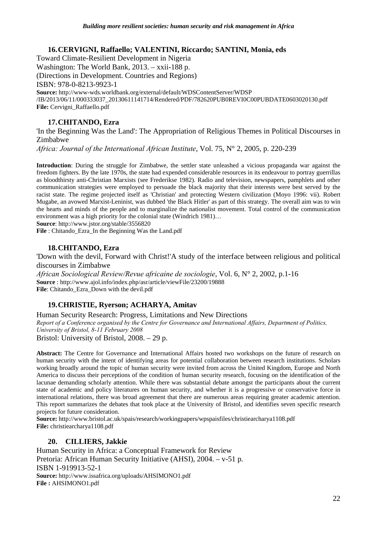# **16.CERVIGNI, Raffaello; VALENTINI, Riccardo; SANTINI, Monia, eds**

Toward Climate-Resilient Development in Nigeria Washington: The World Bank, 2013. – xxii-188 p. (Directions in Development. Countries and Regions) ISBN: 978-0-8213-9923-1 **Source:** http://www-wds.worldbank.org/external/default/WDSContentServer/WDSP /IB/2013/06/11/000333037\_20130611141714/Rendered/PDF/782620PUB0REVI0C00PUBDATE0603020130.pdf File: Cervigni\_Raffaello.pdf

# **17.CHITANDO, Ezra**

'In the Beginning Was the Land': The Appropriation of Religious Themes in Political Discourses in Zimbabwe

*Africa: Journal of the International African Institute*, Vol. 75, N° 2, 2005, p. 220-239

**Introduction**: During the struggle for Zimbabwe, the settler state unleashed a vicious propaganda war against the freedom fighters. By the late 1970s, the state had expended considerable resources in its endeavour to portray guerrillas as bloodthirsty anti-Christian Marxists (see Frederikse 1982). Radio and television, newspapers, pamphlets and other communication strategies were employed to persuade the black majority that their interests were best served by the racist state. The regime projected itself as 'Christian' and protecting Western civilization (Moyo 1996: vii). Robert Mugabe, an avowed Marxist-Leninist, was dubbed 'the Black Hitler' as part of this strategy. The overall aim was to win the hearts and minds of the people and to marginalize the nationalist movement. Total control of the communication environment was a high priority for the colonial state (Windrich 1981)…

**Source**: http://www.jstor.org/stable/3556820

**File** : Chitando\_Ezra\_In the Beginning Was the Land.pdf

# **18.CHITANDO, Ezra**

'Down with the devil, Forward with Christ!'A study of the interface between religious and political discourses in Zimbabwe

*African Sociological Review/Revue africaine de sociologie*, Vol. 6, N° 2, 2002, p.1-16 **Source** : http://www.ajol.info/index.php/asr/article/viewFile/23200/19888 **File**: Chitando\_Ezra\_Down with the devil.pdf

# **19.CHRISTIE, Ryerson; ACHARYA, Amitav**

Human Security Research: Progress, Limitations and New Directions *Report of a Conference organised by the Centre for Governance and International Affairs, Department of Politics, University of Bristol, 8-11 February 2008*  Bristol: University of Bristol, 2008. – 29 p.

**Abstract:** The Centre for Governance and International Affairs hosted two workshops on the future of research on human security with the intent of identifying areas for potential collaboration between research institutions. Scholars working broadly around the topic of human security were invited from across the United Kingdom, Europe and North America to discuss their perceptions of the condition of human security research, focusing on the identification of the lacunae demanding scholarly attention. While there was substantial debate amongst the participants about the current state of academic and policy literatures on human security, and whether it is a progressive or conservative force in international relations, there was broad agreement that there are numerous areas requiring greater academic attention. This report summarizes the debates that took place at the University of Bristol, and identifies seven specific research projects for future consideration.

**Source:** http://www.bristol.ac.uk/spais/research/workingpapers/wpspaisfiles/christiearcharya1108.pdf **File:** christiearcharya1108.pdf

# **20. CILLIERS, Jakkie**

Human Security in Africa: a Conceptual Framework for Review Pretoria: African Human Security Initiative (AHSI), 2004. – v-51 p. ISBN 1-919913-52-1 **Source:** http://www.issafrica.org/uploads/AHSIMONO1.pdf **File :** AHSIMONO1.pdf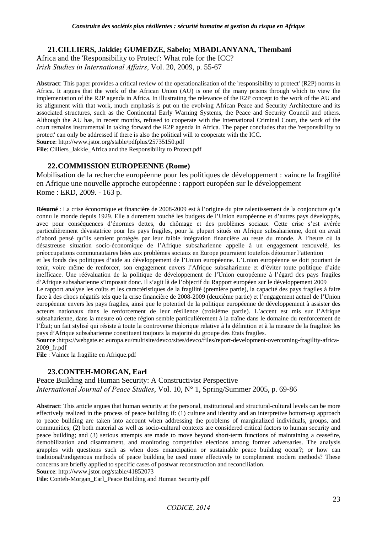# **21.CILLIERS, Jakkie; GUMEDZE, Sabelo; MBADLANYANA, Thembani**

Africa and the 'Responsibility to Protect': What role for the ICC? *Irish Studies in International Affairs*, Vol. 20, 2009, p. 55-67

**Abstract**: This paper provides a critical review of the operationalisation of the 'responsibility to protect' (R2P) norms in Africa. It argues that the work of the African Union (AU) is one of the many prisms through which to view the implementation of the R2P agenda in Africa. In illustrating the relevance of the R2P concept to the work of the AU and its alignment with that work, much emphasis is put on the evolving African Peace and Security Architecture and its associated structures, such as the Continental Early Warning Systems, the Peace and Security Council and others. Although the AU has, in recent months, refused to cooperate with the International Criminal Court, the work of the court remains instrumental in taking forward the R2P agenda in Africa. The paper concludes that the 'responsibility to protect' can only be addressed if there is also the political will to cooperate with the ICC.

**Source**: http://www.jstor.org/stable/pdfplus/25735150.pdf

File: Cilliers Jakkie Africa and the Responsibility to Protect.pdf

# **22.COMMISSION EUROPEENNE (Rome)**

Mobilisation de la recherche européenne pour les politiques de développement : vaincre la fragilité en Afrique une nouvelle approche européenne : rapport européen sur le développement Rome : ERD, 2009. - 163 p.

**Résumé** : La crise économique et financière de 2008-2009 est à l'origine du pire ralentissement de la conjoncture qu'a connu le monde depuis 1929. Elle a durement touché les budgets de l'Union européenne et d'autres pays développés, avec pour conséquences d'énormes dettes, du chômage et des problèmes sociaux. Cette crise s'est avérée particulièrement dévastatrice pour les pays fragiles, pour la plupart situés en Afrique subsaharienne, dont on avait d'abord pensé qu'ils seraient protégés par leur faible intégration financière au reste du monde. À l'heure où la désastreuse situation socio-économique de l'Afrique subsaharienne appelle à un engagement renouvelé, les préoccupations communautaires liées aux problèmes sociaux en Europe pourraient toutefois détourner l'attention

et les fonds des politiques d'aide au développement de l'Union européenne. L'Union européenne se doit pourtant de tenir, voire même de renforcer, son engagement envers l'Afrique subsaharienne et d'éviter toute politique d'aide inefficace. Une réévaluation de la politique de développement de l'Union européenne à l'égard des pays fragiles d'Afrique subsaharienne s'imposait donc. Il s'agit là de l'objectif du Rapport européen sur le développement 2009

Le rapport analyse les coûts et les caractéristiques de la fragilité (première partie), la capacité des pays fragiles à faire face à des chocs négatifs tels que la crise financière de 2008-2009 (deuxième partie) et l'engagement actuel de l'Union européenne envers les pays fragiles, ainsi que le potentiel de la politique européenne de développement à assister des acteurs nationaux dans le renforcement de leur résilience (troisième partie). L'accent est mis sur l'Afrique subsaharienne, dans la mesure où cette région semble particulièrement à la traîne dans le domaine du renforcement de l'État; un fait stylisé qui résiste à toute la controverse théorique relative à la définition et à la mesure de la fragilité: les pays d'Afrique subsaharienne constituent toujours la majorité du groupe des États fragiles.

**Source** :https://webgate.ec.europa.eu/multisite/devco/sites/devco/files/report-development-overcoming-fragility-africa-2009\_fr.pdf

**File** : Vaince la fragilite en Afrique.pdf

## **23.CONTEH-MORGAN, Earl**

Peace Building and Human Security: A Constructivist Perspective *International Journal of Peace Studies*, Vol. 10, N° 1, Spring/Summer 2005, p. 69-86

**Abstract**: This article argues that human security at the personal, institutional and structural-cultural levels can be more effectively realized in the process of peace building if: (1) culture and identity and an interpretive bottom-up approach to peace building are taken into account when addressing the problems of marginalized individuals, groups, and communities; (2) both material as well as socio-cultural contexts are considered critical factors to human security and peace building; and (3) serious attempts are made to move beyond short-term functions of maintaining a ceasefire, demobilization and disarmament, and monitoring competitive elections among former adversaries. The analysis grapples with questions such as when does emancipation or sustainable peace building occur?; or how can traditional/indigenous methods of peace building be used more effectively to complement modern methods? These concerns are briefly applied to specific cases of postwar reconstruction and reconciliation.

**Source**: http://www.jstor.org/stable/41852073

**File**: Conteh-Morgan\_Earl\_Peace Building and Human Security.pdf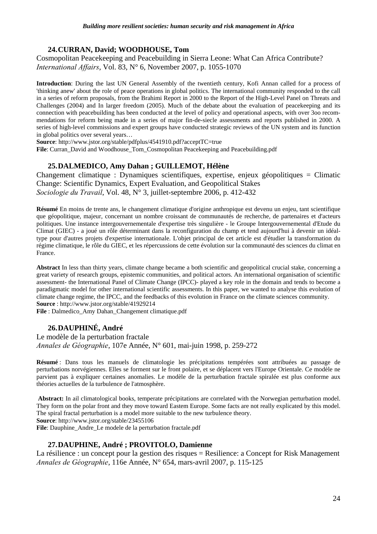# **24.CURRAN, David; WOODHOUSE, Tom**

Cosmopolitan Peacekeeping and Peacebuilding in Sierra Leone: What Can Africa Contribute? *International Affairs*, Vol. 83, N° 6, November 2007, p. 1055-1070

**Introduction**: During the last UN General Assembly of the twentieth century, Kofi Annan called for a process of 'thinking anew' about the role of peace operations in global politics. The international community responded to the call in a series of reform proposals, from the Brahimi Report in 2000 to the Report of the High-Level Panel on Threats and Challenges (2004) and In larger freedom (2005). Much of the debate about the evaluation of peacekeeping and its connection with peacebuilding has been conducted at the level of policy and operational aspects, with over 3oo recommendations for reform being made in a series of major fin-de-siecle assessments and reports published in 2000. A series of high-level commissions and expert groups have conducted strategic reviews of the UN system and its function in global politics over several years…

**Source**: http://www.jstor.org/stable/pdfplus/4541910.pdf?acceptTC=true

**File**: Curran\_David and Woodhouse\_Tom\_Cosmopolitan Peacekeeping and Peacebuilding.pdf

# **25.DALMEDICO, Amy Dahan ; GUILLEMOT, Hélène**

Changement climatique : Dynamiques scientifiques, expertise, enjeux géopolitiques = Climatic Change: Scientific Dynamics, Expert Evaluation, and Geopolitical Stakes *Sociologie du Travail*, Vol. 48, N° 3, juillet-septembre 2006, p. 412-432

**Résumé** En moins de trente ans, le changement climatique d'origine anthropique est devenu un enjeu, tant scientifique que géopolitique, majeur, concernant un nombre croissant de communautés de recherche, de partenaires et d'acteurs politiques. Une instance intergouvernementale d'expertise très singulière - le Groupe Intergouvernemental d'Etude du Climat (GIEC) - a joué un rôle déterminant dans la reconfiguration du champ et tend aujourd'hui à devenir un idéaltype pour d'autres projets d'expertise internationale. L'objet principal de cet article est d'étudier la transformation du régime climatique, le rôle du GIEC, et les répercussions de cette évolution sur la communauté des sciences du climat en France.

**Abstract** In less than thirty years, climate change became a both scientific and geopolitical crucial stake, concerning a great variety of research groups, epistemic communities, and political actors. An international organisation of scientific assessment- the International Panel of Climate Change (IPCC)- played a key role in the domain and tends to become a paradigmatic model for other international scientific assessments. In this paper, we wanted to analyse this evolution of climate change regime, the IPCC, and the feedbacks of this evolution in France on the climate sciences community. **Source** : http://www.jstor.org/stable/41929214

**File** : Dalmedico\_Amy Dahan\_Changement climatique.pdf

# **26.DAUPHINÉ, André**

Le modèle de la perturbation fractale *Annales de Géographie*, 107e Année, N° 601, mai-juin 1998, p. 259-272

**Résumé** : Dans tous les manuels de climatologie les précipitations tempérées sont attribuées au passage de perturbations norvégiennes. Elles se forment sur le front polaire, et se déplacent vers l'Europe Orientale. Ce modèle ne parvient pas à expliquer certaines anomalies. Le modèle de la perturbation fractale spiralée est plus conforme aux théories actuelles de la turbulence de l'atmosphère.

**Abstract:** In ail climatological books, temperate précipitations are correlated with the Norwegian perturbation model. They form on the polar front and they move toward Eastem Europe. Some facts are not really explicated by this model. The spiral fractal perturbation is a model more suitable to the new turbulence theory. **Source**: http://www.jstor.org/stable/23455106 File: Dauphine Andre Le modele de la perturbation fractale.pdf

# **27.DAUPHINE, André ; PROVITOLO, Damienne**

La résilience : un concept pour la gestion des risques = Resilience: a Concept for Risk Management *Annales de Géographie*, 116e Année, N° 654, mars-avril 2007, p. 115-125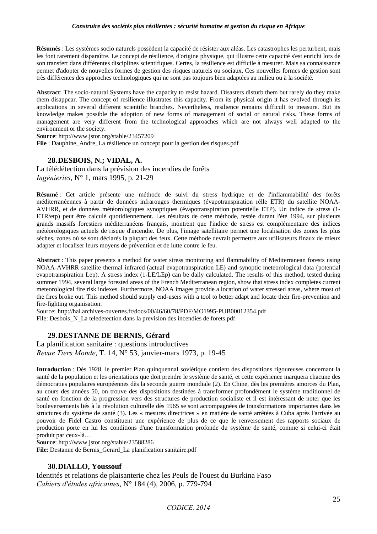#### *Construire des sociétés plus résilientes : sécurité humaine et gestion du risque en Afrique*

**Résumés** : Les systèmes socio naturels possèdent la capacité de résister aux aléas. Les catastrophes les perturbent, mais les font rarement disparaître. Le concept de résilience, d'origine physique, qui illustre cette capacité s'est enrichi lors de son transfert dans différentes disciplines scientifiques. Certes, la résilience est difficile à mesurer. Mais sa connaissance permet d'adopter de nouvelles formes de gestion des risques naturels ou sociaux. Ces nouvelles formes de gestion sont très différentes des approches technologiques qui ne sont pas toujours bien adaptées au milieu ou à la société.

**Abstract**: The socio-natural Systems have the capacity to resist hazard. Disasters disturb them but rarely do they make them disappear. The concept of resilience illustrates this capacity. From its physical origin it has evolved through its applications in several different scientific branches. Nevertheless, resilience remains difficult to measure. But its knowledge makes possible the adoption of new forms of management of social or natural risks. These forms of management are very different from the technological approaches which are not always well adapted to the environment or the society.

**Source**: http://www.jstor.org/stable/23457209 File : Dauphine Andre La résilience un concept pour la gestion des risques.pdf

## **28.DESBOIS, N.; VIDAL, A.**

La télédétection dans la prévision des incendies de forêts *Ingénieries*, N° 1, mars 1995, p. 21-29

**Résumé** : Cet article présente une méthode de suivi du stress hydrique et de l'inflammabilité des forêts méditerranéennes à partir de données infrarouges thermiques (évapotranspiration rélle ETR) du satellite NOAA-AVHRR, et de données météorologiques synoptiques (évapotranspiration potentielle ETP). Un indice de stress (1- ETR/etp) peut être calculé quotidiennement. Les résultats de cette méthode, testée durant l'été 1994, sur plusieurs grands massifs forestiers méditerranéens français, montrent que l'indice de stress est complémentaire des indices météorologiques actuels de risque d'incendie. De plus, l'image satellitaire permet une localisation des zones les plus sèches, zones où se sont déclarés la plupart des feux. Cette méthode devrait permettre aux utilisateurs finaux de mieux adapter et localiser leurs moyens de prévention et de lutte contre le feu.

**Abstract** : This paper presents a method for water stress monitoring and flammability of Mediterranean forests using NOAA-AVHRR satellite thermal infrared (actual evapotranspiration LE) and synoptic meteorological data (potential evapotranspiration Lep). A stress index (1-LE/LEp) can be daily calculated. The results of this method, tested during summer 1994, several large forested areas of the French Mediterranean region, show that stress index completes current meteorological fire risk indexes. Furthermore, NOAA images provide a location of water stressed areas, where most of the fires broke out. This method should supply end-users with a tool to better adapt and locate their fire-prevention and fire-fighting organisation.

Source: http://hal.archives-ouvertes.fr/docs/00/46/60/78/PDF/MO1995-PUB00012354.pdf File: Desbois\_N\_La teledetection dans la prevision des incendies de forets.pdf

## **29.DESTANNE DE BERNIS, Gérard**

La planification sanitaire : questions introductives *Revue Tiers Monde*, T. 14, N° 53, janvier-mars 1973, p. 19-45

**Introduction** : Dès 1928, le premier Plan quinquennal soviétique contient des dispositions rigoureuses concernant la santé de la population et les orientations que doit prendre le système de santé, et cette expérience marquera chacune des démocraties populaires européennes dès la seconde guerre mondiale (2). En Chine, dès les premières amorces du Plan, au cours des années 50, on trouve des dispositions destinées à transformer profondément le système traditionnel de santé en fonction de la progression vers des structures de production socialiste et il est intéressant de noter que les bouleversements liés à la révolution culturelle dès 1965 se sont accompagnées de transformations importantes dans les structures du système de santé (3). Les « mesures directrices » en matière de santé arrêtées à Cuba après l'arrivée au pouvoir de Fidel Castro constituent une expérience de plus de ce que le renversement des rapports sociaux de production porte en lui les conditions d'une transformation profonde du système de santé, comme si celui-ci était produit par ceux-là…

**Source**: http://www.jstor.org/stable/23588286

**File**: Destanne de Bernis\_Gerard\_La planification sanitaire.pdf

# **30.DIALLO, Youssouf**

Identités et relations de plaisanterie chez les Peuls de l'ouest du Burkina Faso *Cahiers d'études africaines*, N° 184 (4), 2006, p. 779-794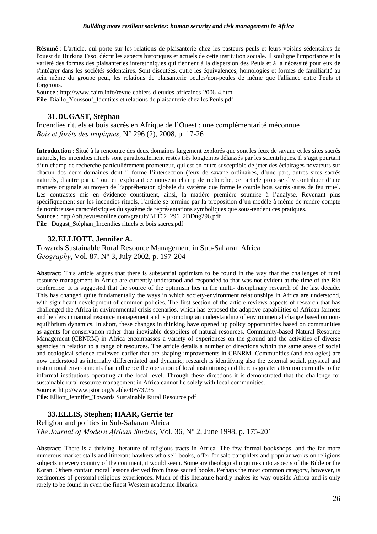**Résumé** : L'article, qui porte sur les relations de plaisanterie chez les pasteurs peuls et leurs voisins sédentaires de l'ouest du Burkina Faso, décrit les aspects historiques et actuels de cette institution sociale. Il souligne l'importance et la variété des formes des plaisanteries interethniques qui tiennent à la dispersion des Peuls et à la nécessité pour eux de s'intégrer dans les sociétés sédentaires. Sont discutées, outre les équivalences, homologies et formes de familiarité au sein même du groupe peul, les relations de plaisanterie peules/non-peules de même que l'alliance entre Peuls et forgerons.

**Source** : http://www.cairn.info/revue-cahiers-d-etudes-africaines-2006-4.htm **File** :Diallo\_Youssouf\_Identites et relations de plaisanterie chez les Peuls.pdf

## **31.DUGAST, Stéphan**

Incendies rituels et bois sacrés en Afrique de l'Ouest : une complémentarité méconnue *Bois et forêts des tropiques*, N° 296 (2), 2008, p. 17-26

**Introduction** : Situé à la rencontre des deux domaines largement explorés que sont les feux de savane et les sites sacrés naturels, les incendies rituels sont paradoxalement restés très longtemps délaissés par les scientifiques. Il s'agit pourtant d'un champ de recherche particulièrement prometteur, qui est en outre susceptible de jeter des éclairages novateurs sur chacun des deux domaines dont il forme l'intersection (feux de savane ordinaires, d'une part, autres sites sacrés naturels, d'autre part). Tout en explorant ce nouveau champ de recherche, cet article propose d'y contribuer d'une manière originale au moyen de l'appréhension globale du système que forme le couple bois sacrés /aires de feu rituel. Les contrastes mis en évidence constituent, ainsi, la matière première soumise à l'analyse. Revenant plus spécifiquement sur les incendies rituels, l'article se termine par la proposition d'un modèle à même de rendre compte de nombreuses caractéristiques du système de représentations symboliques que sous-tendent ces pratiques. **Source** : http://bft.revuesonline.com/gratuit/BFT62\_296\_2DDug296.pdf

**File** : Dugast\_Stéphan\_Incendies rituels et bois sacres.pdf

## **32.ELLIOTT, Jennifer A.**

Towards Sustainable Rural Resource Management in Sub-Saharan Africa *Geography*, Vol. 87, N° 3, July 2002, p. 197-204

**Abstract**: This article argues that there is substantial optimism to be found in the way that the challenges of rural resource management in Africa are currently understood and responded to that was not evident at the time of the Rio conference. It is suggested that the source of the optimism lies in the multi- disciplinary research of the last decade. This has changed quite fundamentally the ways in which society-environment relationships in Africa are understood, with significant development of common policies. The first section of the article reviews aspects of research that has challenged the Africa in environmental crisis scenarios, which has exposed the adaptive capabilities of African farmers and herders in natural resource management and is promoting an understanding of environmental change based on nonequilibrium dynamics. In short, these changes in thinking have opened up policy opportunities based on communities as agents for conservation rather than inevitable despoilers of natural resources. Community-based Natural Resource Management (CBNRM) in Africa encompasses a variety of experiences on the ground and the activities of diverse agencies in relation to a range of resources. The article details a number of directions within the same areas of social and ecological science reviewed earlier that are shaping improvements in CBNRM. Communities (and ecologies) are now understood as internally differentiated and dynamic; research is identifying also the external social, physical and institutional environments that influence the operation of local institutions; and there is greater attention currently to the informal institutions operating at the local level. Through these directions it is demonstrated that the challenge for sustainable rural resource management in Africa cannot lie solely with local communities.

**Source**: http://www.jstor.org/stable/40573735

**File**: Elliott\_Jennifer\_Towards Sustainable Rural Resource.pdf

## **33.ELLIS, Stephen; HAAR, Gerrie ter**

Religion and politics in Sub-Saharan Africa *The Journal of Modern African Studies*, Vol. 36, N° 2, June 1998, p. 175-201

**Abstract**: There is a thriving literature of religious tracts in Africa. The few formal bookshops, and the far more numerous market-stalls and itinerant hawkers who sell books, offer for sale pamphlets and popular works on religious subjects in every country of the continent, it would seem. Some are theological inquiries into aspects of the Bible or the Koran. Others contain moral lessons derived from these sacred books. Perhaps the most common category, however, is testimonies of personal religious experiences. Much of this literature hardly makes its way outside Africa and is only rarely to be found in even the finest Western academic libraries.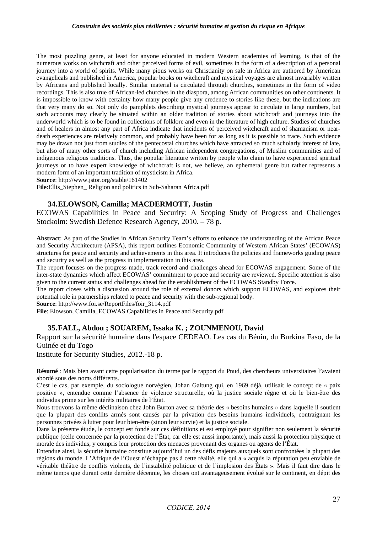#### *Construire des sociétés plus résilientes : sécurité humaine et gestion du risque en Afrique*

The most puzzling genre, at least for anyone educated in modern Western academies of learning, is that of the numerous works on witchcraft and other perceived forms of evil, sometimes in the form of a description of a personal journey into a world of spirits. While many pious works on Christianity on sale in Africa are authored by American evangelicals and published in America, popular books on witchcraft and mystical voyages are almost invariably written by Africans and published locally. Similar material is circulated through churches, sometimes in the form of video recordings. This is also true of African-led churches in the diaspora, among African communities on other continents. It is impossible to know with certainty how many people give any credence to stories like these, but the indications are that very many do so. Not only do pamphlets describing mystical journeys appear to circulate in large numbers, but such accounts may clearly be situated within an older tradition of stories about witchcraft and journeys into the underworld which is to be found in collections of folklore and even in the literature of high culture. Studies of churches and of healers in almost any part of Africa indicate that incidents of perceived witchcraft and of shamanism or neardeath experiences are relatively common, and probably have been for as long as it is possible to trace. Such evidence may be drawn not just from studies of the pentecostal churches which have attracted so much scholarly interest of late, but also of many other sorts of church including African independent congregations, of Muslim communities and of indigenous religious traditions. Thus, the popular literature written by people who claim to have experienced spiritual journeys or to have expert knowledge of witchcraft is not, we believe, an ephemeral genre but rather represents a modern form of an important tradition of mysticism in Africa.

**Source**: http://www.jstor.org/stable/161402

**File**:Ellis\_Stephen\_ Religion and politics in Sub-Saharan Africa.pdf

## **34.ELOWSON, Camilla; MACDERMOTT, Justin**

ECOWAS Capabilities in Peace and Security: A Scoping Study of Progress and Challenges Stockolm: Swedish Defence Research Agency, 2010. – 78 p.

**Abstract**: As part of the Studies in African Security Team's efforts to enhance the understanding of the African Peace and Security Architecture (APSA), this report outlines Economic Community of Western African States' (ECOWAS) structures for peace and security and achievements in this area. It introduces the policies and frameworks guiding peace and security as well as the progress in implementation in this area.

The report focuses on the progress made, track record and challenges ahead for ECOWAS engagement. Some of the inter-state dynamics which affect ECOWAS' commitment to peace and security are reviewed. Specific attention is also given to the current status and challenges ahead for the establishment of the ECOWAS Standby Force.

The report closes with a discussion around the role of external donors which support ECOWAS, and explores their potential role in partnerships related to peace and security with the sub-regional body.

**Source**: http://www.foi.se/ReportFiles/foir\_3114.pdf

**File**: Elowson, Camilla\_ECOWAS Capabilities in Peace and Security.pdf

#### **35.FALL, Abdou ; SOUAREM, Issaka K. ; ZOUNMENOU, David**

Rapport sur la sécurité humaine dans l'espace CEDEAO. Les cas du Bénin, du Burkina Faso, de la Guinée et du Togo

Institute for Security Studies, 2012.-18 p.

**Résumé** : Mais bien avant cette popularisation du terme par le rapport du Pnud, des chercheurs universitaires l'avaient abordé sous des noms différents.

C'est le cas, par exemple, du sociologue norvégien, Johan Galtung qui, en 1969 déjà, utilisait le concept de « paix positive », entendue comme l'absence de violence structurelle, où la justice sociale règne et où le bien-être des individus prime sur les intérêts militaires de l'État.

Nous trouvons la même déclinaison chez John Burton avec sa théorie des « besoins humains » dans laquelle il soutient que la plupart des conflits armés sont causés par la privation des besoins humains individuels, contraignant les personnes privées à lutter pour leur bien-être (sinon leur survie) et la justice sociale.

Dans la présente étude, le concept est fondé sur ces définitions et est employé pour signifier non seulement la sécurité publique (celle concernée par la protection de l'État, car elle est aussi importante), mais aussi la protection physique et morale des individus, y compris leur protection des menaces provenant des organes ou agents de l'État.

Entendue ainsi, la sécurité humaine constitue aujourd'hui un des défis majeurs auxquels sont confrontées la plupart des régions du monde. L'Afrique de l'Ouest n'échappe pas à cette réalité, elle qui a « acquis la réputation peu enviable de véritable théâtre de conflits violents, de l'instabilité politique et de l'implosion des États ». Mais il faut dire dans le même temps que durant cette dernière décennie, les choses ont avantageusement évolué sur le continent, en dépit des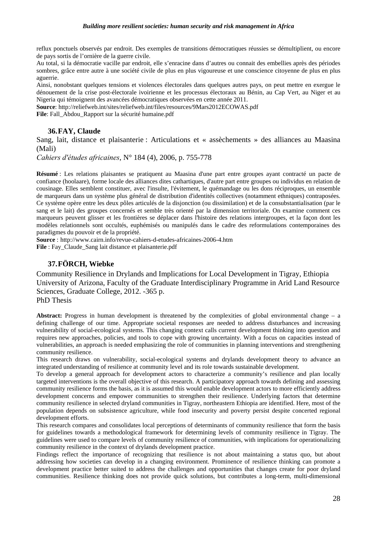reflux ponctuels observés par endroit. Des exemples de transitions démocratiques réussies se démultiplient, ou encore de pays sortis de l'ornière de la guerre civile.

Au total, si la démocratie vacille par endroit, elle s'enracine dans d'autres ou connait des embellies après des périodes sombres, grâce entre autre à une société civile de plus en plus vigoureuse et une conscience citoyenne de plus en plus aguerrie.

Ainsi, nonobstant quelques tensions et violences électorales dans quelques autres pays, on peut mettre en exergue le dénouement de la crise post-électorale ivoirienne et les processus électoraux au Bénin, au Cap Vert, au Niger et au Nigeria qui témoignent des avancées démocratiques observées en cette année 2011.

**Source**: http://reliefweb.int/sites/reliefweb.int/files/resources/9Mars2012ECOWAS.pdf

**File**: Fall\_Abdou\_Rapport sur la sécurité humaine.pdf

## **36.FAY, Claude**

Sang, lait, distance et plaisanterie : Articulations et « assèchements » des alliances au Maasina (Mali)

*Cahiers d'études africaines*, N° 184 (4), 2006, p. 755-778

**Résumé** : Les relations plaisantes se pratiquent au Maasina d'une part entre groupes ayant contracté un pacte de confiance (hoolaare), forme locale des alliances dites cathartiques, d'autre part entre groupes ou individus en relation de cousinage. Elles semblent constituer, avec l'insulte, l'évitement, le quémandage ou les dons réciproques, un ensemble de marqueurs dans un système plus général de distribution d'identités collectives (notamment ethniques) contraposées. Ce système opère entre les deux pôles articulés de la disjonction (ou dissimilation) et de la consubstantialisation (par le sang et le lait) des groupes concernés et semble très orienté par la dimension territoriale. On examine comment ces marqueurs peuvent glisser et les frontières se déplacer dans l'histoire des relations intergroupes, et la façon dont les modèles relationnels sont occultés, euphémisés ou manipulés dans le cadre des reformulations contemporaines des paradigmes du pouvoir et de la propriété.

**Source** : http://www.cairn.info/revue-cahiers-d-etudes-africaines-2006-4.htm **File** : Fay\_Claude\_Sang lait distance et plaisanterie.pdf

# **37.FÖRCH, Wiebke**

Community Resilience in Drylands and Implications for Local Development in Tigray, Ethiopia University of Arizona, Faculty of the Graduate Interdisciplinary Programme in Arid Land Resource Sciences, Graduate College, 2012. -365 p. PhD Thesis

**Abstract:** Progress in human development is threatened by the complexities of global environmental change – a defining challenge of our time. Appropriate societal responses are needed to address disturbances and increasing vulnerability of social-ecological systems. This changing context calls current development thinking into question and requires new approaches, policies, and tools to cope with growing uncertainty. With a focus on capacities instead of vulnerabilities, an approach is needed emphasizing the role of communities in planning interventions and strengthening community resilience.

This research draws on vulnerability, social-ecological systems and drylands development theory to advance an integrated understanding of resilience at community level and its role towards sustainable development.

To develop a general approach for development actors to characterize a community's resilience and plan locally targeted interventions is the overall objective of this research. A participatory approach towards defining and assessing community resilience forms the basis, as it is assumed this would enable development actors to more efficiently address development concerns and empower communities to strengthen their resilience. Underlying factors that determine community resilience in selected dryland communities in Tigray, northeastern Ethiopia are identified. Here, most of the population depends on subsistence agriculture, while food insecurity and poverty persist despite concerted regional development efforts.

This research compares and consolidates local perceptions of determinants of community resilience that form the basis for guidelines towards a methodological framework for determining levels of community resilience in Tigray. The guidelines were used to compare levels of community resilience of communities, with implications for operationalizing community resilience in the context of drylands development practice.

Findings reflect the importance of recognizing that resilience is not about maintaining a status quo, but about addressing how societies can develop in a changing environment. Prominence of resilience thinking can promote a development practice better suited to address the challenges and opportunities that changes create for poor dryland communities. Resilience thinking does not provide quick solutions, but contributes a long-term, multi-dimensional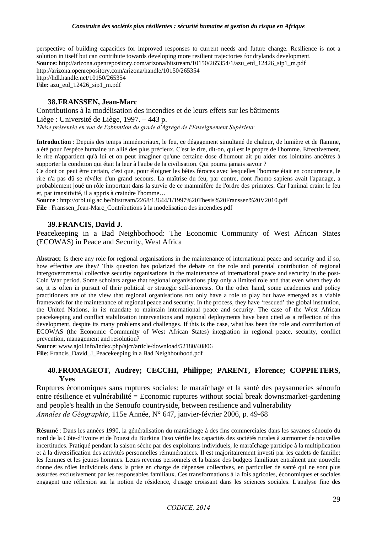perspective of building capacities for improved responses to current needs and future change. Resilience is not a solution in itself but can contribute towards developing more resilient trajectories for drylands development. **Source:** http://arizona.openrepository.com/arizona/bitstream/10150/265354/1/azu\_etd\_12426\_sip1\_m.pdf http://arizona.openrepository.com/arizona/handle/10150/265354 http://hdl.handle.net/10150/265354 File: azu etd 12426 sip1 m.pdf

# **38.FRANSSEN, Jean-Marc**

Contributions à la modélisation des incendies et de leurs effets sur les bâtiments Liège : Université de Liège, 1997. – 443 p. *Thèse présentée en vue de l'obtention du grade d'Agrégé de l'Enseignement Supérieur* 

**Introduction** : Depuis des temps immémoriaux, le feu, ce dégagement simultané de chaleur, de lumière et de flamme, a été pour l'espèce humaine un allié des plus précieux. C'est le rire, dit-on, qui est le propre de l'homme. Effectivement, le rire n'appartient qu'à lui et on peut imaginer qu'une certaine dose d'humour ait pu aider nos lointains ancêtres à supporter la condition qui était la leur à l'aube de la civilisation. Qui pourra jamais savoir ?

Ce dont on peut être certain, c'est que, pour éloigner les bêtes féroces avec lesquelles l'homme était en concurrence, le rire n'a pas dû se révéler d'un grand secours. La maîtrise du feu, par contre, dont l'homo sapiens avait l'apanage, a probablement joué un rôle important dans la survie de ce mammifère de l'ordre des primates. Car l'animal craint le feu et, par transitivité, il a appris à craindre l'homme…

**Source** : http://orbi.ulg.ac.be/bitstream/2268/13644/1/1997%20Thesis%20Franssen%20V2010.pdf **File** : Franssen\_Jean-Marc\_Contributions à la modelisation des incendies.pdf

#### **39.FRANCIS, David J.**

Peacekeeping in a Bad Neighborhood: The Economic Community of West African States (ECOWAS) in Peace and Security, West Africa

**Abstract**: Is there any role for regional organisations in the maintenance of international peace and security and if so, how effective are they? This question has polarized the debate on the role and potential contribution of regional intergovernmental collective security organisations in the maintenance of international peace and security in the post-Cold War period. Some scholars argue that regional organisations play only a limited role and that even when they do so, it is often in pursuit of their political or strategic self-interests. On the other hand, some academics and policy practitioners are of the view that regional organisations not only have a role to play but have emerged as a viable framework for the maintenance of regional peace and security. In the process, they have 'rescued' the global institution, the United Nations, in its mandate to maintain international peace and security. The case of the West African peacekeeping and conflict stabilization interventions and regional deployments have been cited as a reflection of this development, despite its many problems and challenges. If this is the case, what has been the role and contribution of ECOWAS (the Economic Community of West African States) integration in regional peace, security, conflict prevention, management and resolution?

**Source**: www.ajol.info/index.php/ajcr/article/download/52180/40806 **File**: Francis\_David\_J\_Peacekeeping in a Bad Neighbouhood.pdf

# **40.FROMAGEOT, Audrey; CECCHI, Philippe; PARENT, Florence; COPPIETERS, Yves**

Ruptures économiques sans ruptures sociales: le maraîchage et la santé des paysanneries sénoufo entre résilience et vulnérabilité = Economic ruptures without social break downs:market-gardening and people's health in the Senoufo countryside, between resilience and vulnerability *Annales de Géographie*, 115e Année, N° 647, janvier-février 2006, p. 49-68

**Résumé** : Dans les années 1990, la généralisation du maraîchage à des fins commerciales dans les savanes sénoufo du nord de la Côte-d'Ivoire et de l'ouest du Burkina Faso vérifie les capacités des sociétés rurales à surmonter de nouvelles incertitudes. Pratiqué pendant la saison sèche par des exploitants individuels, le maraîchage participe à la multiplication et à la diversification des activités personnelles rémunératrices. Il est majoritairement investi par les cadets de famille: les femmes et les jeunes hommes. Leurs revenus personnels et la baisse des budgets familiaux entraînent une nouvelle donne des rôles individuels dans la prise en charge de dépenses collectives, en particulier de santé qui ne sont plus assurées exclusivement par les responsables familiaux. Ces transformations à la fois agricoles, économiques et sociales engagent une réflexion sur la notion de résidence, d'usage croissant dans les sciences sociales. L'analyse fine des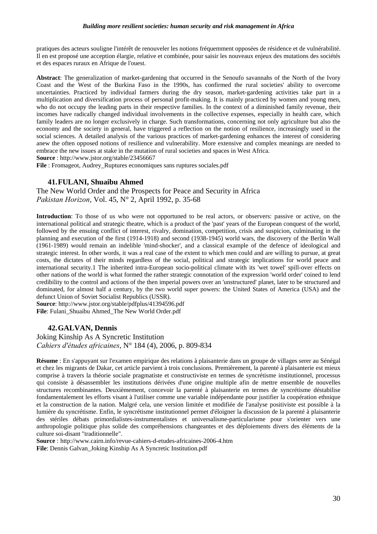pratiques des acteurs souligne l'intérêt de renouveler les notions fréquemment opposées de résidence et de vulnérabilité. Il en est proposé une acception élargie, relative et combinée, pour saisir les nouveaux enjeux des mutations des sociétés et des espaces ruraux en Afrique de l'ouest.

**Abstract**: The generalization of market-gardening that occurred in the Senoufo savannahs of the North of the Ivory Coast and the West of the Burkina Faso in the 1990s, has confirmed the rural societies' ability to overcome uncertainties. Practiced by individual farmers during the dry season, market-gardening activities take part in a multiplication and diversification process of personal profit-making. It is mainly practiced by women and young men, who do not occupy the leading parts in their respective families. In the context of a diminished family revenue, their incomes have radically changed individual involvements in the collective expenses, especially in health care, which family leaders are no longer exclusively in charge. Such transformations, concerning not only agriculture but also the economy and the society in general, have triggered a reflection on the notion of resilience, increasingly used in the social sciences. A detailed analysis of the various practices of market-gardening enhances the interest of considering anew the often opposed notions of resilience and vulnerability. More extensive and complex meanings are needed to embrace the new issues at stake in the mutation of rural societies and spaces in West Africa.

**Source** : http://www.jstor.org/stable/23456667

**File** : Fromageot, Audrey\_Ruptures economiques sans ruptures sociales.pdf

#### **41.FULANI, Shuaibu Ahmed**

The New World Order and the Prospects for Peace and Security in Africa *Pakistan Horizon*, Vol. 45, N° 2, April 1992, p. 35-68

**Introduction**: To those of us who were not opportuned to be real actors, or observers: passive or active, on the international political and strategic theatre, which is a product of the 'past' years of the European conquest of the world, followed by the ensuing conflict of interest, rivalry, domination, competition, crisis and suspicion, culminating in the planning and execution of the first (1914-1918) and second (1938-1945) world wars, the discovery of the Berlin Wall (1961-1989) would remain an indelible 'mind-shocker', and a classical example of the defence of ideological and strategic interest. In other words, it was a real case of the extent to which men could and are willing to pursue, at great costs, the dictates of their minds regardless of the social, political and strategic implications for world peace and international security.1 The inherited intra-European socio-political climate with its 'wet towel' spill-over effects on other nations of the world is what formed the rather strategic connotation of the expression 'world order' coined to lend credibility to the control and actions of the then imperial powers over an 'unstructured' planet, later to be structured and dominated, for almost half a century, by the two world super powers: the United States of America (USA) and the defunct Union of Soviet Socialist Republics (USSR).

**Source**: http://www.jstor.org/stable/pdfplus/41394596.pdf **File**: Fulani\_Shuaibu Ahmed\_The New World Order.pdf

#### **42.GALVAN, Dennis**

# Joking Kinship As A Syncretic Institution *Cahiers d'études africaines*, N° 184 (4), 2006, p. 809-834

**Résume** : En s'appuyant sur l'examen empirique des relations à plaisanterie dans un groupe de villages serer au Sénégal et chez les migrants de Dakar, cet article parvient à trois conclusions. Premièrement, la parenté à plaisanterie est mieux comprise à travers la théorie sociale pragmatiste et constructiviste en termes de syncrétisme institutionnel, processus qui consiste à désassembler les institutions dérivées d'une origine multiple afin de mettre ensemble de nouvelles structures recombinantes. Deuxièmement, concevoir la parenté à plaisanterie en termes de syncrétisme déstabilise fondamentalement les efforts visant à l'utiliser comme une variable indépendante pour justifier la coopération ethnique et la construction de la nation. Malgré cela, une version limitée et modifiée de l'analyse positiviste est possible à la lumière du syncrétisme. Enfin, le syncrétisme institutionnel permet d'éloigner la discussion de la parenté à plaisanterie des stériles débats primordialistes-instrumentalistes et universalisme-particularisme pour s'orienter vers une anthropologie politique plus solide des compréhensions changeantes et des déploiements divers des éléments de la culture soi-disant "traditionnelle".

**Source** : http://www.cairn.info/revue-cahiers-d-etudes-africaines-2006-4.htm **File**: Dennis Galvan\_Joking Kinship As A Syncretic Institution.pdf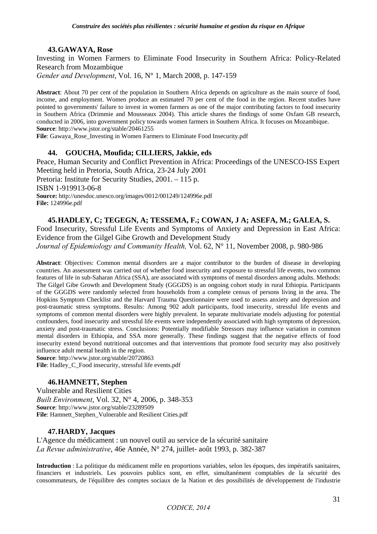## **43.GAWAYA, Rose**

Investing in Women Farmers to Eliminate Food Insecurity in Southern Africa: Policy-Related Research from Mozambique

*Gender and Development*, Vol. 16, N° 1, March 2008, p. 147-159

**Abstract**: About 70 per cent of the population in Southern Africa depends on agriculture as the main source of food, income, and employment. Women produce an estimated 70 per cent of the food in the region. Recent studies have pointed to governments' failure to invest in women farmers as one of the major contributing factors to food insecurity in Southern Africa (Drimmie and Mousseaux 2004). This article shares the findings of some Oxfam GB research, conducted in 2006, into government policy towards women farmers in Southern Africa. It focuses on Mozambique. **Source**: http://www.jstor.org/stable/20461255

**File**: Gawaya\_Rose\_Investing in Women Farmers to Eliminate Food Insecurity.pdf

## **44. GOUCHA, Moufida; CILLIERS, Jakkie, eds**

Peace, Human Security and Conflict Prevention in Africa: Proceedings of the UNESCO-ISS Expert Meeting held in Pretoria, South Africa, 23-24 July 2001 Pretoria: Institute for Security Studies, 2001. – 115 p. ISBN 1-919913-06-8 **Source:** http://unesdoc.unesco.org/images/0012/001249/124996e.pdf **File:** 124996e.pdf

# **45.HADLEY, C; TEGEGN, A; TESSEMA, F.; COWAN, J A; ASEFA, M.; GALEA, S.**

Food Insecurity, Stressful Life Events and Symptoms of Anxiety and Depression in East Africa: Evidence from the Gilgel Gibe Growth and Development Study

*Journal of Epidemiology and Community Health,* Vol. 62, N° 11, November 2008, p. 980-986

**Abstract**: Objectives: Common mental disorders are a major contributor to the burden of disease in developing countries. An assessment was carried out of whether food insecurity and exposure to stressful life events, two common features of life in sub-Saharan Africa (SSA), are associated with symptoms of mental disorders among adults. Methods: The Gilgel Gibe Growth and Development Study (GGGDS) is an ongoing cohort study in rural Ethiopia. Participants of the GGGDS were randomly selected from households from a complete census of persons living in the area. The Hopkins Symptom Checklist and the Harvard Trauma Questionnaire were used to assess anxiety and depression and post-traumatic stress symptoms. Results: Among 902 adult participants, food insecurity, stressful life events and symptoms of common mental disorders were highly prevalent. In separate multivariate models adjusting for potential confounders, food insecurity and stressful life events were independently associated with high symptoms of depression, anxiety and post-traumatic stress. Conclusions: Potentially modifiable Stressors may influence variation in common mental disorders in Ethiopia, and SSA more generally. These findings suggest that the negative effects of food insecurity extend beyond nutritional outcomes and that interventions that promote food security may also positively influence adult mental health in the region.

**Source**: http://www.jstor.org/stable/20720863 File: Hadley C\_Food insecurity, stressful life events.pdf

# **46.HAMNETT, Stephen**

Vulnerable and Resilient Cities *Built Environment*, Vol. 32, N° 4, 2006, p. 348-353 **Source**: http://www.jstor.org/stable/23289509 **File**: Hamnett\_Stephen\_Vulnerable and Resilient Cities.pdf

## **47.HARDY, Jacques**

L'Agence du médicament : un nouvel outil au service de la sécurité sanitaire *La Revue administrative*, 46e Année, N° 274, juillet- août 1993, p. 382-387

**Introduction** : La politique du médicament mêle en proportions variables, selon les époques, des impératifs sanitaires, financiers et industriels. Les pouvoirs publics sont, en effet, simultanément comptables de la sécurité des consommateurs, de l'équilibre des comptes sociaux de la Nation et des possibilités de développement de l'industrie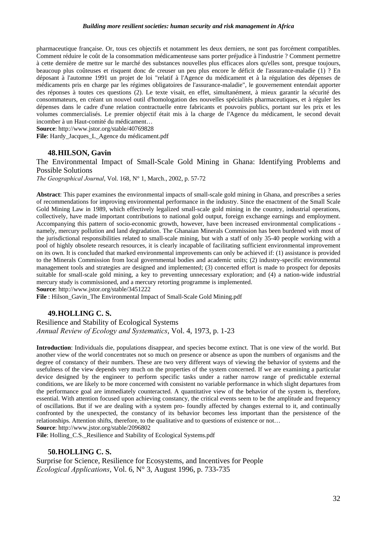#### *Building more resilient societies: human security and risk management in Africa*

pharmaceutique française. Or, tous ces objectifs et notamment les deux derniers, ne sont pas forcément compatibles. Comment réduire le coût de la consommation médicamenteuse sans porter préjudice à l'industrie ? Comment permettre à cette dernière de mettre sur le marché des substances nouvelles plus efficaces alors qu'elles sont, presque toujours, beaucoup plus coûteuses et risquent donc de creuser un peu plus encore le déficit de l'assurance-maladie (1) ? En déposant à l'automne 1991 un projet de loi "relatif à l'Agence du médicament et à la régulation des dépenses de médicaments pris en charge par les régimes obligatoires de l'assurance-maladie", le gouvernement entendait apporter des réponses à toutes ces questions (2). Le texte visait, en effet, simultanément, à mieux garantir la sécurité des consommateurs, en créant un nouvel outil d'homologation des nouvelles spécialités pharmaceutiques, et à réguler les dépenses dans le cadre d'une relation contractuelle entre fabricants et pouvoirs publics, portant sur les prix et les volumes commercialisés. Le premier objectif était mis à la charge de l'Agence du médicament, le second devait incomber à un Haut-comité du médicament…

**Source**: http://www.jstor.org/stable/40769828

**File**: Hardy\_Jacques\_L\_Agence du médicament.pdf

## **48.HILSON, Gavin**

The Environmental Impact of Small-Scale Gold Mining in Ghana: Identifying Problems and Possible Solutions

*The Geographical Journal*, Vol. 168, N° 1, March., 2002, p. 57-72

**Abstract**: This paper examines the environmental impacts of small-scale gold mining in Ghana, and prescribes a series of recommendations for improving environmental performance in the industry. Since the enactment of the Small Scale Gold Mining Law in 1989, which effectively legalized small-scale gold mining in the country, industrial operations, collectively, have made important contributions to national gold output, foreign exchange earnings and employment. Accompanying this pattern of socio-economic growth, however, have been increased environmental complications namely, mercury pollution and land degradation. The Ghanaian Minerals Commission has been burdened with most of the jurisdictional responsibilities related to small-scale mining, but with a staff of only 35-40 people working with a pool of highly obsolete research resources, it is clearly incapable of facilitating sufficient environmental improvement on its own. It is concluded that marked environmental improvements can only be achieved if: (1) assistance is provided to the Minerals Commission from local governmental bodies and academic units; (2) industry-specific environmental management tools and strategies are designed and implemented; (3) concerted effort is made to prospect for deposits suitable for small-scale gold mining, a key to preventing unnecessary exploration; and (4) a nation-wide industrial mercury study is commissioned, and a mercury retorting programme is implemented.

**Source**: http://www.jstor.org/stable/3451222

**File** : Hilson\_Gavin\_The Environmental Impact of Small-Scale Gold Mining.pdf

## **49.HOLLING C. S.**

Resilience and Stability of Ecological Systems *Annual Review of Ecology and Systematics*, Vol. 4, 1973, p. 1-23

**Introduction**: Individuals die, populations disappear, and species become extinct. That is one view of the world. But another view of the world concentrates not so much on presence or absence as upon the numbers of organisms and the degree of constancy of their numbers. These are two very different ways of viewing the behavior of systems and the usefulness of the view depends very much on the properties of the system concerned. If we are examining a particular device designed by the engineer to perform specific tasks under a rather narrow range of predictable external conditions, we are likely to be more concerned with consistent no variable performance in which slight departures from the performance goal are immediately counteracted. A quantitative view of the behavior of the system is, therefore, essential. With attention focused upon achieving constancy, the critical events seem to be the amplitude and frequency of oscillations. But if we are dealing with a system pro- foundly affected by changes external to it, and continually confronted by the unexpected, the constancy of its behavior becomes less important than the persistence of the relationships. Attention shifts, therefore, to the qualitative and to questions of existence or not… **Source**: http://www.jstor.org/stable/2096802

File: Holling C.S. Resilience and Stability of Ecological Systems.pdf

# **50.HOLLING C. S.**

Surprise for Science, Resilience for Ecosystems, and Incentives for People *Ecological Applications*, Vol. 6, N° 3, August 1996, p. 733-735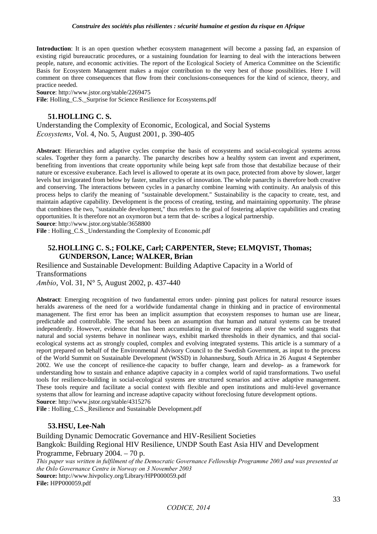#### *Construire des sociétés plus résilientes : sécurité humaine et gestion du risque en Afrique*

**Introduction**: It is an open question whether ecosystem management will become a passing fad, an expansion of existing rigid bureaucratic procedures, or a sustaining foundation for learning to deal with the interactions between people, nature, and economic activities. The report of the Ecological Society of America Committee on the Scientific Basis for Ecosystem Management makes a major contribution to the very best of those possibilities. Here I will comment on three consequences that flow from their conclusions-consequences for the kind of science, theory, and practice needed.

**Source**: http://www.jstor.org/stable/2269475

**File**: Holling\_C.S.\_Surprise for Science Resilience for Ecosystems.pdf

## **51.HOLLING C. S.**

Understanding the Complexity of Economic, Ecological, and Social Systems *Ecosystems*, Vol. 4, No. 5, August 2001, p. 390-405

**Abstract**: Hierarchies and adaptive cycles comprise the basis of ecosystems and social-ecological systems across scales. Together they form a panarchy. The panarchy describes how a healthy system can invent and experiment, benefiting from inventions that create opportunity while being kept safe from those that destabilize because of their nature or excessive exuberance. Each level is allowed to operate at its own pace, protected from above by slower, larger levels but invigorated from below by faster, smaller cycles of innovation. The whole panarchy is therefore both creative and conserving. The interactions between cycles in a panarchy combine learning with continuity. An analysis of this process helps to clarify the meaning of "sustainable development." Sustainability is the capacity to create, test, and maintain adaptive capability. Development is the process of creating, testing, and maintaining opportunity. The phrase that combines the two, "sustainable development," thus refers to the goal of fostering adaptive capabilities and creating opportunities. It is therefore not an oxymoron but a term that de- scribes a logical partnership.

**Source**: http://www.jstor.org/stable/3658800

**File** : Holling\_C.S.\_Understanding the Complexity of Economic.pdf

## **52.HOLLING C. S.; FOLKE, Carl; CARPENTER, Steve; ELMQVIST, Thomas; GUNDERSON, Lance; WALKER, Brian**

Resilience and Sustainable Development: Building Adaptive Capacity in a World of Transformations

*Ambio*, Vol. 31, N° 5, August 2002, p. 437-440

**Abstract**: Emerging recognition of two fundamental errors under- pinning past polices for natural resource issues heralds awareness of the need for a worldwide fundamental change in thinking and in practice of environmental management. The first error has been an implicit assumption that ecosystem responses to human use are linear, predictable and controllable. The second has been an assumption that human and natural systems can be treated independently. However, evidence that has been accumulating in diverse regions all over the world suggests that natural and social systems behave in nonlinear ways, exhibit marked thresholds in their dynamics, and thai socialecological systems act as strongly coupled, complex and evolving integrated systems. This article is a summary of a report prepared on behalf of the Environmental Advisory Council to the Swedish Government, as input to the process of the World Summit on Sustainable Development (WSSD) in Johannesburg, South Africa in 26 August 4 September 2002. We use the concept of resilience-the capacity to buffer change, learn and develop- as a framework for understanding how to sustain and enhance adaptive capacity in a complex world of rapid transformations. Two useful tools for resilience-building in social-ecological systems are structured scenarios and active adaptive management. These tools require and facilitate a social context with flexible and open institutions and multi-level governance systems that allow for learning and increase adaptive capacity without foreclosing future development options. **Source**: http://www.jstor.org/stable/4315276

File : Holling C.S. Resilience and Sustainable Development.pdf

# **53.HSU, Lee-Nah**

Building Dynamic Democratic Governance and HIV-Resilient Societies Bangkok: Building Regional HIV Resilience, UNDP South East Asia HIV and Development Programme, February 2004. – 70 p. *This paper was written in fulfilment of the Democratic Governance Fellowship Programme 2003 and was presented at the Oslo Governance Centre in Norway on 3 November 2003*  **Source:** http://www.hivpolicy.org/Library/HPP000059.pdf

**File:** HPP000059.pdf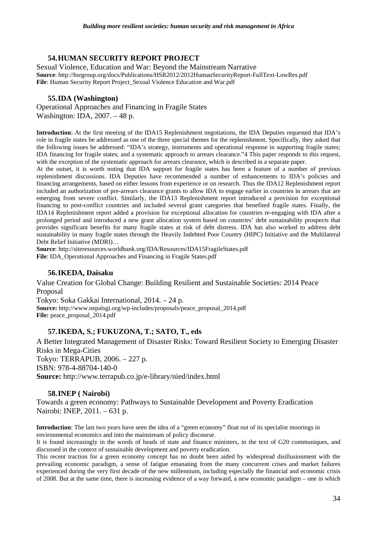## **54.HUMAN SECURITY REPORT PROJECT**

Sexual Violence, Education and War: Beyond the Mainstream Narrative **Source**: http://hsrgroup.org/docs/Publications/HSR2012/2012HumanSecurityReport-FullText-LowRes.pdf **File**: Human Security Report Project\_Sexual Violence Education and War.pdf

## **55.IDA (Washington)**

Operational Approaches and Financing in Fragile States Washington: IDA, 2007. – 48 p.

**Introduction**: At the first meeting of the IDA15 Replenishment negotiations, the IDA Deputies requested that IDA's role in fragile states be addressed as one of the three special themes for the replenishment. Specifically, they asked that the following issues be addressed: "IDA's strategy, instruments and operational response in supporting fragile states; IDA financing for fragile states; and a systematic approach to arrears clearance."4 This paper responds to this request, with the exception of the systematic approach for arrears clearance, which is described in a separate paper.

At the outset, it is worth noting that IDA support for fragile states has been a feature of a number of previous replenishment discussions. IDA Deputies have recommended a number of enhancements to IDA's policies and financing arrangements, based on either lessons from experience or on research. Thus the IDA12 Replenishment report included an authorization of pre-arrears clearance grants to allow IDA to engage earlier in countries in arrears that are emerging from severe conflict. Similarly, the IDA13 Replenishment report introduced a provision for exceptional financing to post-conflict countries and included several grant categories that benefited fragile states. Finally, the IDA14 Replenishment report added a provision for exceptional allocation for countries re-engaging with IDA after a prolonged period and introduced a new grant allocation system based on countries' debt sustainability prospects that provides significant benefits for many fragile states at risk of debt distress. IDA has also worked to address debt sustainability in many fragile states through the Heavily Indebted Poor Country (HIPC) Initiative and the Multilateral Debt Relief Initiative (MDRI)…

**Source**: http://siteresources.worldbank.org/IDA/Resources/IDA15FragileStates.pdf **File**: IDA\_Operational Approaches and Financing in Fragile States.pdf

## **56.IKEDA, Daisaku**

Value Creation for Global Change: Building Resilient and Sustainable Societies: 2014 Peace Proposal

Tokyo: Soka Gakkai International, 2014. – 24 p. **Source:** http://www.nepalsgi.org/wp-includes/proposals/peace\_proposal\_2014.pdf **File:** peace\_proposal\_2014.pdf

# **57.IKEDA, S.; FUKUZONA, T.; SATO, T., eds**

A Better Integrated Management of Disaster Risks: Toward Resilient Society to Emerging Disaster Risks in Mega-Cities Tokyo: TERRAPUB, 2006. – 227 p. ISBN: 978-4-88704-140-0 **Source:** http://www.terrapub.co.jp/e-library/nied/index.html

## **58.INEP ( Nairobi)**

Towards a green economy: Pathways to Sustainable Development and Poverty Eradication Nairobi: INEP, 2011. – 631 p.

**Introduction**: The last two years have seen the idea of a "green economy" float out of its specialist moorings in environmental economics and into the mainstream of policy discourse.

It is found increasingly in the words of heads of state and finance ministers, in the text of G20 communiques, and discussed in the context of sustainable development and poverty eradication.

This recent traction for a green economy concept has no doubt been aided by widespread disillusionment with the prevailing economic paradigm, a sense of fatigue emanating from the many concurrent crises and market failures experienced during the very first decade of the new millennium, including especially the financial and economic crisis of 2008. But at the same time, there is increasing evidence of a way forward, a new economic paradigm – one in which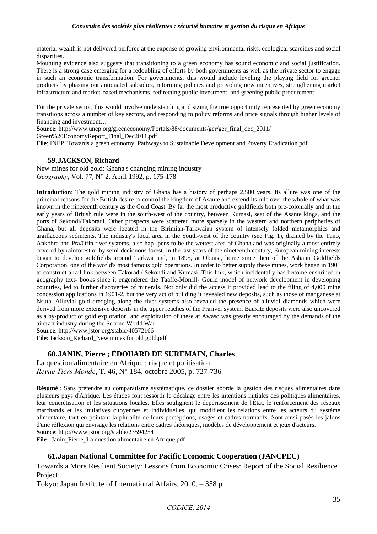material wealth is not delivered perforce at the expense of growing environmental risks, ecological scarcities and social disparities.

Mounting evidence also suggests that transitioning to a green economy has sound economic and social justification. There is a strong case emerging for a redoubling of efforts by both governments as well as the private sector to engage in such an economic transformation. For governments, this would include leveling the playing field for greener products by phasing out antiquated subsidies, reforming policies and providing new incentives, strengthening market infrastructure and market-based mechanisms, redirecting public investment, and greening public procurement.

For the private sector, this would involve understanding and sizing the true opportunity represented by green economy transitions across a number of key sectors, and responding to policy reforms and price signals through higher levels of financing and investment…

**Source**: http://www.unep.org/greeneconomy/Portals/88/documents/ger/ger\_final\_dec\_2011/

Green%20EconomyReport\_Final\_Dec2011.pdf

File: INEP Towards a green economy: Pathways to Sustainable Development and Poverty Eradication.pdf

#### **59.JACKSON, Richard**

New mines for old gold: Ghana's changing mining industry *Geography*, Vol. 77, N° 2, April 1992, p. 175-178

**Introduction**: The gold mining industry of Ghana has a history of perhaps 2,500 years. Its allure was one of the principal reasons for the British desire to control the kingdom of Asante and extend its rule over the whole of what was known in the nineteenth century as the Gold Coast. By far the most productive goldfields both pre-colonially and in the early years of British rule were in the south-west of the country, between Kumasi, seat of the Asante kings, and the ports of Sekondi/Takoradi. Other prospects were scattered more sparsely in the western and northern peripheries of Ghana, but all deposits were located in the Birimian-Tarkwaian system of intensely folded metamorphics and argillaceous sediments. The industry's focal area in the South-west of the country (see Fig. 1), drained by the Tano, Ankobra and Pra/Ofin river systems, also hap- pens to be the wettest area of Ghana and was originally almost entirely covered by rainforest or by semi-deciduous forest. In the last years of the nineteenth century, European mining interests began to develop goldfields around Tarkwa and, in 1895, at Obuasi, home since then of the Ashanti Goldfields Corporation, one of the world's most famous gold operations. In order to better supply these mines, work began in 1901 to construct a rail link between Takoradi/ Sekondi and Kumasi. This link, which incidentally has become enshrined in geography text- books since it engendered the Taaffe-Morrill- Gould model of network development in developing countries, led to further discoveries of minerals. Not only did the access it provided lead to the filing of 4,000 mine concession applications in 1901-2, but the very act of building it revealed new deposits, such as those of manganese at Nsuta. Alluvial gold dredging along the river systems also revealed the presence of alluvial diamonds which were derived from more extensive deposits in the upper reaches of the Prariver system. Bauxite deposits were also uncovered as a by-product of gold exploration, and exploitation of these at Awaso was greatly encouraged by the demands of the aircraft industry during the Second World War. **Source**: http://www.jstor.org/stable/40572166

**File**: Jackson\_Richard\_New mines for old gold.pdf

## **60.JANIN, Pierre ; ÉDOUARD DE SUREMAIN, Charles**

La question alimentaire en Afrique : risque et politisation *Revue Tiers Monde*, T. 46, N° 184, octobre 2005, p. 727-736

**Résumé** : Sans prétendre au comparatisme systématique, ce dossier aborde la gestion des risques alimentaires dans plusieurs pays d'Afrique. Les études font ressortir le décalage entre les intentions initiales des politiques alimentaires, leur concrétisation et les situations locales. Elles soulignent le dépérissement de l'État, le renforcement des réseaux marchands et les initiatives citoyennes et individuelles, qui modifient les relations entre les acteurs du système alimentaire, tout en pointant la pluralité de leurs perceptions, usages et cadres normatifs. Sont ainsi posés les jalons d'une réflexion qui envisage les relations entre cadres théoriques, modèles de développement et jeux d'acteurs. **Source**: http://www.jstor.org/stable/23594254

**File** : Janin\_Pierre\_La question alimentaire en Afrique.pdf

#### **61.Japan National Committee for Pacific Economic Cooperation (JANCPEC)**

Towards a More Resilient Society: Lessons from Economic Crises: Report of the Social Resilience Project

Tokyo: Japan Institute of International Affairs, 2010. – 358 p.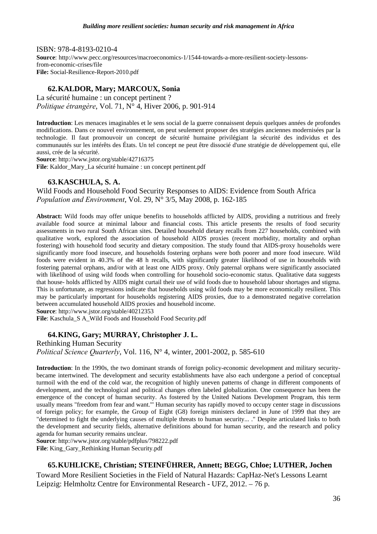ISBN: 978-4-8193-0210-4 **Source**: http://www.pecc.org/resources/macroeconomics-1/1544-towards-a-more-resilient-society-lessonsfrom-economic-crises/file **File:** Social-Resilience-Report-2010.pdf

# **62.KALDOR, Mary; MARCOUX, Sonia**

La sécurité humaine : un concept pertinent ? *Politique étrangère*, Vol. 71, N° 4, Hiver 2006, p. 901-914

**Introduction**: Les menaces imaginables et le sens social de la guerre connaissent depuis quelques années de profondes modifications. Dans ce nouvel environnement, on peut seulement proposer des stratégies anciennes modernisées par la technologie. Il faut promouvoir un concept de sécurité humaine privilégiant la sécurité des individus et des communautés sur les intérêts des États. Un tel concept ne peut être dissocié d'une stratégie de développement qui, elle aussi, crée de la sécurité.

**Source**: http://www.jstor.org/stable/42716375

**File**: Kaldor\_Mary\_La sécurité humaine : un concept pertinent.pdf

#### **63.KASCHULA, S. A.**

Wild Foods and Household Food Security Responses to AIDS: Evidence from South Africa *Population and Environment*, Vol. 29, N° 3/5, May 2008, p. 162-185

**Abstract:** Wild foods may offer unique benefits to households afflicted by AIDS, providing a nutritious and freely available food source at minimal labour and financial costs. This article presents the results of food security assessments in two rural South African sites. Detailed household dietary recalls from 227 households, combined with qualitative work, explored the association of household AIDS proxies (recent morbidity, mortality and orphan fostering) with household food security and dietary composition. The study found that AIDS-proxy households were significantly more food insecure, and households fostering orphans were both poorer and more food insecure. Wild foods were evident in 40.3% of the 48 h recalls, with significantly greater likelihood of use in households with fostering paternal orphans, and/or with at least one AIDS proxy. Only paternal orphans were significantly associated with likelihood of using wild foods when controlling for household socio-economic status. Qualitative data suggests that house- holds afflicted by AIDS might curtail their use of wild foods due to household labour shortages and stigma. This is unfortunate, as regressions indicate that households using wild foods may be more economically resilient. This may be particularly important for households registering AIDS proxies, due to a demonstrated negative correlation between accumulated household AIDS proxies and household income.

**Source**: http://www.jstor.org/stable/40212353

**File**: Kaschula\_S A\_Wild Foods and Household Food Security.pdf

#### **64.KING, Gary; MURRAY, Christopher J. L.**

Rethinking Human Security

*Political Science Quarterly*, Vol. 116, N° 4, winter, 2001-2002, p. 585-610

**Introduction**: In the 1990s, the two dominant strands of foreign policy-economic development and military securitybecame intertwined. The development and security establishments have also each undergone a period of conceptual turmoil with the end of the cold war, the recognition of highly uneven patterns of change in different components of development, and the technological and political changes often labeled globalization. One consequence has been the emergence of the concept of human security. As fostered by the United Nations Development Program, this term usually means "freedom from fear and want."' Human security has rapidly moved to occupy center stage in discussions of foreign policy; for example, the Group of Eight (G8) foreign ministers declared in June of 1999 that they are "determined to fight the underlying causes of multiple threats to human security... ." Despite articulated links to both the development and security fields, alternative definitions abound for human security, and the research and policy agenda for human security remains unclear.

**Source**: http://www.jstor.org/stable/pdfplus/798222.pdf **File**: King\_Gary\_Rethinking Human Security.pdf

## **65.KUHLICKE, Christian; STEINFÜHRER, Annett; BEGG, Chloe; LUTHER, Jochen**

Toward More Resilient Societies in the Field of Natural Hazards: CapHaz-Net's Lessons Learnt Leipzig: Helmholtz Centre for Environmental Research - UFZ, 2012. – 76 p.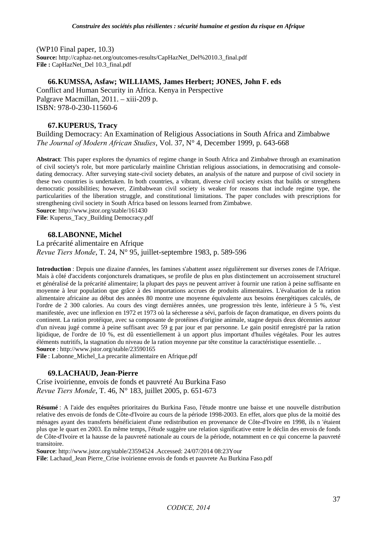(WP10 Final paper, 10.3) **Source:** http://caphaz-net.org/outcomes-results/CapHazNet\_Del%2010.3\_final.pdf **File :** CapHazNet\_Del 10.3\_final.pdf

## **66.KUMSSA, Asfaw; WILLIAMS, James Herbert; JONES, John F. eds**

Conflict and Human Security in Africa. Kenya in Perspective Palgrave Macmillan, 2011. – xiii-209 p. ISBN: 978-0-230-11560-6

## **67.KUPERUS, Tracy**

Building Democracy: An Examination of Religious Associations in South Africa and Zimbabwe *The Journal of Modern African Studies*, Vol. 37, N° 4, December 1999, p. 643-668

**Abstract**: This paper explores the dynamics of regime change in South Africa and Zimbabwe through an examination of civil society's role, but more particularly mainline Christian religious associations, in democratising and consoledating democracy. After surveying state-civil society debates, an analysis of the nature and purpose of civil society in these two countries is undertaken. In both countries, a vibrant, diverse civil society exists that builds or strengthens democratic possibilities; however, Zimbabwean civil society is weaker for reasons that include regime type, the particularities of the liberation struggle, and constitutional limitations. The paper concludes with prescriptions for strengthening civil society in South Africa based on lessons learned from Zimbabwe.

**Source**: http://www.jstor.org/stable/161430

**File**: Kuperus\_Tacy\_Building Democracy.pdf

#### **68.LABONNE, Michel**

La précarité alimentaire en Afrique *Revue Tiers Monde*, T. 24, N° 95, juillet-septembre 1983, p. 589-596

**Introduction** : Depuis une dizaine d'années, les famines s'abattent assez régulièrement sur diverses zones de l'Afrique. Mais à côté d'accidents conjoncturels dramatiques, se profile de plus en plus distinctement un accroissement structurel et généralisé de la précarité alimentaire; la plupart des pays ne peuvent arriver à fournir une ration à peine suffisante en moyenne à leur population que grâce à des importations accrues de produits alimentaires. L'évaluation de la ration alimentaire africaine au début des années 80 montre une moyenne équivalente aux besoins énergétiques calculés, de l'ordre de 2 300 calories. Au cours des vingt dernières années, une progression très lente, inférieure à 5 %, s'est manifestée, avec une inflexion en 1972 et 1973 où la sécheresse a sévi, parfois de façon dramatique, en divers points du continent. La ration protéique, avec sa composante de protéines d'origine animale, stagne depuis deux décennies autour d'un niveau jugé comme à peine suffisant avec 59 g par jour et par personne. Le gain positif enregistré par la ration lipidique, de l'ordre de 10 %, est dû essentiellement à un apport plus important d'huiles végétales. Pour les autres éléments nutritifs, la stagnation du niveau de la ration moyenne par tête constitue la caractéristique essentielle. .. **Source** : http://www.jstor.org/stable/23590165

**File** : Labonne\_Michel\_La precarite alimentaire en Afrique.pdf

## **69.LACHAUD, Jean-Pierre**

Crise ivoirienne, envois de fonds et pauvreté Au Burkina Faso *Revue Tiers Monde*, T. 46, N° 183, juillet 2005, p. 651-673

**Résumé** : A l'aide des enquêtes prioritaires du Burkina Faso, l'étude montre une baisse et une nouvelle distribution relative des envois de fonds de Côte-d'Ivoire au cours de la période 1998-2003. En effet, alors que plus de la moitié des ménages ayant des transferts bénéficiaient d'une redistribution en provenance de Côte-d'Ivoire en 1998, ils n 'étaient plus que le quart en 2003. En même temps, l'étude suggère une relation significative entre le déclin des envois de fonds de Côte-d'Ivoire et la hausse de la pauvreté nationale au cours de la période, notamment en ce qui concerne la pauvreté transitoire.

**Source**: http://www.jstor.org/stable/23594524 .Accessed: 24/07/2014 08:23Your

**File**: Lachaud\_Jean Pierre\_Crise ivoirienne envois de fonds et pauvrete Au Burkina Faso.pdf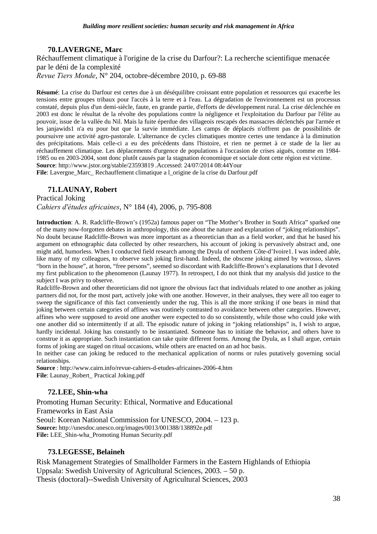# **70.LAVERGNE, Marc**

Réchauffement climatique à l'origine de la crise du Darfour?: La recherche scientifique menacée par le déni de la complexité *Revue Tiers Monde*, N° 204, octobre-décembre 2010, p. 69-88

**Résumé**: La crise du Darfour est certes due à un déséquilibre croissant entre population et ressources qui exacerbe les tensions entre groupes tribaux pour l'accès à la terre et à l'eau. La dégradation de l'environnement est un processus constaté, depuis plus d'un demi-siècle, faute, en grande partie, d'efforts de développement rural. La crise déclenchée en 2003 est donc le résultat de la révolte des populations contre la négligence et l'exploitation du Darfour par l'élite au pouvoir, issue de la vallée du Nil. Mais la fuite éperdue des villageois rescapés des massacres déclenchés par l'armée et les janjawids1 n'a eu pour but que la survie immédiate. Les camps de déplacés n'offrent pas de possibilités de poursuivre une activité agro-pastorale. L'alternance de cycles climatiques montre certes une tendance à la diminution des précipitations. Mais celle-ci a eu des précédents dans l'histoire, et rien ne permet à ce stade de la lier au réchauffement climatique. Les déplacements d'urgence de populations à l'occasion de crises aiguës, comme en 1984- 1985 ou en 2003-2004, sont donc plutôt causés par la stagnation économique et sociale dont cette région est victime. **Source**: http://www.jstor.org/stable/23593819 .Accessed: 24/07/2014 08:44Your

**File**: Lavergne Marc Rechauffement climatique a l origine de la crise du Darfour.pdf

# **71.LAUNAY, Robert**

Practical Joking *Cahiers d'études africaines*, N° 184 (4), 2006, p. 795-808

**Introduction**: A. R. Radcliffe-Brown's (1952a) famous paper on "The Mother's Brother in South Africa" sparked one of the many now-forgotten debates in anthropology, this one about the nature and explanation of "joking relationships". No doubt because Radcliffe-Brown was more important as a theoretician than as a field worker, and that he based his argument on ethnographic data collected by other researchers, his account of joking is pervasively abstract and, one might add, humorless. When I conducted field research among the Dyula of northern Côte-d'Ivoire1. I was indeed able, like many of my colleagues, to observe such joking first-hand. Indeed, the obscene joking aimed by worosso, slaves "born in the house", at horon, "free persons", seemed so discordant with Radcliffe-Brown's explanations that I devoted my first publication to the phenomenon (Launay 1977). In retrospect, I do not think that my analysis did justice to the subject I was privy to observe.

Radcliffe-Brown and other theoreticians did not ignore the obvious fact that individuals related to one another as joking partners did not, for the most part, actively joke with one another. However, in their analyses, they were all too eager to sweep the significance of this fact conveniently under the rug. This is all the more striking if one bears in mind that joking between certain categories of affines was routinely contrasted to avoidance between other categories. However, affines who were supposed to avoid one another were expected to do so consistently, while those who could joke with one another did so intermittently if at all. The episodic nature of joking in "joking relationships" is, I wish to argue, hardly incidental. Joking has constantly to be instantiated. Someone has to initiate the behavior, and others have to construe it as appropriate. Such instantiation can take quite different forms. Among the Dyula, as I shall argue, certain forms of joking are staged on ritual occasions, while others are enacted on an ad hoc basis.

In neither case can joking be reduced to the mechanical application of norms or rules putatively governing social relationships.

**Source** : http://www.cairn.info/revue-cahiers-d-etudes-africaines-2006-4.htm **File**: Launay\_Robert\_ Practical Joking.pdf

# **72.LEE, Shin-wha**

Promoting Human Security: Ethical, Normative and Educational Frameworks in East Asia Seoul: Korean National Commission for UNESCO, 2004. – 123 p. **Source:** http://unesdoc.unesco.org/images/0013/001388/138892e.pdf **File:** LEE\_Shin-wha\_Promoting Human Security.pdf

# **73.LEGESSE, Belaineh**

Risk Management Strategies of Smallholder Farmers in the Eastern Highlands of Ethiopia Uppsala: Swedish University of Agricultural Sciences, 2003. – 50 p. Thesis (doctoral)--Swedish University of Agricultural Sciences, 2003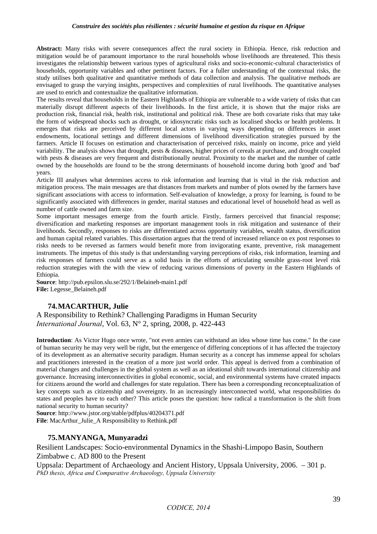#### *Construire des sociétés plus résilientes : sécurité humaine et gestion du risque en Afrique*

**Abstract:** Many risks with severe consequences affect the rural society in Ethiopia. Hence, risk reduction and mitigation would be of paramount importance to the rural households whose livelihoods are threatened. This thesis investigates the relationship between various types of agricultural risks and socio-economic-cultural characteristics of households, opportunity variables and other pertinent factors. For a fuller understanding of the contextual risks, the study utilises both qualitative and quantitative methods of data collection and analysis. The qualitative methods are envisaged to grasp the varying insights, perspectives and complexities of rural livelihoods. The quantitative analyses are used to enrich and contextualize the qualitative information.

The results reveal that households in the Eastern Highlands of Ethiopia are vulnerable to a wide variety of risks that can materially disrupt different aspects of their livelihoods. In the first article, it is shown that the major risks are production risk, financial risk, health risk, institutional and political risk. These are both covariate risks that may take the form of widespread shocks such as drought, or idiosyncratic risks such as localised shocks or health problems. It emerges that risks are perceived by different local actors in varying ways depending on differences in asset endowments, locational settings and different dimensions of livelihood diversification strategies pursued by the farmers. Article II focuses on estimation and characterisation of perceived risks, mainly on income, price and yield variability. The analysis shows that drought, pests & diseases, higher prices of cereals at purchase, and drought coupled with pests & diseases are very frequent and distributionally neutral. Proximity to the market and the number of cattle owned by the households are found to be the strong determinants of household income during both 'good' and 'bad' years.

Article III analyses what determines access to risk information and learning that is vital in the risk reduction and mitigation process. The main messages are that distances from markets and number of plots owned by the farmers have significant associations with access to information. Self-evaluation of knowledge, a proxy for learning, is found to be significantly associated with differences in gender, marital statuses and educational level of household head as well as number of cattle owned and farm size.

Some important messages emerge from the fourth article. Firstly, farmers perceived that financial response; diversification and marketing responses are important management tools in risk mitigation and sustenance of their livelihoods. Secondly, responses to risks are differentiated across opportunity variables, wealth status, diversification and human capital related variables. This dissertation argues that the trend of increased reliance on ex post responses to risks needs to be reversed as farmers would benefit more from invigorating exante, preventive, risk management instruments. The impetus of this study is that understanding varying perceptions of risks, risk information, learning and risk responses of farmers could serve as a solid basis in the efforts of articulating sensible grass-root level risk reduction strategies with the with the view of reducing various dimensions of poverty in the Eastern Highlands of Ethiopia.

**Source**: http://pub.epsilon.slu.se/292/1/Belaineh-main1.pdf **File:** Legesse\_Belaineh.pdf

## **74.MACARTHUR, Julie**

A Responsibility to Rethink? Challenging Paradigms in Human Security *International Journal*, Vol. 63, N° 2, spring, 2008, p. 422-443

**Introduction**: As Victor Hugo once wrote, "not even armies can withstand an idea whose time has come." In the case of human security he may very well be right, but the emergence of differing conceptions of it has affected the trajectory of its development as an alternative security paradigm. Human security as a concept has immense appeal for scholars and practitioners interested in the creation of a more just world order. This appeal is derived from a combination of material changes and challenges in the global system as well as an ideational shift towards international citizenship and governance. Increasing interconnectivities in global economic, social, and environmental systems have created impacts for citizens around the world and challenges for state regulation. There has been a corresponding reconceptualization of key concepts such as citizenship and sovereignty. In an increasingly interconnected world, what responsibilities do states and peoples have to each other? This article poses the question: how radical a transformation is the shift from national security to human security?

**Source**: http://www.jstor.org/stable/pdfplus/40204371.pdf **File**: MacArthur\_Julie\_A Responsibility to Rethink.pdf

# **75.MANYANGA, Munyaradzi**

Resilient Landscapes: Socio-environmental Dynamics in the Shashi-Limpopo Basin, Southern Zimbabwe c. AD 800 to the Present

Uppsala: Department of Archaeology and Ancient History, Uppsala University, 2006. – 301 p. *PhD thesis, Africa and Comparative Archaeology, Uppsala University*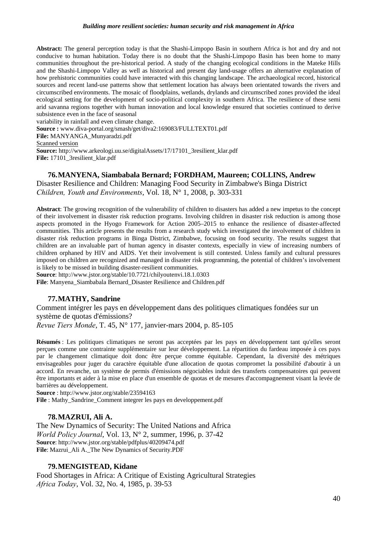#### *Building more resilient societies: human security and risk management in Africa*

**Abstract:** The general perception today is that the Shashi-Limpopo Basin in southern Africa is hot and dry and not conducive to human habitation. Today there is no doubt that the Shashi-Limpopo Basin has been home to many communities throughout the pre-historical period. A study of the changing ecological conditions in the Mateke Hills and the Shashi-Limpopo Valley as well as historical and present day land-usage offers an alternative explanation of how prehistoric communities could have interacted with this changing landscape. The archaeological record, historical sources and recent land-use patterns show that settlement location has always been orientated towards the rivers and circumscribed environments. The mosaic of floodplains, wetlands, drylands and circumscribed zones provided the ideal ecological setting for the development of socio-political complexity in southern Africa. The resilience of these semi arid savanna regions together with human innovation and local knowledge ensured that societies continued to derive subsistence even in the face of seasonal

variability in rainfall and even climate change.

**Source :** www.diva-portal.org/smash/get/diva2:169083/FULLTEXT01.pdf

**File:** MANYANGA\_Munyaradzi.pdf

Scanned version

**Source:** http://www.arkeologi.uu.se/digitalAssets/17/17101\_3resilient\_klar.pdf **File:** 17101\_3resilient\_klar.pdf

#### **76.MANYENA, Siambabala Bernard; FORDHAM, Maureen; COLLINS, Andrew**

Disaster Resilience and Children: Managing Food Security in Zimbabwe's Binga District *Children, Youth and Environments*, Vol. 18, N° 1, 2008, p. 303-331

**Abstract**: The growing recognition of the vulnerability of children to disasters has added a new impetus to the concept of their involvement in disaster risk reduction programs. Involving children in disaster risk reduction is among those aspects promoted in the Hyogo Framework for Action 2005–2015 to enhance the resilience of disaster-affected communities. This article presents the results from a research study which investigated the involvement of children in disaster risk reduction programs in Binga District, Zimbabwe, focusing on food security. The results suggest that children are an invaluable part of human agency in disaster contexts, especially in view of increasing numbers of children orphaned by HIV and AIDS. Yet their involvement is still contested. Unless family and cultural pressures imposed on children are recognized and managed in disaster risk programming, the potential of children's involvement is likely to be missed in building disaster-resilient communities.

**Source**: http://www.jstor.org/stable/10.7721/chilyoutenvi.18.1.0303

**File**: Manyena\_Siambabala Bernard\_Disaster Resilience and Children.pdf

## **77.MATHY, Sandrine**

Comment intégrer les pays en développement dans des politiques climatiques fondées sur un système de quotas d'émissions?

*Revue Tiers Monde*, T. 45, N° 177, janvier-mars 2004, p. 85-105

**Résumés** : Les politiques climatiques ne seront pas acceptées par les pays en développement tant qu'elles seront perçues comme une contrainte supplémentaire sur leur développement. La répartition du fardeau imposée à ces pays par le changement climatique doit donc être perçue comme équitable. Cependant, la diversité des métriques envisageables pour juger du caractère équitable d'une allocation de quotas compromet la possibilité d'aboutir à un accord. En revanche, un système de permis d'émissions négociables induit des transferts compensatoires qui peuvent être importants et aider à la mise en place d'un ensemble de quotas et de mesures d'accompagnement visant la levée de barrières au développement.

**Source** : http://www.jstor.org/stable/23594163 File : Mathy Sandrine Comment integrer les pays en developpement.pdf

## **78.MAZRUI, Ali A.**

The New Dynamics of Security: The United Nations and Africa *World Policy Journal*, Vol. 13, N° 2, summer, 1996, p. 37-42 **Source**: http://www.jstor.org/stable/pdfplus/40209474.pdf **File**: Mazrui\_Ali A.\_The New Dynamics of Security.PDF

## **79.MENGISTEAD, Kidane**

Food Shortages in Africa: A Critique of Existing Agricultural Strategies *Africa Today*, Vol. 32, No. 4, 1985, p. 39-53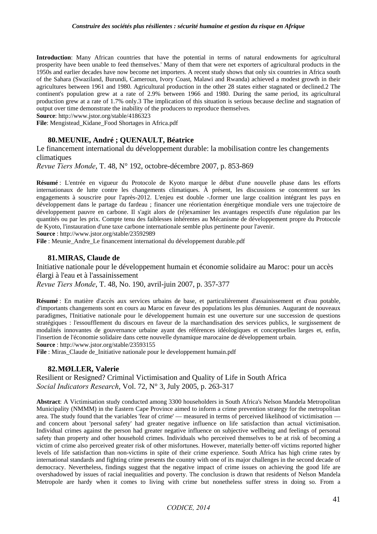**Introduction**: Many African countries that have the potential in terms of natural endowments for agricultural prosperity have been unable to feed themselves.' Many of them that were net exporters of agricultural products in the 1950s and earlier decades have now become net importers. A recent study shows that only six countries in Africa south of the Sahara (Swaziland, Burundi, Cameroun, Ivory Coast, Malawi and Rwanda) achieved a modest growth in their agricultures between 1961 and 1980. Agricultural production in the other 28 states either stagnated or declined.2 The continent's population grew at a rate of 2.9% between 1966 and 1980. During the same period, its agricultural production grew at a rate of 1.7% only.3 The implication of this situation is serious because decline and stagnation of output over time demonstrate the inability of the producers to reproduce themselves.

**Source**: http://www.jstor.org/stable/4186323

**File**: Mengistead\_Kidane\_Food Shortages in Africa.pdf

## **80.MEUNIE, André ; QUENAULT, Béatrice**

Le financement international du développement durable: la mobilisation contre les changements climatiques

*Revue Tiers Monde*, T. 48, N° 192, octobre-décembre 2007, p. 853-869

**Résumé** : L'entrée en vigueur du Protocole de Kyoto marque le début d'une nouvelle phase dans les efforts internationaux de lutte contre les changements climatiques. À présent, les discussions se concentrent sur les engagements à souscrire pour l'après-2012. L'enjeu est double -.former une large coalition intégrant les pays en développement dans le partage du fardeau ; financer une réorientation énergétique mondiale vers une trajectoire de développement pauvre en carbone. Il s'agit alors de (ré)examiner les avantages respectifs d'une régulation par les quantités ou par les prix. Compte tenu des faiblesses inhérentes au Mécanisme de développement propre du Protocole de Kyoto, l'instauration d'une taxe carbone internationale semble plus pertinente pour l'avenir.

**Source** : http://www.jstor.org/stable/23592989

File : Meunie Andre Le financement international du développement durable.pdf

#### **81.MIRAS, Claude de**

Initiative nationale pour le développement humain et économie solidaire au Maroc: pour un accès élargi à l'eau et à l'assainissement

*Revue Tiers Monde*, T. 48, No. 190, avril-juin 2007, p. 357-377

**Résumé** : En matière d'accès aux services urbains de base, et particulièrement d'assainissement et d'eau potable, d'importants changements sont en cours au Maroc en faveur des populations les plus démunies. Augurant de nouveaux paradigmes, l'Initiative nationale pour le développement humain est une ouverture sur une succession de questions stratégiques : l'essoufflement du discours en faveur de la marchandisation des services publics, le surgissement de modalités innovantes de gouvernance urbaine ayant des références idéologiques et conceptuelles larges et, enfin, l'insertion de l'économie solidaire dans cette nouvelle dynamique marocaine de développement urbain. **Source** : http://www.jstor.org/stable/23593155

File : Miras\_Claude de\_Initiative nationale pour le developpement humain.pdf

#### **82.MØLLER, Valerie**

Resilient or Resigned? Criminal Victimisation and Quality of Life in South Africa *Social Indicators Research*, Vol. 72, N° 3, July 2005, p. 263-317

**Abstract**: A Victimisation study conducted among 3300 householders in South Africa's Nelson Mandela Metropolitan Municipality (NMMM) in the Eastern Cape Province aimed to inform a crime prevention strategy for the metropolitan area. The study found that the variables 'fear of crime' — measured in terms of perceived likelihood of victimisation and concern about 'personal safety' had greater negative influence on life satisfaction than actual victimisation. Individual crimes against the person had greater negative influence on subjective wellbeing and feelings of personal safety than property and other household crimes. Individuals who perceived themselves to be at risk of becoming a victim of crime also perceived greater risk of other misfortunes. However, materially better-off victims reported higher levels of life satisfaction than non-victims in spite of their crime experience. South Africa has high crime rates by international standards and fighting crime presents the country with one of its major challenges in the second decade of democracy. Nevertheless, findings suggest that the negative impact of crime issues on achieving the good life are overshadowed by issues of racial inequalities and poverty. The conclusion is drawn that residents of Nelson Mandela Metropole are hardy when it comes to living with crime but nonetheless suffer stress in doing so. From a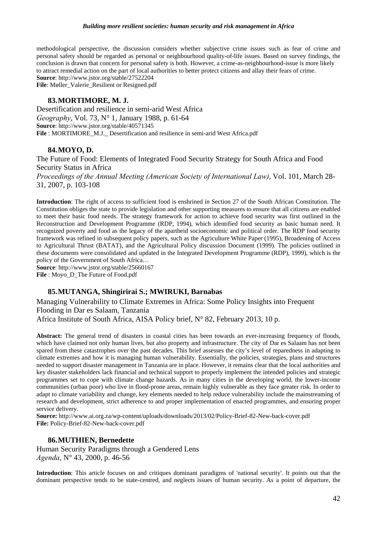methodological perspective, the discussion considers whether subjective crime issues such as fear of crime and personal safety should be regarded as personal or neighbourhood quality-of-life issues. Based on survey findings, the conclusion is drawn that concern for personal safety is both. However, a crime-as-neighbourhood-issue is more likely to attract remedial action on the part of local authorities to better protect citizens and allay their fears of crime. **Source**: http://www.jstor.org/stable/27522204

**File**: Møller\_Valerie\_Resilient or Resigned.pdf

# **83.MORTIMORE, M. J.**

Desertification and resilience in semi-arid West Africa *Geography*, Vol. 73, N° 1, January 1988, p. 61-64 **Source**: http://www.jstor.org/stable/40571345 **File** : MORTIMORE\_M.J.\_ Desertification and resilience in semi-arid West Africa.pdf

# **84.MOYO, D.**

The Future of Food: Elements of Integrated Food Security Strategy for South Africa and Food Security Status in Africa *Proceedings of the Annual Meeting (American Society of International Law)*, Vol. 101, March 28- 31, 2007, p. 103-108

**Introduction**: The right of access to sufficient food is enshrined in Section 27 of the South African Constitution. The Constitution obliges the state to provide legislation and other supporting measures to ensure that all citizens are enabled to meet their basic food needs. The strategy framework for action to achieve food security was first outlined in the Reconstruction and Development Programme (RDP, 1994), which identified food security as basic human need. It recognized poverty and food as the legacy of the apartheid socioeconomic and political order. The RDP food security framework was refined in subsequent policy papers, such as the Agriculture White Paper (1995), Broadening of Access to Agricultural Thrust (BATAT), and the Agricultural Policy discussion Document (1999). The policies outlined in these documents were consolidated and updated in the Integrated Development Programme (RDP), 1999), which is the policy of the Government of South Africa…

**Source**: http://www.jstor.org/stable/25660167 **File** : Moyo\_D\_The Future of Food.pdf

# **85.MUTANGA, Shingirirai S.; MWIRUKI, Barnabas**

Managing Vulnerability to Climate Extremes in Africa: Some Policy Insights into Frequent Flooding in Dar es Salaam, Tanzania Africa Institute of South Africa, AISA Policy brief, N° 82, February 2013, 10 p.

**Abstract:** The general trend of disasters in coastal cities has been towards an ever-increasing frequency of floods, which have claimed not only human lives, but also property and infrastructure. The city of Dar es Salaam has not been spared from these catastrophes over the past decades. This brief assesses the city's level of reparedness in adapting to climate extremes and how it is managing human vulnerability. Essentially, the policies, strategies, plans and structures needed to support disaster management in Tanzania are in place. However, it remains clear that the local authorities and key disaster stakeholders lack financial and technical support to properly implement the intended policies and strategic programmes set to cope with climate change hazards. As in many cities in the developing world, the lower-income communities (urban poor) who live in flood-prone areas, remain highly vulnerable as they face greater risk. In order to adapt to climate variability and change, key elements needed to help reduce vulnerability include the mainstreaming of research and development, strict adherence to and proper implementation of enacted programmes, and ensuring proper service delivery.

**Source:** http://www.ai.org.za/wp-content/uploads/downloads/2013/02/Policy-Brief-82-New-back-cover.pdf **File:** Policy-Brief-82-New-back-cover.pdf

# **86.MUTHIEN, Bernedette**

Human Security Paradigms through a Gendered Lens *Agenda*, N° 43, 2000, p. 46-56

**Introduction**: This article focuses on and critiques dominant paradigms of 'national security'. It points out that the dominant perspective tends to be state-centred, and neglects issues of human security. As a point of departure, the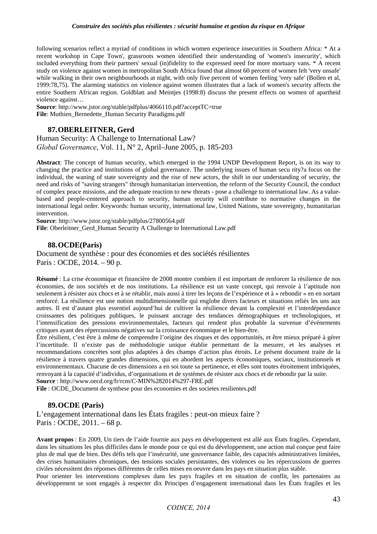#### *Construire des sociétés plus résilientes : sécurité humaine et gestion du risque en Afrique*

following scenarios reflect a myriad of conditions in which women experience insecurities in Southern Africa: \* At a recent workshop in Cape Town', grassroots women identified their understanding of 'women's insecurity', which included everything from their partners' sexual (in)fidelity to the expressed need for more mortuary vans. \* A recent study on violence against women in metropolitan South Africa found that almost 60 percent of women felt 'very unsafe' while walking in their own neighbourhoods at night, with only five percent of women feeling 'very safe' (Bollen et al, 1999:78,75). The alarming statistics on violence against women illustrates that a lack of women's security affects the entire Southern African region. Goldblatt and Meintjes (1998:8) discuss the present effects on women of apartheid violence against…

**Source**: http://www.jstor.org/stable/pdfplus/4066110.pdf?acceptTC=true **File**: Muthien\_Bernedette\_Human Security Paradigms.pdf

## **87.OBERLEITNER, Gerd**

Human Security: A Challenge to International Law? *Global Governance*, Vol. 11, N° 2, April–June 2005, p. 185-203

**Abstract**: The concept of human security, which emerged in the 1994 UNDP Development Report, is on its way to changing the practice and institutions of global governance. The underlying issues of human secu rity?a focus on the individual, the waning of state sovereignty and the rise of new actors, the shift in our understanding of security, the need and risks of "saving strangers" through humanitarian intervention, the reform of the Security Council, the conduct of complex peace missions, and the adequate reaction to new threats - pose a challenge to international law. As a valuebased and people-centered approach to security, human security will contribute to normative changes in the international legal order. Keywords: human security, international law, United Nations, state sovereignty, humanitarian intervention.

**Source**: http://www.jstor.org/stable/pdfplus/27800564.pdf File: Oberleitner Gerd Human Security A Challenge to International Law.pdf

#### **88.OCDE(Paris)**

Document de synthèse : pour des économies et des sociétés résilientes Paris : OCDE, 2014. – 90 p.

**Résumé** : La crise économique et financière de 2008 montre combien il est important de renforcer la résilience de nos économies, de nos sociétés et de nos institutions. La résilience est un vaste concept, qui renvoie à l'aptitude non seulement à résister aux chocs et à se rétablir, mais aussi à tirer les leçons de l'expérience et à « rebondir » en en sortant renforcé. La résilience est une notion multidimensionnelle qui englobe divers facteurs et situations reliés les uns aux autres. Il est d'autant plus essentiel aujourd'hui de cultiver la résilience devant la complexité et l'interdépendance croissantes des politiques publiques, le puissant ancrage des tendances démographiques et technologiques, et l'intensification des pressions environnementales, facteurs qui rendent plus probable la survenue d'événements critiques ayant des répercussions négatives sur la croissance économique et le bien-être.

Être résilient, c'est être à même de comprendre l'origine des risques et des opportunités, et être mieux préparé à gérer l'incertitude. Il n'existe pas de méthodologie unique établie permettant de la mesurer, et les analyses et recommandations concrètes sont plus adaptées à des champs d'action plus étroits. Le présent document traite de la résilience à travers quatre grandes dimensions, qui en abordent les aspects économiques, sociaux, institutionnels et environnementaux. Chacune de ces dimensions a en soi toute sa pertinence, et elles sont toutes étroitement imbriquées, renvoyant à la capacité d'individus, d'organisations et de systèmes de résister aux chocs et de rebondir par la suite. **Source** : http://www.oecd.org/fr/rcm/C-MIN%282014%297-FRE.pdf

**File** : OCDE\_Document de synthese pour des economies et des societes resilientes.pdf

#### **89.OCDE (Paris)**

L'engagement international dans les États fragiles : peut-on mieux faire ? Paris : OCDE, 2011. – 68 p.

**Avant propos** : En 2009, Un tiers de l'aide fournie aux pays en développement est allé aux États fragiles. Cependant, dans les situations les plus difficiles dans le monde pour ce qui est du développement, une action mal conçue peut faire plus de mal que de bien. Des défis tels que l'insécurité, une gouvernance faible, des capacités administratives limitées, des crises humanitaires chroniques, des tensions sociales persistantes, des violences ou les répercussions de guerres civiles nécessitent des réponses différentes de celles mises en oeuvre dans les pays en situation plus stable.

Pour orienter les interventions complexes dans les pays fragiles et en situation de conflit, les partenaires au développement se sont engagés à respecter dix Principes d'engagement international dans les États fragiles et les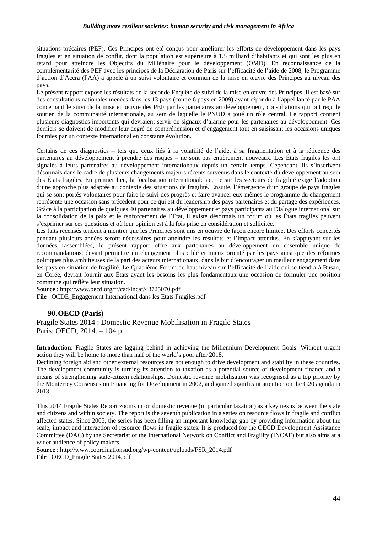situations précaires (PEF). Ces Principes ont été conçus pour améliorer les efforts de développement dans les pays fragiles et en situation de conflit, dont la population est supérieure à 1.5 milliard d'habitants et qui sont les plus en retard pour atteindre les Objectifs du Millénaire pour le développement (OMD). En reconnaissance de la complémentarité des PEF avec les principes de la Déclaration de Paris sur l'efficacité de l'aide de 2008, le Programme d'action d'Accra (PAA) a appelé à un suivi volontaire et commun de la mise en œuvre des Principes au niveau des pays.

Le présent rapport expose les résultats de la seconde Enquête de suivi de la mise en œuvre des Principes. Il est basé sur des consultations nationales menées dans les 13 pays (contre 6 pays en 2009) ayant répondu à l'appel lancé par le PAA concernant le suivi de la mise en œuvre des PEF par les partenaires au développement, consultations qui ont reçu le soutien de la communauté internationale, au sein de laquelle le PNUD a joué un rôle central. Le rapport contient plusieurs diagnostics importants qui devraient servir de signaux d'alarme pour les partenaires au développement. Ces derniers se doivent de modifier leur degré de compréhension et d'engagement tout en saisissant les occasions uniques fournies par un contexte international en constante évolution.

Certains de ces diagnostics – tels que ceux liés à la volatilité de l'aide, à sa fragmentation et à la réticence des partenaires au développement à prendre des risques – ne sont pas entièrement nouveaux. Les États fragiles les ont signalés à leurs partenaires au développement internationaux depuis un certain temps. Cependant, ils s'inscrivent désormais dans le cadre de plusieurs changements majeurs récents survenus dans le contexte du développement au sein des États fragiles. En premier lieu, la focalisation internationale accrue sur les vecteurs de fragilité exige l'adoption d'une approche plus adaptée au contexte des situations de fragilité. Ensuite, l'émergence d'un groupe de pays fragiles qui se sont portés volontaires pour faire le suivi des progrès et faire avancer eux-mêmes le programme du changement représente une occasion sans précédent pour ce qui est du leadership des pays partenaires et du partage des expériences. Grâce à la participation de quelques 40 partenaires au développement et pays participants au Dialogue international sur la consolidation de la paix et le renforcement de l'État, il existe désormais un forum où les États fragiles peuvent s'exprimer sur ces questions et où leur opinion est à la fois prise en considération et sollicitée.

Les faits recensés tendent à montrer que les Principes sont mis en oeuvre de façon encore limitée. Des efforts concertés pendant plusieurs années seront nécessaires pour atteindre les résultats et l'impact attendus. En s'appuyant sur les données rassemblées, le présent rapport offre aux partenaires au développement un ensemble unique de recommandations, devant permettre un changement plus ciblé et mieux orienté par les pays ainsi que des réformes politiques plus ambitieuses de la part des acteurs internationaux, dans le but d'encourager un meilleur engagement dans les pays en situation de fragilité. Le Quatrième Forum de haut niveau sur l'efficacité de l'aide qui se tiendra à Busan, en Corée, devrait fournir aux États ayant les besoins les plus fondamentaux une occasion de formuler une position commune qui reflète leur situation.

**Source** : http://www.oecd.org/fr/cad/incaf/48725070.pdf

**File** : OCDE\_Engagement International dans les Etats Fragiles.pdf

## **90.OECD (Paris)**

Fragile States 2014 : Domestic Revenue Mobilisation in Fragile States Paris: OECD, 2014. – 104 p.

**Introduction**: Fragile States are lagging behind in achieving the Millennium Development Goals. Without urgent action they will be home to more than half of the world's poor after 2018.

Declining foreign aid and other external resources are not enough to drive development and stability in these countries. The development community is turning its attention to taxation as a potential source of development finance and a means of strengthening state-citizen relationships. Domestic revenue mobilisation was recognised as a top priority by the Monterrey Consensus on Financing for Development in 2002, and gained significant attention on the G20 agenda in 2013.

This 2014 Fragile States Report zooms in on domestic revenue (in particular taxation) as a key nexus between the state and citizens and within society. The report is the seventh publication in a series on resource flows in fragile and conflict affected states. Since 2005, the series has been filling an important knowledge gap by providing information about the scale, impact and interaction of resource flows in fragile states. It is produced for the OECD Development Assistance Committee (DAC) by the Secretariat of the International Network on Conflict and Fragility (INCAF) but also aims at a wider audience of policy makers.

**Source** : http://www.coordinationsud.org/wp-content/uploads/FSR\_2014.pdf **File** : OECD\_Fragile States 2014.pdf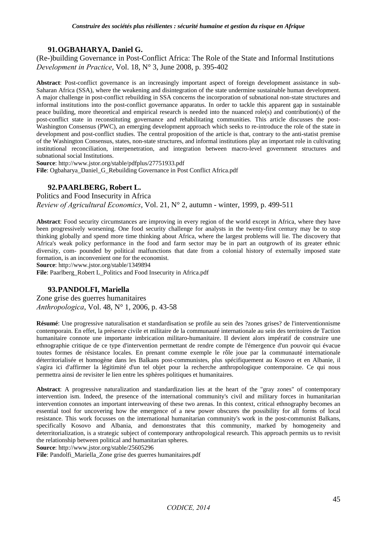# **91.OGBAHARYA, Daniel G.**

(Re-)building Governance in Post-Conflict Africa: The Role of the State and Informal Institutions *Development in Practice*, Vol. 18, N° 3, June 2008, p. 395-402

**Abstract**: Post-conflict governance is an increasingly important aspect of foreign development assistance in sub-Saharan Africa (SSA), where the weakening and disintegration of the state undermine sustainable human development. A major challenge in post-conflict rebuilding in SSA concerns the incorporation of subnational non-state structures and informal institutions into the post-conflict governance apparatus. In order to tackle this apparent gap in sustainable peace building, more theoretical and empirical research is needed into the nuanced role(s) and contribution(s) of the post-conflict state in reconstituting governance and rehabilitating communities. This article discusses the post-Washington Consensus (PWC), an emerging development approach which seeks to re-introduce the role of the state in development and post-conflict studies. The central proposition of the article is that, contrary to the anti-statist premise of the Washington Consensus, states, non-state structures, and informal institutions play an important role in cultivating institutional reconciliation, interpenetration, and integration between macro-level government structures and subnational social Institutions.

**Source**: http://www.jstor.org/stable/pdfplus/27751933.pdf **File**: Ogbaharya\_Daniel\_G\_Rebuilding Governance in Post Conflict Africa.pdf

# **92.PAARLBERG, Robert L.**

Politics and Food Insecurity in Africa *Review of Agricultural Economics*, Vol. 21, N° 2, autumn - winter, 1999, p. 499-511

**Abstract**: Food security circumstances are improving in every region of the world except in Africa, where they have been progressively worsening. One food security challenge for analysts in the twenty-first century may be to stop thinking globally and spend more time thinking about Africa, where the largest problems will lie. The discovery that Africa's weak policy performance in the food and farm sector may be in part an outgrowth of its greater ethnic diversity, com- pounded by political malfunctions that date from a colonial history of externally imposed state formation, is an inconvenient one for the economist.

**Source**: http://www.jstor.org/stable/1349894

**File**: Paarlberg\_Robert L\_Politics and Food Insecurity in Africa.pdf

# **93.PANDOLFI, Mariella**

Zone grise des guerres humanitaires *Anthropologica*, Vol. 48, N° 1, 2006, p. 43-58

**Résumé**: Une progressive naturalisation et standardisation se profile au sein des ?zones grises? de l'interventionnisme contemporain. En effet, la présence civile et militaire de la communauté internationale au sein des territoires de Taction humanitaire connote une importante imbrication militaro-humanitaire. II devient alors impératif de construire une ethnographie critique de ce type d'intervention permettant de rendre compte de l'émergence d'un pouvoir qui évacue toutes formes de résistance locales. En prenant comme exemple le rôle joue par la communauté internationale déterritorialisée et homogène dans les Balkans post-communistes, plus spécifiquement au Kosovo et en Albanie, il s'agira ici d'affirmer la légitimité d'un tel objet pour la recherche anthropologique contemporaine. Ce qui nous permettra ainsi de revisiter le lien entre les sphères politiques et humanitaires.

**Abstract**: A progressive naturalization and standardization lies at the heart of the "gray zones" of contemporary intervention ism. Indeed, the presence of the international community's civil and military forces in humanitarian intervention connotes an important interweaving of these two arenas. In this context, critical ethnography becomes an essential tool for uncovering how the emergence of a new power obscures the possibility for all forms of local resistance. This work focusses on the international humanitarian community's work in the post-communist Balkans, specifically Kosovo and Albania, and demonstrates that this community, marked by homogeneity and deterritorialization, is a strategic subject of contemporary anthropological research. This approach permits us to revisit the relationship between political and humanitarian spheres.

**Source**: http://www.jstor.org/stable/25605296

**File**: Pandolfi\_Mariella\_Zone grise des guerres humanitaires.pdf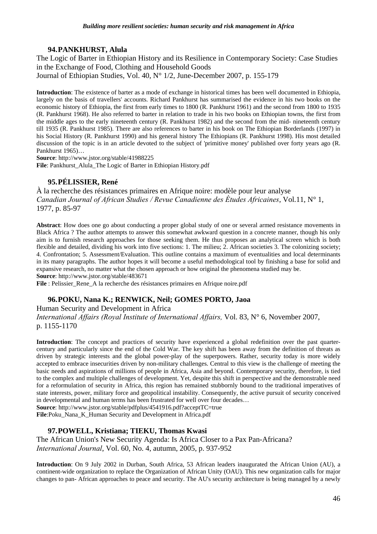# **94.PANKHURST, Alula**

The Logic of Barter in Ethiopian History and its Resilience in Contemporary Society: Case Studies in the Exchange of Food, Clothing and Household Goods Journal of Ethiopian Studies, Vol. 40, N° 1/2, June-December 2007, p. 155-179

**Introduction**: The existence of barter as a mode of exchange in historical times has been well documented in Ethiopia, largely on the basis of travellers' accounts. Richard Pankhurst has summarised the evidence in his two books on the economic history of Ethiopia, the first from early times to 1800 (R. Pankhurst 1961) and the second from 1800 to 1935 (R. Pankhurst 1968). He also referred to barter in relation to trade in his two books on Ethiopian towns, the first from the middle ages to the early nineteenth century (R. Pankhurst 1982) and the second from the mid- nineteenth century till 1935 (R. Pankhurst 1985). There are also references to barter in his book on The Ethiopian Borderlands (1997) in his Social History (R. Pankhurst 1990) and his general history The Ethiopians (R. Pankhurst 1998). His most detailed discussion of the topic is in an article devoted to the subject of 'primitive money' published over forty years ago (R. Pankhurst 1965)…

**Source**: http://www.jstor.org/stable/41988225

**File**: Pankhurst\_Alula\_The Logic of Barter in Ethiopian History.pdf

# **95.PÉLISSIER, René**

À la recherche des résistances primaires en Afrique noire: modèle pour leur analyse *Canadian Journal of African Studies / Revue Canadienne des Études Africaines*, Vol.11, N° 1, 1977, p. 85-97

**Abstract**: How does one go about conducting a proper global study of one or several armed resistance movements in Black Africa ? The author attempts to answer this somewhat awkward question in a concrete manner, though his only aim is to furnish research approaches for those seeking them. He thus proposes an analytical screen which is both flexible and detailed, dividing his work into five sections: 1. The milieu; 2. African societies 3. The colonizing society; 4. Confrontation; 5. Assessment/Evaluation. This outline contains a maximum of eventualities and local determinants in its many paragraphs. The author hopes it will become a useful methodological tool by finishing a base for solid and expansive research, no matter what the chosen approach or how original the phenomena studied may be. **Source**: http://www.jstor.org/stable/483671

**File** : Pelissier\_Rene\_A la recherche des résistances primaires en Afrique noire.pdf

# **96.POKU, Nana K.; RENWICK, Neil; GOMES PORTO, Jaoa**

Human Security and Development in Africa

*International Affairs (Royal Institute of International Affairs,* Vol. 83, N° 6, November 2007, p. 1155-1170

**Introduction**: The concept and practices of security have experienced a global redefinition over the past quartercentury and particularly since the end of the Cold War. The key shift has been away from the definition of threats as driven by strategic interests and the global power-play of the superpowers. Rather, security today is more widely accepted to embrace insecurities driven by non-military challenges. Central to this view is the challenge of meeting the basic needs and aspirations of millions of people in Africa, Asia and beyond. Contemporary security, therefore, is tied to the complex and multiple challenges of development. Yet, despite this shift in perspective and the demonstrable need for a reformulation of security in Africa, this region has remained stubbornly bound to the traditional imperatives of state interests, power, military force and geopolitical instability. Consequently, the active pursuit of security conceived in developmental and human terms has been frustrated for well over four decades…

**Source**: http://www.jstor.org/stable/pdfplus/4541916.pdf?acceptTC=true

**File**:Poku\_Nana\_K\_Human Security and Development in Africa.pdf

# **97.POWELL, Kristiana; TIEKU, Thomas Kwasi**

The African Union's New Security Agenda: Is Africa Closer to a Pax Pan-Africana? *International Journal*, Vol. 60, No. 4, autumn, 2005, p. 937-952

**Introduction**: On 9 July 2002 in Durban, South Africa, 53 African leaders inaugurated the African Union (AU), a continent-wide organization to replace the Organization of African Unity (OAU). This new organization calls for major changes to pan- African approaches to peace and security. The AU's security architecture is being managed by a newly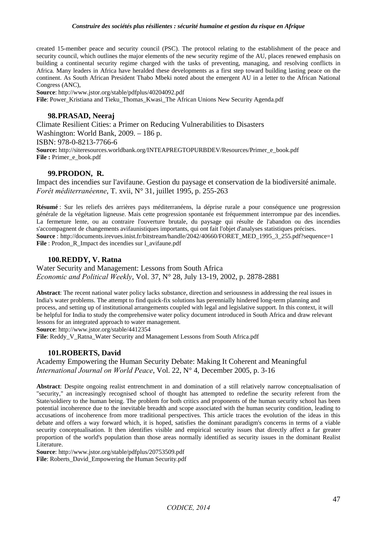#### *Construire des sociétés plus résilientes : sécurité humaine et gestion du risque en Afrique*

created 15-member peace and security council (PSC). The protocol relating to the establishment of the peace and security council, which outlines the major elements of the new security regime of the AU, places renewed emphasis on building a continental security regime charged with the tasks of preventing, managing, and resolving conflicts in Africa. Many leaders in Africa have heralded these developments as a first step toward building lasting peace on the continent. As South African President Thabo Mbeki noted about the emergent AU in a letter to the African National Congress (ANC),

**Source**: http://www.jstor.org/stable/pdfplus/40204092.pdf File: Power\_Kristiana and Tieku\_Thomas\_Kwasi\_The African Unions New Security Agenda.pdf

#### **98.PRASAD, Neeraj**

Climate Resilient Cities: a Primer on Reducing Vulnerabilities to Disasters Washington: World Bank, 2009. – 186 p. ISBN: 978-0-8213-7766-6 **Source:** http://siteresources.worldbank.org/INTEAPREGTOPURBDEV/Resources/Primer\_e\_book.pdf **File :** Primer\_e\_book.pdf

## **99.PRODON, R.**

Impact des incendies sur l'avifaune. Gestion du paysage et conservation de la biodiversité animale. *Forêt méditerranéenne*, T. xvii, N° 31, juillet 1995, p. 255-263

**Résumé** : Sur les reliefs des arrières pays méditerranéens, la déprise rurale a pour conséquence une progression générale de la végétation ligneuse. Mais cette progression spontanée est fréquemment interrompue par des incendies. La fermeture lente, ou au contraire l'ouverture brutale, du paysage qui résulte de l'abandon ou des incendies s'accompagnent de changements avifaunistiques importants, qui ont fait l'objet d'analyses statistiques précises. **Source** : http://documents.irevues.inist.fr/bitstream/handle/2042/40660/FORET\_MED\_1995\_3\_255.pdf?sequence=1 **File** : Prodon\_R\_Impact des incendies sur l\_avifaune.pdf

## **100.REDDY, V. Ratna**

Water Security and Management: Lessons from South Africa *Economic and Political Weekly*, Vol. 37, N° 28, July 13-19, 2002, p. 2878-2881

**Abstract**: The recent national water policy lacks substance, direction and seriousness in addressing the real issues in India's water problems. The attempt to find quick-fix solutions has perennially hindered long-term planning and process, and setting up of institutional arrangements coupled with legal and legislative support. In this context, it will be helpful for India to study the comprehensive water policy document introduced in South Africa and draw relevant lessons for an integrated approach to water management.

**Source**: http://www.jstor.org/stable/4412354

File: Reddy V Ratna Water Security and Management Lessons from South Africa.pdf

# **101.ROBERTS, David**

Academy Empowering the Human Security Debate: Making It Coherent and Meaningful *International Journal on World Peace*, Vol. 22, N° 4, December 2005, p. 3-16

**Abstract**: Despite ongoing realist entrenchment in and domination of a still relatively narrow conceptualisation of "security," an increasingly recognised school of thought has attempted to redefine the security referent from the State/soldiery to the human being. The problem for both critics and proponents of the human security school has been potential incoherence due to the inevitable breadth and scope associated with the human security condition, leading to accusations of incoherence from more traditional perspectives. This article traces the evolution of the ideas in this debate and offers a way forward which, it is hoped, satisfies the dominant paradigm's concerns in terms of a viable security conceptualisation. It then identifies visible and empirical security issues that directly affect a far greater proportion of the world's population than those areas normally identified as security issues in the dominant Realist Literature.

**Source**: http://www.jstor.org/stable/pdfplus/20753509.pdf File: Roberts David Empowering the Human Security.pdf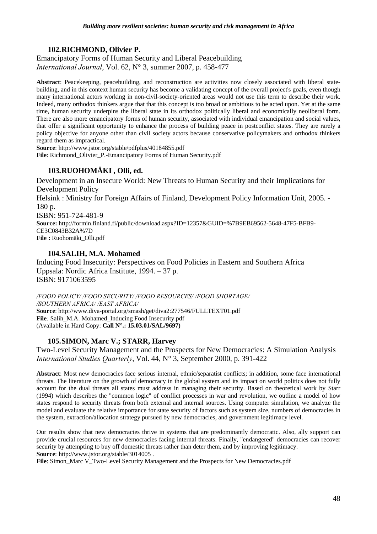# **102.RICHMOND, Olivier P.**

Emancipatory Forms of Human Security and Liberal Peacebuilding *International Journal*, Vol. 62, N° 3, summer 2007, p. 458-477

**Abstract**: Peacekeeping, peacebuilding, and reconstruction are activities now closely associated with liberal statebuilding, and in this context human security has become a validating concept of the overall project's goals, even though many international actors working in non-civil-society-oriented areas would not use this term to describe their work. Indeed, many orthodox thinkers argue that that this concept is too broad or ambitious to be acted upon. Yet at the same time, human security underpins the liberal state in its orthodox politically liberal and economically neoliberal form. There are also more emancipatory forms of human security, associated with individual emancipation and social values, that offer a significant opportunity to enhance the process of building peace in postconflict states. They are rarely a policy objective for anyone other than civil society actors because conservative policymakers and orthodox thinkers regard them as impractical.

**Source**: http://www.jstor.org/stable/pdfplus/40184855.pdf **File**: Richmond\_Olivier\_P.-Emancipatory Forms of Human Security.pdf

# **103.RUOHOMÄKI , Olli, ed.**

Development in an Insecure World: New Threats to Human Security and their Implications for Development Policy Helsink : Ministry for Foreign Affairs of Finland, Development Policy Information Unit, 2005. - 180 p. ISBN: 951-724-481-9 **Source:** http://formin.finland.fi/public/download.aspx?ID=12357&GUID=%7B9EB69562-5648-47F5-BFB9- CE3C0843B32A%7D **File :** Ruohomäki\_Olli.pdf

# **104.SALIH, M.A. Mohamed**

Inducing Food Insecurity: Perspectives on Food Policies in Eastern and Southern Africa Uppsala: Nordic Africa Institute, 1994. – 37 p. ISBN: 9171063595

*/FOOD POLICY/ /FOOD SECURITY/ /FOOD RESOURCES/ /FOOD SHORTAGE/ /SOUTHERN AFRICA/ /EAST AFRICA/*  **Source**: http://www.diva-portal.org/smash/get/diva2:277546/FULLTEXT01.pdf **File***:* Salih\_M.A. Mohamed\_Inducing Food Insecurity.pdf (Available in Hard Copy: **Call N°.: 15.03.01/SAL/9697)** 

# **105.SIMON, Marc V.; STARR, Harvey**

Two-Level Security Management and the Prospects for New Democracies: A Simulation Analysis *International Studies Quarterly*, Vol. 44, N° 3, September 2000, p. 391-422

**Abstract**: Most new democracies face serious internal, ethnic/separatist conflicts; in addition, some face international threats. The literature on the growth of democracy in the global system and its impact on world politics does not fully account for the dual threats all states must address in managing their security. Based on theoretical work by Starr (1994) which describes the "common logic" of conflict processes in war and revolution, we outline a model of how states respond to security threats from both external and internal sources. Using computer simulation, we analyze the model and evaluate the relative importance for state security of factors such as system size, numbers of democracies in the system, extraction/allocation strategy pursued by new democracies, and government legitimacy level.

Our results show that new democracies thrive in systems that are predominantly democratic. Also, ally support can provide crucial resources for new democracies facing internal threats. Finally, "endangered" democracies can recover security by attempting to buy off domestic threats rather than deter them, and by improving legitimacy. **Source**: http://www.jstor.org/stable/3014005 .

**File**: Simon\_Marc V\_Two-Level Security Management and the Prospects for New Democracies.pdf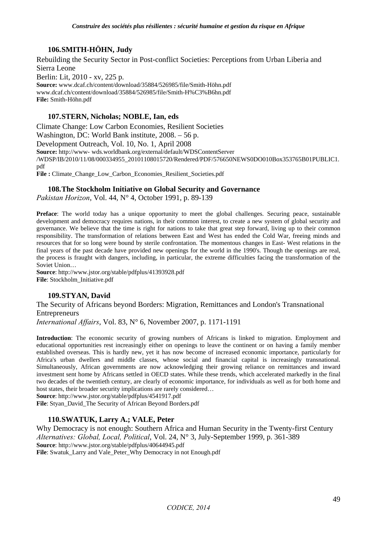# **106.SMITH-HÖHN, Judy**

Rebuilding the Security Sector in Post-conflict Societies: Perceptions from Urban Liberia and Sierra Leone Berlin: Lit, 2010 - xv, 225 p. **Source:** www.dcaf.ch/content/download/35884/526985/file/Smith-Höhn.pdf www.dcaf.ch/content/download/35884/526985/file/Smith-H%C3%B6hn.pdf **File:** Smith-Höhn.pdf

# **107.STERN, Nicholas; NOBLE, Ian, eds**

Climate Change: Low Carbon Economies, Resilient Societies Washington, DC: World Bank institute, 2008. – 56 p. Development Outreach, Vol. 10, No. 1, April 2008 **Source:** http://www- wds.worldbank.org/external/default/WDSContentServer /WDSP/IB/2010/11/08/000334955\_20101108015720/Rendered/PDF/576650NEWS0DO010Box353765B01PUBLIC1. pdf **File :** Climate\_Change\_Low\_Carbon\_Economies\_Resilient\_Societies.pdf

# **108.The Stockholm Initiative on Global Security and Governance**

*Pakistan Horizon*, Vol. 44, N° 4, October 1991, p. 89-139

**Preface**: The world today has a unique opportunity to meet the global challenges. Securing peace, sustainable development and democracy requires nations, in their common interest, to create a new system of global security and governance. We believe that the time is right for nations to take that great step forward, living up to their common responsibility. The transformation of relations between East and West has ended the Cold War, freeing minds and resources that for so long were bound by sterile confrontation. The momentous changes in East- West relations in the final years of the past decade have provided new openings for the world in the 1990's. Though the openings are real, the process is fraught with dangers, including, in particular, the extreme difficulties facing the transformation of the Soviet Union…

**Source**: http://www.jstor.org/stable/pdfplus/41393928.pdf **File**: Stockholm\_Initiative.pdf

# **109.STYAN, David**

The Security of Africans beyond Borders: Migration, Remittances and London's Transnational Entrepreneurs *International Affairs*, Vol. 83, N° 6, November 2007, p. 1171-1191

**Introduction**: The economic security of growing numbers of Africans is linked to migration. Employment and educational opportunities rest increasingly either on openings to leave the continent or on having a family member established overseas. This is hardly new, yet it has now become of increased economic importance, particularly for Africa's urban dwellers and middle classes, whose social and financial capital is increasingly transnational. Simultaneously, African governments are now acknowledging their growing reliance on remittances and inward investment sent home by Africans settled in OECD states. While these trends, which accelerated markedly in the final two decades of the twentieth century, are clearly of economic importance, for individuals as well as for both home and host states, their broader security implications are rarely considered…

**Source**: http://www.jstor.org/stable/pdfplus/4541917.pdf

**File**: Styan\_David\_The Security of African Beyond Borders.pdf

# **110.SWATUK, Larry A.; VALE, Peter**

Why Democracy is not enough: Southern Africa and Human Security in the Twenty-first Century *Alternatives: Global, Local, Political*, Vol. 24, N° 3, July-September 1999, p. 361-389 **Source**: http://www.jstor.org/stable/pdfplus/40644945.pdf **File**: Swatuk\_Larry and Vale\_Peter\_Why Democracy in not Enough.pdf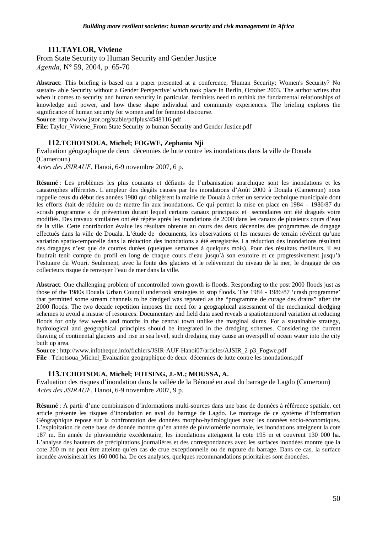## **111.TAYLOR, Viviene**

From State Security to Human Security and Gender Justice *Agenda*, N° 59, 2004, p. 65-70

**Abstract**: This briefing is based on a paper presented at a conference, 'Human Security: Women's Security? No sustain- able Security without a Gender Perspective' which took place in Berlin, October 2003. The author writes that when it comes to security and human security in particular, feminists need to rethink the fundamental relationships of knowledge and power, and how these shape individual and community experiences. The briefing explores the significance of human security for women and for feminist discourse.

**Source**: http://www.jstor.org/stable/pdfplus/4548116.pdf

**File**: Taylor\_Viviene\_From State Security to human Security and Gender Justice.pdf

## **112.TCHOTSOUA, Michel; FOGWE, Zephania Nji**

Evaluation géographique de deux décennies de lutte contre les inondations dans la ville de Douala (Cameroun)

*Actes des JSIRAUF*, Hanoi, 6-9 novembre 2007, 6 p.

**Résumé** : Les problèmes les plus courants et défiants de l'urbanisation anarchique sont les inondations et les catastrophes afférentes. L'ampleur des dégâts causés par les inondations d'Août 2000 à Douala (Cameroun) nous rappelle ceux du début des années 1980 qui obligèrent la mairie de Douala à créer un service technique municipale dont les efforts était de réduire ou de mettre fin aux inondations. Ce qui permet la mise en place en 1984 – 1986/87 du «crash programme » de prévention durant lequel certains canaux principaux et secondaires ont été dragués voire modifiés. Des travaux similaires ont été répète après les inondations de 2000 dans les canaux de plusieurs cours d'eau de la ville. Cette contribution évalue les résultats obtenus au cours des deux décennies des programmes de dragage effectués dans la ville de Douala. L'étude de documents, les observations et les mesures de terrain révèlent qu'une variation spatio-temporelle dans la réduction des inondations a été enregistrée. La réduction des inondations résultant des dragages n'est que de courtes durées (quelques semaines à quelques mois). Pour des résultats meilleurs, il est faudrait tenir compte du profil en long de chaque cours d'eau jusqu'à son exutoire et ce progressivement jusqu'à l'estuaire du Wouri. Seulement, avec la fonte des glaciers et le relèvement du niveau de la mer, le dragage de ces collecteurs risque de renvoyer l'eau de mer dans la ville.

**Abstract**: One challenging problem of uncontrolled town growth is floods. Responding to the post 2000 floods just as those of the 1980s Douala Urban Council undertook strategies to stop floods. The 1984 - 1986/87 'crash programme' that permitted some stream channels to be dredged was repeated as the "programme de curage des drains" after the 2000 floods. The two decade repetition imposes the need for a geographical assessment of the mechanical dredging schemes to avoid a misuse of resources. Documentary and field data used reveals a spatiotemporal variation at reducing floods for only few weeks and months in the central town unlike the marginal slums. For a sustainable strategy, hydrological and geographical principles should be integrated in the dredging schemes. Considering the current thawing of continental glaciers and rise in sea level, such dredging may cause an overspill of ocean water into the city built up area.

**Source** : http://www.infotheque.info/fichiers/JSIR-AUF-Hanoi07/articles/AJSIR\_2-p3\_Fogwe.pdf **File** : Tchotsoua\_Michel\_Evaluation geographique de deux décennies de lutte contre les inondations.pdf

## **113.TCHOTSOUA, Michel; FOTSING, J.-M.; MOUSSA, A.**

Evaluation des risques d'inondation dans la vallée de la Bénoué en aval du barrage de Lagdo (Cameroun) *Actes des JSIRAUF*, Hanoi, 6-9 novembre 2007, 9 p.

**Résumé** : A partir d'une combinaison d'informations multi-sources dans une base de données à référence spatiale, cet article présente les risques d'inondation en aval du barrage de Lagdo. Le montage de ce système d'Information Géographique repose sur la confrontation des données morpho-hydrologiques avec les données socio-économiques. L'exploitation de cette base de donnée montre qu'en année de pluviométrie normale, les inondations atteignent la cote 187 m. En année de pluviométrie excédentaire, les inondations atteignent la cote 195 m et couvrent 130 000 ha. L'analyse des hauteurs de précipitations journalières et des correspondances avec les surfaces inondées montre que la cote 200 m ne peut être atteinte qu'en cas de crue exceptionnelle ou de rupture du barrage. Dans ce cas, la surface inondée avoisinerait les 160 000 ha. De ces analyses, quelques recommandations prioritaires sont énoncées.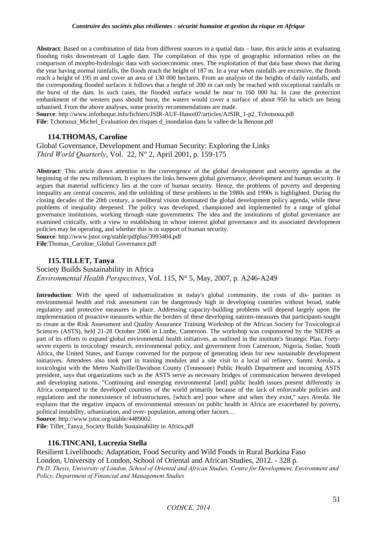#### *Construire des sociétés plus résilientes : sécurité humaine et gestion du risque en Afrique*

**Abstract**: Based on a combination of data from different sources in a spatial data – base, this article aims at evaluating flooding risks downstream of Lagdo dam. The compilation of this type of geographic information relies on the comparison of morpho-hydrologic data with socioeconomic ones. The exploitation of that data base shows that during the year having normal rainfalls, the floods reach the height of 187 m. In a year when rainfalls are excessive, the floods reach a height of 195 m and cover an area of 130 000 hectares. From an analysis of the heights of daily rainfalls, and the corresponding flooded surfaces it follows that a height of 200 m can only be reached with exceptional rainfalls or the burst of the dam. In such cases, the flooded surface would be near to 160 000 ha. In case the protection embankment of the western pass should burst, the waters would cover a surface of about 950 ha which are being urbanised. From the above analyses, some priority recommendations are made.

**Source**: http://www.infotheque.info/fichiers/JSIR-AUF-Hanoi07/articles/AJSIR\_1-p2\_Tchotsoua.pdf **File**: Tchotsoua\_Michel\_Evaluation des risques d\_inondation dans la vallee de la Benoue.pdf

## **114.THOMAS, Caroline**

Global Governance, Development and Human Security: Exploring the Links *Third World Quarterly*, Vol. 22, N° 2, April 2001, p. 159-175

**Abstract**: This article draws attention to the convergence of the global development and security agendas at the beginning of the new millennium. It explores the links between global governance, development and human security. It argues that material sufficiency lies at the core of human security. Hence, the problems of poverty and deepening inequality are central concerns, and the unfolding of these problems in the 1980s and 1990s is highlighted. During the closing decades of the 20th century, a neoliberal vision dominated the global development policy agenda, while these problems of inequality deepened. The policy was developed, championed and implemented by a range of global governance institutions, working through state governments. The idea and the institutions of global governance are examined critically, with a view to establishing in whose interest global governance and its associated development policies may be operating, and whether this is in support of human security.

**Source**: http://www.jstor.org/stable/pdfplus/3993404.pdf

**File**:Thomas\_Caroline\_Global Governance.pdf

## **115.TILLET, Tanya**

# Society Builds Sustainability in Africa *Environmental Health Perspectives*, Vol. 115, N° 5, May, 2007, p. A246-A249

**Introduction**: With the speed of industrialization in today's global community, the costs of dis- parities in environmental health and risk assessment can be dangerously high in developing countries without broad, stable regulatory and protective measures in place. Addressing capacity-building problems will depend largely upon the implementation of proactive measures within the borders of these developing nations-measures that participants sought to create at the Risk Assessment and Quality Assurance Training Workshop of the African Society for Toxicological Sciences (ASTS), held 21-28 October 2006 in Limbe, Cameroon. The workshop was cosponsored by the NIEHS as part of its efforts to expand global environmental health initiatives, as outlined in the institute's Strategic Plan. Fortyseven experts in toxicology research, environmental policy, and government from Cameroon, Nigeria, Sudan, South Africa, the United States, and Europe convened for the purpose of generating ideas for new sustainable development initiatives. Attendees also took part in training modules and a site visit to a local oil refinery. Sanmi Areola, a toxicologist with the Metro Nashville/Davidson County (Tennessee) Public Health Department and incoming ASTS president, says that organizations such as the ASTS serve as necessary bridges of communication between developed and developing nations. "Continuing and emerging environmental [and] public health issues present differently in Africa compared to the developed countries of the world primarily because of the lack of enforceable policies and regulations and the nonexistence of infrastructures, [which are] poor where and when they exist," says Areola. He explains that the negative impacts of environmental stressors on public health in Africa are exacerbated by poverty, political instability, urbanization, and over- population, among other factors…

**Source**: http://www.jstor.org/stable/4489002

**File**: Tillet\_Tanya\_Society Builds Sustainability in Africa.pdf

## **116.TINCANI, Lucrezia Stella**

Resilient Livelihoods: Adaptation, Food Security and Wild Foods in Rural Burkina Faso London, University of London, School of Oriental and African Studies, 2012. - 328 p. *Ph.D. Thesis, University of London, School of Oriental and African Studies, Centre for Development, Environment and Policy, Department of Financial and Management Studies*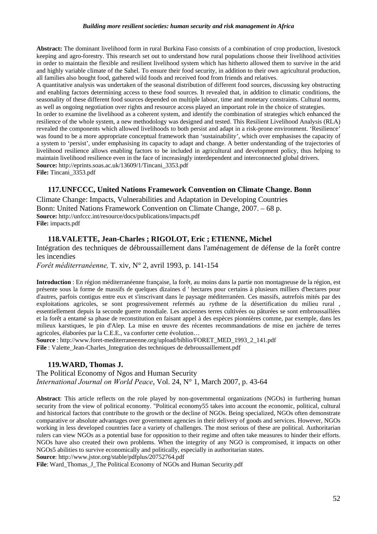#### *Building more resilient societies: human security and risk management in Africa*

**Abstract:** The dominant livelihood form in rural Burkina Faso consists of a combination of crop production, livestock keeping and agro-forestry. This research set out to understand how rural populations choose their livelihood activities in order to maintain the flexible and resilient livelihood system which has hitherto allowed them to survive in the arid and highly variable climate of the Sahel. To ensure their food security, in addition to their own agricultural production, all families also bought food, gathered wild foods and received food from friends and relatives.

A quantitative analysis was undertaken of the seasonal distribution of different food sources, discussing key obstructing and enabling factors determining access to these food sources. It revealed that, in addition to climatic conditions, the seasonality of these different food sources depended on multiple labour, time and monetary constraints. Cultural norms, as well as ongoing negotiation over rights and resource access played an important role in the choice of strategies.

In order to examine the livelihood as a coherent system, and identify the combination of strategies which enhanced the resilience of the whole system, a new methodology was designed and tested. This Resilient Livelihood Analysis (RLA) revealed the components which allowed livelihoods to both persist and adapt in a risk-prone environment. 'Resilience' was found to be a more appropriate conceptual framework than 'sustainability', which over emphasises the capacity of a system to 'persist', under emphasising its capacity to adapt and change. A better understanding of the trajectories of livelihood resilience allows enabling factors to be included in agricultural and development policy, thus helping to maintain livelihood resilience even in the face of increasingly interdependent and interconnected global drivers. **Source:** http://eprints.soas.ac.uk/13609/1/Tincani\_3353.pdf

**File:** Tincani\_3353.pdf

## **117.UNFCCC, United Nations Framework Convention on Climate Change. Bonn**

Climate Change: Impacts, Vulnerabilities and Adaptation in Developing Countries Bonn: United Nations Framework Convention on Climate Change, 2007. – 68 p. **Source:** http://unfccc.int/resource/docs/publications/impacts.pdf **File:** impacts.pdf

## **118.VALETTE, Jean-Charles ; RIGOLOT, Eric ; ETIENNE, Michel**

Intégration des techniques de débroussaillement dans l'aménagement de défense de la forêt contre les incendies

*Forêt méditerranéenne,* T. xiv, N° 2, avril 1993, p. 141-154

**Introduction** : En région méditerranéenne française, la forêt, au moins dans la partie non montagneuse de la région, est présente sous la forme de massifs de quelques dizaines d ' hectares pour certains à plusieurs milliers d'hectares pour d'autres, parfois contigus entre eux et s'inscrivant dans le paysage méditerranéen. Ces massifs, autrefois mités par des exploitations agricoles, se sont progressivement refermés au rythme de la désertification du milieu rural , essentiellement depuis la seconde guerre mondiale. Les anciennes terres cultivées ou pâturées se sont embroussaillées et la forêt a entamé sa phase de reconstitution en faisant appel à des espèces pionnières comme, par exemple, dans les milieux karstiques, le pin d'Alep. La mise en œuvre des récentes recommandations de mise en jachère de terres agricoles, élaborées par la C.E.E., va conforter cette évolution…

**Source** : http://www.foret-mediterraneenne.org/upload/biblio/FORET\_MED\_1993\_2\_141.pdf File : Valette Jean-Charles Integration des techniques de debroussaillement.pdf

# **119.WARD, Thomas J.**

The Political Economy of Ngos and Human Security *International Journal on World Peace*, Vol. 24, N° 1, March 2007, p. 43-64

**Abstract**: This article reflects on the role played by non-governmental organizations (NGOs) in furthering human security from the view of political economy. "Political economy55 takes into account the economic, political, cultural and historical factors that contribute to the growth or the decline of NGOs. Being specialized, NGOs often demonstrate comparative or absolute advantages over government agencies in their delivery of goods and services. However, NGOs working in less developed countries face a variety of challenges. The most serious of these are political. Authoritarian rulers can view NGOs as a potential base for opposition to their regime and often take measures to hinder their efforts. NGOs have also created their own problems. When the integrity of any NGO is compromised, it impacts on other NGOs5 abilities to survive economically and politically, especially in authoritarian states.

**Source**: http://www.jstor.org/stable/pdfplus/20752764.pdf

**File**: Ward\_Thomas\_J\_The Political Economy of NGOs and Human Security.pdf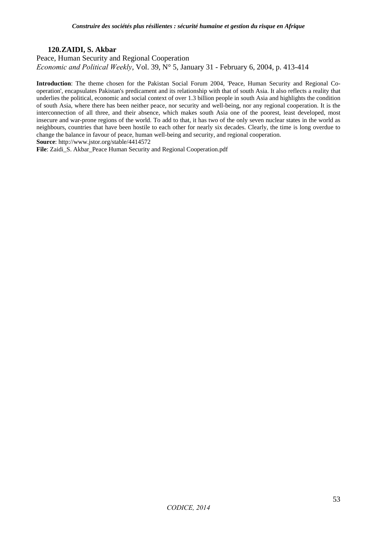## **120.ZAIDI, S. Akbar**

Peace, Human Security and Regional Cooperation *Economic and Political Weekly*, Vol. 39, N° 5, January 31 - February 6, 2004, p. 413-414

**Introduction**: The theme chosen for the Pakistan Social Forum 2004, 'Peace, Human Security and Regional Cooperation', encapsulates Pakistan's predicament and its relationship with that of south Asia. It also reflects a reality that underlies the political, economic and social context of over 1.3 billion people in south Asia and highlights the condition of south Asia, where there has been neither peace, nor security and well-being, nor any regional cooperation. It is the interconnection of all three, and their absence, which makes south Asia one of the poorest, least developed, most insecure and war-prone regions of the world. To add to that, it has two of the only seven nuclear states in the world as neighbours, countries that have been hostile to each other for nearly six decades. Clearly, the time is long overdue to change the balance in favour of peace, human well-being and security, and regional cooperation.

**Source**: http://www.jstor.org/stable/4414572

File: Zaidi S. Akbar Peace Human Security and Regional Cooperation.pdf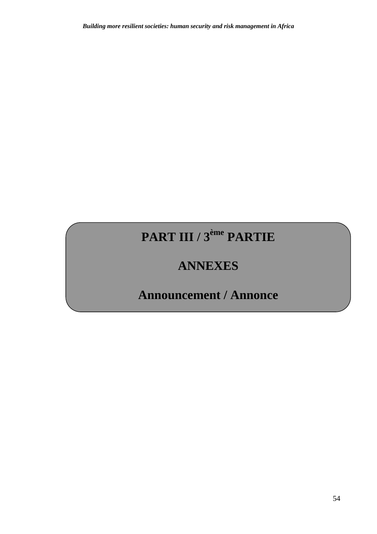# **PART III / 3ème PARTIE**

# **ANNEXES**

# **Announcement / Annonce**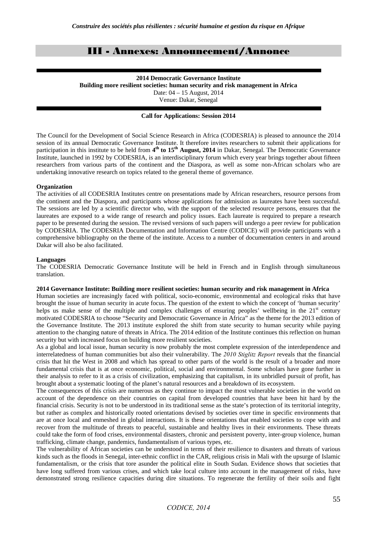# III - Annexes: Announcement/Annonce

**2014 Democratic Governance Institute Building more resilient societies: human security and risk management in Africa** Date: 04 – 15 August, 2014 Venue: Dakar, Senegal

#### **Call for Applications: Session 2014**

The Council for the Development of Social Science Research in Africa (CODESRIA) is pleased to announce the 2014 session of its annual Democratic Governance Institute. It therefore invites researchers to submit their applications for participation in this institute to be held from 4<sup>th</sup> to 15<sup>th</sup> August, 2014 in Dakar, Senegal. The Democratic Governance Institute, launched in 1992 by CODESRIA, is an interdisciplinary forum which every year brings together about fifteen researchers from various parts of the continent and the Diaspora, as well as some non-African scholars who are undertaking innovative research on topics related to the general theme of governance.

#### **Organization**

The activities of all CODESRIA Institutes centre on presentations made by African researchers, resource persons from the continent and the Diaspora, and participants whose applications for admission as laureates have been successful. The sessions are led by a scientific director who, with the support of the selected resource persons, ensures that the laureates are exposed to a wide range of research and policy issues. Each laureate is required to prepare a research paper to be presented during the session. The revised versions of such papers will undergo a peer review for publication by CODESRIA. The CODESRIA Documentation and Information Centre (CODICE) will provide participants with a comprehensive bibliography on the theme of the institute. Access to a number of documentation centers in and around Dakar will also be also facilitated.

#### **Languages**

The CODESRIA Democratic Governance Institute will be held in French and in English through simultaneous translation.

#### **2014 Governance Institute: Building more resilient societies: human security and risk management in Africa**

Human societies are increasingly faced with political, socio-economic, environmental and ecological risks that have brought the issue of human security in acute focus. The question of the extent to which the concept of 'human security' helps us make sense of the multiple and complex challenges of ensuring peoples' wellbeing in the  $21<sup>st</sup>$  century motivated CODESRIA to choose "Security and Democratic Governance in Africa" as the theme for the 2013 edition of the Governance Institute. The 2013 institute explored the shift from state security to human security while paying attention to the changing nature of threats in Africa. The 2014 edition of the Institute continues this reflection on human security but with increased focus on building more resilient societies.

As a global and local issue, human security is now probably the most complete expression of the interdependence and interrelatedness of human communities but also their vulnerability. The *2010 Stiglitz Report* reveals that the financial crisis that hit the West in 2008 and which has spread to other parts of the world is the result of a broader and more fundamental crisis that is at once economic, political, social and environmental. Some scholars have gone further in their analysis to refer to it as a crisis of civilization, emphasizing that capitalism, in its unbridled pursuit of profit, has brought about a systematic looting of the planet's natural resources and a breakdown of its ecosystem.

The consequences of this crisis are numerous as they continue to impact the most vulnerable societies in the world on account of the dependence on their countries on capital from developed countries that have been hit hard by the financial crisis. Security is not to be understood in its traditional sense as the state's protection of its territorial integrity, but rather as complex and historically rooted orientations devised by societies over time in specific environments that are at once local and enmeshed in global interactions. It is these orientations that enabled societies to cope with and recover from the multitude of threats to peaceful, sustainable and healthy lives in their environments. These threats could take the form of food crises, environmental disasters, chronic and persistent poverty, inter-group violence, human trafficking, climate change, pandemics, fundamentalism of various types, etc.

The vulnerability of African societies can be understood in terms of their resilience to disasters and threats of various kinds such as the floods in Senegal, inter-ethnic conflict in the CAR, religious crisis in Mali with the upsurge of Islamic fundamentalism, or the crisis that tore asunder the political elite in South Sudan. Evidence shows that societies that have long suffered from various crises, and which take local culture into account in the management of risks, have demonstrated strong resilience capacities during dire situations. To regenerate the fertility of their soils and fight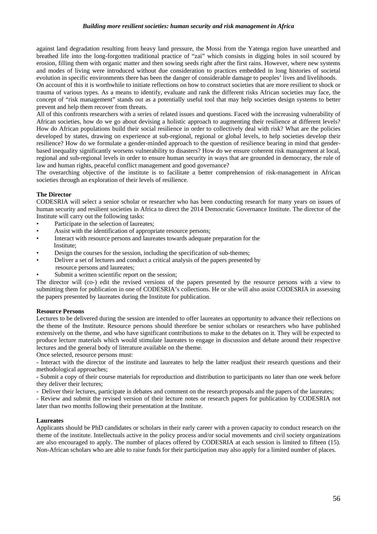#### *Building more resilient societies: human security and risk management in Africa*

against land degradation resulting from heavy land pressure, the Mossi from the Yatenga region have unearthed and breathed life into the long-forgotten traditional practice of "zai" which consists in digging holes in soil scoured by erosion, filling them with organic matter and then sowing seeds right after the first rains. However, where new systems and modes of living were introduced without due consideration to practices embedded in long histories of societal evolution in specific environments there has been the danger of considerable damage to peoples' lives and livelihoods.

On account of this it is worthwhile to initiate reflections on how to construct societies that are more resilient to shock or trauma of various types. As a means to identify, evaluate and rank the different risks African societies may face, the concept of "risk management" stands out as a potentially useful tool that may help societies design systems to better prevent and help them recover from threats.

All of this confronts researchers with a series of related issues and questions. Faced with the increasing vulnerability of African societies, how do we go about devising a holistic approach to augmenting their resilience at different levels? How do African populations build their social resilience in order to collectively deal with risk? What are the policies developed by states, drawing on experience at sub-regional, regional or global levels, to help societies develop their resilience? How do we formulate a gender-minded approach to the question of resilience bearing in mind that genderbased inequality significantly worsens vulnerability to disasters? How do we ensure coherent risk management at local, regional and sub-regional levels in order to ensure human security in ways that are grounded in democracy, the rule of law and human rights, peaceful conflict management and good governance?

The overarching objective of the institute is to facilitate a better comprehension of risk-management in African societies through an exploration of their levels of resilience.

#### **The Director**

CODESRIA will select a senior scholar or researcher who has been conducting research for many years on issues of human security and resilient societies in Africa to direct the 2014 Democratic Governance Institute. The director of the Institute will carry out the following tasks:

- Participate in the selection of laureates;
- Assist with the identification of appropriate resource persons;
- Interact with resource persons and laureates towards adequate preparation for the Institute;
- Design the courses for the session, including the specification of sub-themes;
- Deliver a set of lectures and conduct a critical analysis of the papers presented by
- resource persons and laureates;
- Submit a written scientific report on the session;

The director will (co-) edit the revised versions of the papers presented by the resource persons with a view to submitting them for publication in one of CODESRIA's collections. He or she will also assist CODESRIA in assessing the papers presented by laureates during the Institute for publication.

#### **Resource Persons**

Lectures to be delivered during the session are intended to offer laureates an opportunity to advance their reflections on the theme of the Institute. Resource persons should therefore be senior scholars or researchers who have published extensively on the theme, and who have significant contributions to make to the debates on it. They will be expected to produce lecture materials which would stimulate laureates to engage in discussion and debate around their respective lectures and the general body of literature available on the theme.

Once selected, resource persons must:

- Interact with the director of the institute and laureates to help the latter readjust their research questions and their methodological approaches;

- Submit a copy of their course materials for reproduction and distribution to participants no later than one week before they deliver their lectures;

- Deliver their lectures, participate in debates and comment on the research proposals and the papers of the laureates;

- Review and submit the revised version of their lecture notes or research papers for publication by CODESRIA not later than two months following their presentation at the Institute.

#### **Laureates**

Applicants should be PhD candidates or scholars in their early career with a proven capacity to conduct research on the theme of the institute. Intellectuals active in the policy process and/or social movements and civil society organizations are also encouraged to apply. The number of places offered by CODESRIA at each session is limited to fifteen (15). Non-African scholars who are able to raise funds for their participation may also apply for a limited number of places.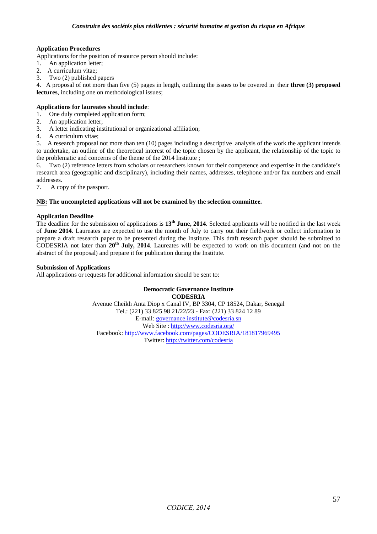#### **Application Procedures**

Applications for the position of resource person should include:

- 1. An application letter;
- 2. A curriculum vitae;
- 3. Two (2) published papers

4. A proposal of not more than five (5) pages in length, outlining the issues to be covered in their **three (3) proposed lectures**, including one on methodological issues;

#### **Applications for laureates should include**:

- 1. One duly completed application form;
- 2. An application letter;
- 3. A letter indicating institutional or organizational affiliation;<br>4. A curriculum vitae:
- A curriculum vitae:

5. A research proposal not more than ten (10) pages including a descriptive analysis of the work the applicant intends to undertake, an outline of the theoretical interest of the topic chosen by the applicant, the relationship of the topic to the problematic and concerns of the theme of the 2014 Institute ;

6. Two (2) reference letters from scholars or researchers known for their competence and expertise in the candidate's research area (geographic and disciplinary), including their names, addresses, telephone and/or fax numbers and email addresses.

7. A copy of the passport.

#### **NB: The uncompleted applications will not be examined by the selection committee.**

#### **Application Deadline**

The deadline for the submission of applications is **13th June, 2014**. Selected applicants will be notified in the last week of **June 2014**. Laureates are expected to use the month of July to carry out their fieldwork or collect information to prepare a draft research paper to be presented during the Institute. This draft research paper should be submitted to CODESRIA not later than **20th July, 2014**. Laureates will be expected to work on this document (and not on the abstract of the proposal) and prepare it for publication during the Institute.

#### **Submission of Applications**

All applications or requests for additional information should be sent to:

**Democratic Governance Institute CODESRIA**  Avenue Cheikh Anta Diop x Canal IV, BP 3304, CP 18524, Dakar, Senegal Tel.: (221) 33 825 98 21/22/23 - Fax: (221) 33 824 12 89 E-mail: governance.institute@codesria.sn Web Site : http://www.codesria.org/ Facebook: http://www.facebook.com/pages/CODESRIA/181817969495 Twitter: http://twitter.com/codesria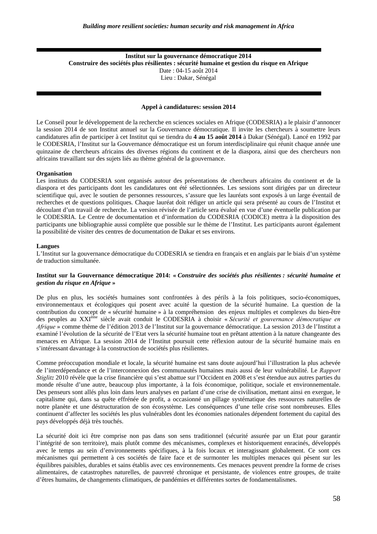#### **Institut sur la gouvernance démocratique 2014 Construire des sociétés plus résilientes : sécurité humaine et gestion du risque en Afrique**  Date : 04-15 août 2014 Lieu : Dakar, Sénégal

#### **Appel à candidatures: session 2014**

Le Conseil pour le développement de la recherche en sciences sociales en Afrique (CODESRIA) a le plaisir d'annoncer la session 2014 de son Institut annuel sur la Gouvernance démocratique. Il invite les chercheurs à soumettre leurs candidatures afin de participer à cet Institut qui se tiendra du **4 au 15 août 2014** à Dakar (Sénégal). Lancé en 1992 par le CODESRIA, l'Institut sur la Gouvernance démocratique est un forum interdisciplinaire qui réunit chaque année une quinzaine de chercheurs africains des diverses régions du continent et de la diaspora, ainsi que des chercheurs non africains travaillant sur des sujets liés au thème général de la gouvernance.

#### **Organisation**

Les instituts du CODESRIA sont organisés autour des présentations de chercheurs africains du continent et de la diaspora et des participants dont les candidatures ont été sélectionnées. Les sessions sont dirigées par un directeur scientifique qui, avec le soutien de personnes ressources, s'assure que les lauréats sont exposés à un large éventail de recherches et de questions politiques. Chaque lauréat doit rédiger un article qui sera présenté au cours de l'Institut et découlant d'un travail de recherche. La version révisée de l'article sera évalué en vue d'une éventuelle publication par le CODESRIA. Le Centre de documentation et d'information du CODESRIA (CODICE) mettra à la disposition des participants une bibliographie aussi complète que possible sur le thème de l'Institut. Les participants auront également la possibilité de visiter des centres de documentation de Dakar et ses environs.

#### **Langues**

L'Institut sur la gouvernance démocratique du CODESRIA se tiendra en français et en anglais par le biais d'un système de traduction simultanée.

#### **Institut sur la Gouvernance démocratique 2014: «** *Construire des sociétés plus résilientes : sécurité humaine et gestion du risque en Afrique* **»**

De plus en plus, les sociétés humaines sont confrontées à des périls à la fois politiques, socio-économiques, environnementaux et écologiques qui posent avec acuité la question de la sécurité humaine. La question de la contribution du concept de « sécurité humaine » à la compréhension des enjeux multiples et complexes du bien-être des peuples au XXIème siècle avait conduit le CODESRIA à choisir « *Sécurité et gouvernance démocratique en Afrique* » comme thème de l'édition 2013 de l'Institut sur la gouvernance démocratique. La session 2013 de l'Institut a examiné l'évolution de la sécurité de l'Etat vers la sécurité humaine tout en prêtant attention à la nature changeante des menaces en Afrique. La session 2014 de l'Institut poursuit cette réflexion autour de la sécurité humaine mais en s'intéressant davantage à la construction de sociétés plus résilientes.

Comme préoccupation mondiale et locale, la sécurité humaine est sans doute aujourd'hui l'illustration la plus achevée de l'interdépendance et de l'interconnexion des communautés humaines mais aussi de leur vulnérabilité. Le *Rapport Stiglitz* 2010 révèle que la crise financière qui s'est abattue sur l'Occident en 2008 et s'est étendue aux autres parties du monde résulte d'une autre, beaucoup plus importante, à la fois économique, politique, sociale et environnementale. Des penseurs sont allés plus loin dans leurs analyses en parlant d'une crise de civilisation, mettant ainsi en exergue, le capitalisme qui, dans sa quête effrénée de profit, a occasionné un pillage systématique des ressources naturelles de notre planète et une déstructuration de son écosystème. Les conséquences d'une telle crise sont nombreuses. Elles continuent d'affecter les sociétés les plus vulnérables dont les économies nationales dépendent fortement du capital des pays développés déjà très touchés.

La sécurité doit ici être comprise non pas dans son sens traditionnel (sécurité assurée par un Etat pour garantir l'intégrité de son territoire), mais plutôt comme des mécanismes, complexes et historiquement enracinés, développés avec le temps au sein d'environnements spécifiques, à la fois locaux et interagissant globalement. Ce sont ces mécanismes qui permettent à ces sociétés de faire face et de surmonter les multiples menaces qui pèsent sur les équilibres paisibles, durables et sains établis avec ces environnements. Ces menaces peuvent prendre la forme de crises alimentaires, de catastrophes naturelles, de pauvreté chronique et persistante, de violences entre groupes, de traite d'êtres humains, de changements climatiques, de pandémies et différentes sortes de fondamentalismes.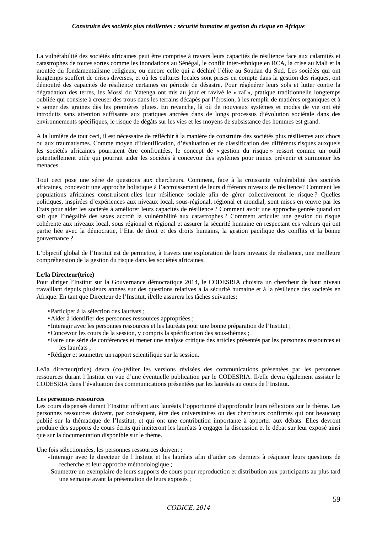#### *Construire des sociétés plus résilientes : sécurité humaine et gestion du risque en Afrique*

La vulnérabilité des sociétés africaines peut être comprise à travers leurs capacités de résilience face aux calamités et catastrophes de toutes sortes comme les inondations au Sénégal, le conflit inter-ethnique en RCA, la crise au Mali et la montée du fondamentalisme religieux, ou encore celle qui a déchiré l'élite au Soudan du Sud. Les sociétés qui ont longtemps souffert de crises diverses, et où les cultures locales sont prises en compte dans la gestion des risques, ont démontré des capacités de résilience certaines en période de désastre. Pour régénérer leurs sols et lutter contre la dégradation des terres, les Mossi du Yatenga ont mis au jour et ravivé le « zaï », pratique traditionnelle longtemps oubliée qui consiste à creuser des trous dans les terrains décapés par l'érosion, à les remplir de matières organiques et à y semer des graines dès les premières pluies. En revanche, là où de nouveaux systèmes et modes de vie ont été introduits sans attention suffisante aux pratiques ancrées dans de longs processus d'évolution sociétale dans des environnements spécifiques, le risque de dégâts sur les vies et les moyens de subsistance des hommes est grand.

A la lumière de tout ceci, il est nécessaire de réfléchir à la manière de construire des sociétés plus résilientes aux chocs ou aux traumatismes. Comme moyen d'identification, d'évaluation et de classification des différents risques auxquels les sociétés africaines pourraient être confrontées, le concept de « gestion du risque » ressort comme un outil potentiellement utile qui pourrait aider les sociétés à concevoir des systèmes pour mieux prévenir et surmonter les menaces.

Tout ceci pose une série de questions aux chercheurs. Comment, face à la croissante vulnérabilité des sociétés africaines, concevoir une approche holistique à l'accroissement de leurs différents niveaux de résilience? Comment les populations africaines construisent-elles leur résilience sociale afin de gérer collectivement le risque ? Quelles politiques, inspirées d'expériences aux niveaux local, sous-régional, régional et mondial, sont mises en œuvre par les Etats pour aider les sociétés à améliorer leurs capacités de résilience ? Comment avoir une approche genrée quand on sait que l'inégalité des sexes accroît la vulnérabilité aux catastrophes ? Comment articuler une gestion du risque cohérente aux niveaux local, sous régional et régional et assurer la sécurité humaine en respectant ces valeurs qui ont partie liée avec la démocratie, l'Etat de droit et des droits humains, la gestion pacifique des conflits et la bonne gouvernance ?

L'objectif global de l'Institut est de permettre, à travers une exploration de leurs niveaux de résilience, une meilleure compréhension de la gestion du risque dans les sociétés africaines.

#### **Le/la Directeur(trice)**

Pour diriger l'Institut sur la Gouvernance démocratique 2014, le CODESRIA choisira un chercheur de haut niveau travaillant depuis plusieurs années sur des questions relatives à la sécurité humaine et à la résilience des sociétés en Afrique. En tant que Directeur de l'Institut, il/elle assurera les tâches suivantes:

- •Participer à la sélection des lauréats ;
- •Aider à identifier des personnes ressources appropriées ;
- •Interagir avec les personnes ressources et les lauréats pour une bonne préparation de l'Institut ;
- •Concevoir les cours de la session, y compris la spécification des sous-thèmes ;
- •Faire une série de conférences et mener une analyse critique des articles présentés par les personnes ressources et les lauréats ;
- •Rédiger et soumettre un rapport scientifique sur la session.

Le/la directeur(trice) devra (co-)éditer les versions révisées des communications présentées par les personnes ressources durant l'Institut en vue d'une éventuelle publication par le CODESRIA. Il/elle devra également assister le CODESRIA dans l'évaluation des communications présentées par les lauréats au cours de l'Institut.

#### **Les personnes ressources**

Les cours dispensés durant l'Institut offrent aux lauréats l'opportunité d'approfondir leurs réflexions sur le thème. Les personnes ressources doivent, par conséquent, être des universitaires ou des chercheurs confirmés qui ont beaucoup publié sur la thématique de l'Institut, et qui ont une contribution importante à apporter aux débats. Elles devront produire des supports de cours écrits qui inciteront les lauréats à engager la discussion et le débat sur leur exposé ainsi que sur la documentation disponible sur le thème.

Une fois sélectionnées, les personnes ressources doivent :

- -Interagir avec le directeur de l'Institut et les lauréats afin d'aider ces derniers à réajuster leurs questions de recherche et leur approche méthodologique ;
- -Soumettre un exemplaire de leurs supports de cours pour reproduction et distribution aux participants au plus tard une semaine avant la présentation de leurs exposés ;